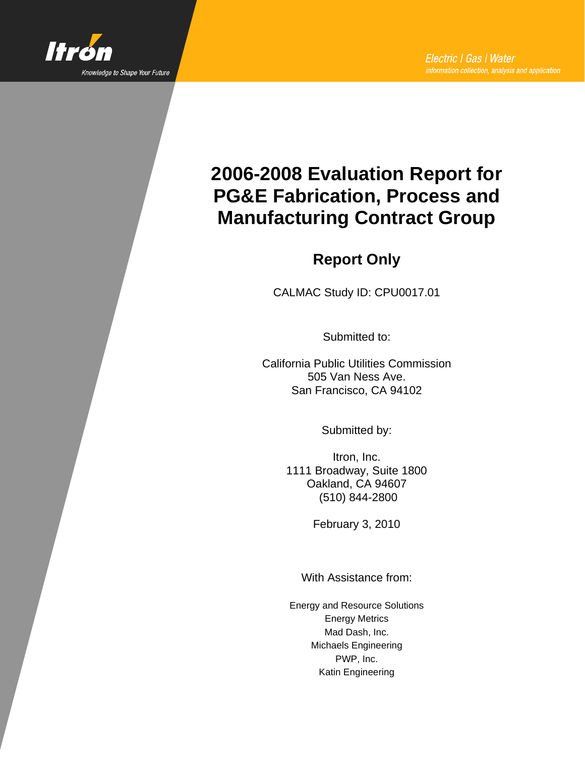

# **2006-2008 Evaluation Report for PG&E Fabrication, Process and Manufacturing Contract Group**

## **Report Only**

CALMAC Study ID: CPU0017.01

Submitted to:

California Public Utilities Commission 505 Van Ness Ave. San Francisco, CA 94102

Submitted by:

Itron, Inc. 1111 Broadway, Suite 1800 Oakland, CA 94607 (510) 844-2800

February 3, 2010

With Assistance from:

Energy and Resource Solutions Energy Metrics Mad Dash, Inc. Michaels Engineering PWP, Inc. Katin Engineering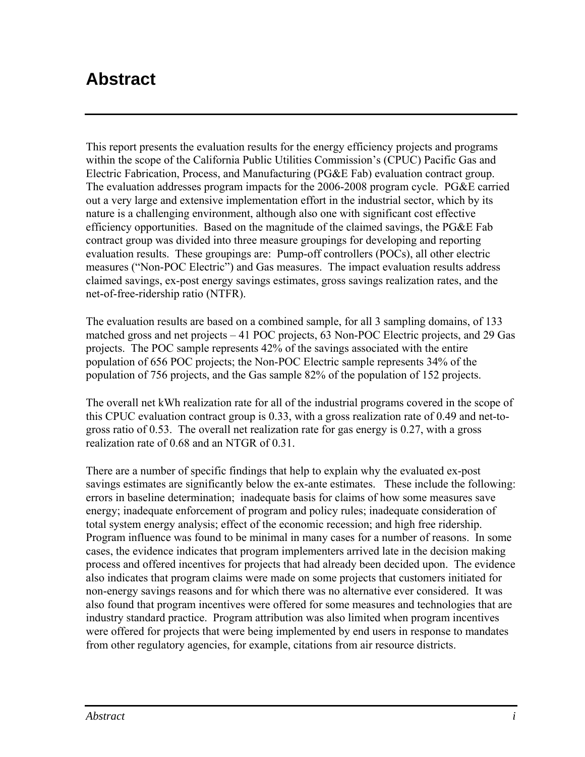## **Abstract**

This report presents the evaluation results for the energy efficiency projects and programs within the scope of the California Public Utilities Commission's (CPUC) Pacific Gas and Electric Fabrication, Process, and Manufacturing (PG&E Fab) evaluation contract group. The evaluation addresses program impacts for the 2006-2008 program cycle. PG&E carried out a very large and extensive implementation effort in the industrial sector, which by its nature is a challenging environment, although also one with significant cost effective efficiency opportunities. Based on the magnitude of the claimed savings, the PG&E Fab contract group was divided into three measure groupings for developing and reporting evaluation results. These groupings are: Pump-off controllers (POCs), all other electric measures ("Non-POC Electric") and Gas measures. The impact evaluation results address claimed savings, ex-post energy savings estimates, gross savings realization rates, and the net-of-free-ridership ratio (NTFR).

The evaluation results are based on a combined sample, for all 3 sampling domains, of 133 matched gross and net projects – 41 POC projects, 63 Non-POC Electric projects, and 29 Gas projects. The POC sample represents 42% of the savings associated with the entire population of 656 POC projects; the Non-POC Electric sample represents 34% of the population of 756 projects, and the Gas sample 82% of the population of 152 projects.

The overall net kWh realization rate for all of the industrial programs covered in the scope of this CPUC evaluation contract group is 0.33, with a gross realization rate of 0.49 and net-togross ratio of 0.53. The overall net realization rate for gas energy is 0.27, with a gross realization rate of 0.68 and an NTGR of 0.31.

There are a number of specific findings that help to explain why the evaluated ex-post savings estimates are significantly below the ex-ante estimates. These include the following: errors in baseline determination; inadequate basis for claims of how some measures save energy; inadequate enforcement of program and policy rules; inadequate consideration of total system energy analysis; effect of the economic recession; and high free ridership. Program influence was found to be minimal in many cases for a number of reasons. In some cases, the evidence indicates that program implementers arrived late in the decision making process and offered incentives for projects that had already been decided upon. The evidence also indicates that program claims were made on some projects that customers initiated for non-energy savings reasons and for which there was no alternative ever considered. It was also found that program incentives were offered for some measures and technologies that are industry standard practice. Program attribution was also limited when program incentives were offered for projects that were being implemented by end users in response to mandates from other regulatory agencies, for example, citations from air resource districts.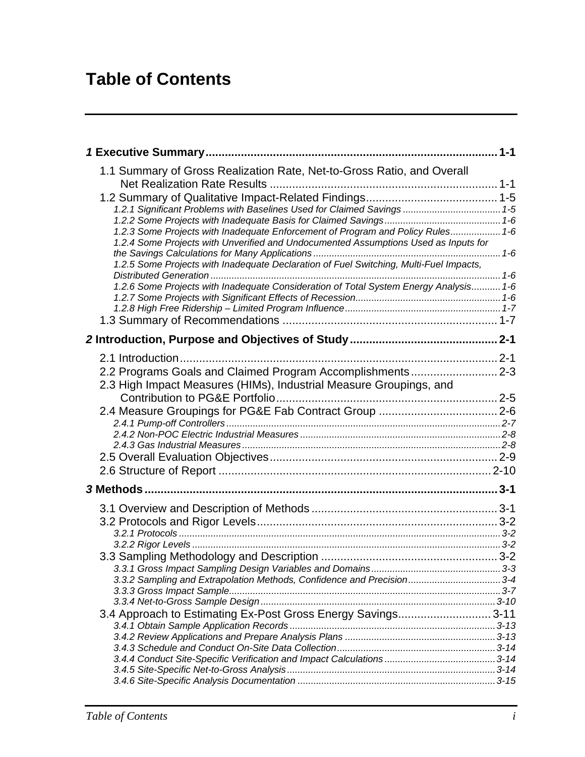# **Table of Contents**

| 1.1 Summary of Gross Realization Rate, Net-to-Gross Ratio, and Overall                 |  |
|----------------------------------------------------------------------------------------|--|
|                                                                                        |  |
| 1.2.1 Significant Problems with Baselines Used for Claimed Savings  1-5                |  |
|                                                                                        |  |
| 1.2.3 Some Projects with Inadequate Enforcement of Program and Policy Rules 1-6        |  |
| 1.2.4 Some Projects with Unverified and Undocumented Assumptions Used as Inputs for    |  |
| 1.2.5 Some Projects with Inadequate Declaration of Fuel Switching, Multi-Fuel Impacts, |  |
| 1.2.6 Some Projects with Inadequate Consideration of Total System Energy Analysis 1-6  |  |
|                                                                                        |  |
|                                                                                        |  |
|                                                                                        |  |
|                                                                                        |  |
|                                                                                        |  |
|                                                                                        |  |
| 2.2 Programs Goals and Claimed Program Accomplishments 2-3                             |  |
| 2.3 High Impact Measures (HIMs), Industrial Measure Groupings, and                     |  |
|                                                                                        |  |
|                                                                                        |  |
|                                                                                        |  |
|                                                                                        |  |
|                                                                                        |  |
|                                                                                        |  |
|                                                                                        |  |
|                                                                                        |  |
|                                                                                        |  |
|                                                                                        |  |
|                                                                                        |  |
|                                                                                        |  |
|                                                                                        |  |
|                                                                                        |  |
| 3.3.2 Sampling and Extrapolation Methods, Confidence and Precision 3-4                 |  |
|                                                                                        |  |
|                                                                                        |  |
| 3.4 Approach to Estimating Ex-Post Gross Energy Savings 3-11                           |  |
|                                                                                        |  |
|                                                                                        |  |
|                                                                                        |  |
|                                                                                        |  |
|                                                                                        |  |
|                                                                                        |  |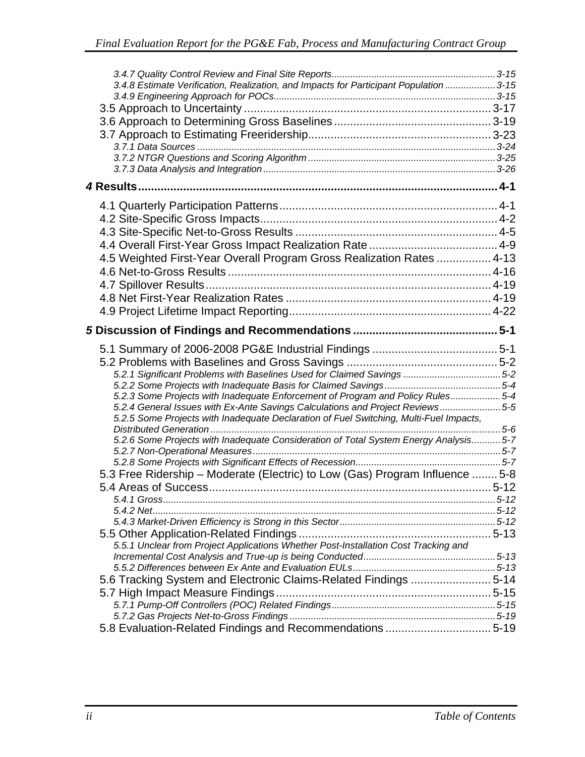| 3.4.8 Estimate Verification, Realization, and Impacts for Participant Population  3-15 |  |
|----------------------------------------------------------------------------------------|--|
|                                                                                        |  |
|                                                                                        |  |
|                                                                                        |  |
|                                                                                        |  |
|                                                                                        |  |
|                                                                                        |  |
|                                                                                        |  |
|                                                                                        |  |
|                                                                                        |  |
|                                                                                        |  |
|                                                                                        |  |
|                                                                                        |  |
|                                                                                        |  |
| 4.5 Weighted First-Year Overall Program Gross Realization Rates  4-13                  |  |
|                                                                                        |  |
|                                                                                        |  |
|                                                                                        |  |
|                                                                                        |  |
|                                                                                        |  |
|                                                                                        |  |
|                                                                                        |  |
|                                                                                        |  |
|                                                                                        |  |
| 5.2.3 Some Projects with Inadequate Enforcement of Program and Policy Rules5-4         |  |
| 5.2.4 General Issues with Ex-Ante Savings Calculations and Project Reviews5-5          |  |
| 5.2.5 Some Projects with Inadequate Declaration of Fuel Switching, Multi-Fuel Impacts, |  |
| 5.2.6 Some Projects with Inadequate Consideration of Total System Energy Analysis 5-7  |  |
|                                                                                        |  |
|                                                                                        |  |
| 5.3 Free Ridership - Moderate (Electric) to Low (Gas) Program Influence  5-8           |  |
|                                                                                        |  |
|                                                                                        |  |
|                                                                                        |  |
|                                                                                        |  |
|                                                                                        |  |
| 5.5.1 Unclear from Project Applications Whether Post-Installation Cost Tracking and    |  |
|                                                                                        |  |
|                                                                                        |  |
| 5.14 5.6 Tracking System and Electronic Claims-Related Findings 5-14                   |  |
|                                                                                        |  |
|                                                                                        |  |
|                                                                                        |  |
| 5.8 Evaluation-Related Findings and Recommendations 5-19                               |  |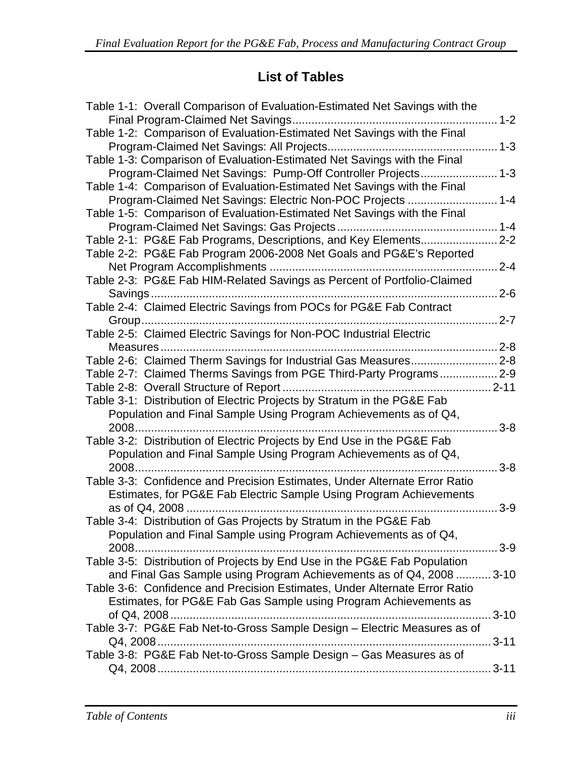## **List of Tables**

| Table 1-1: Overall Comparison of Evaluation-Estimated Net Savings with the |           |
|----------------------------------------------------------------------------|-----------|
| Table 1-2: Comparison of Evaluation-Estimated Net Savings with the Final   |           |
|                                                                            |           |
| Table 1-3: Comparison of Evaluation-Estimated Net Savings with the Final   |           |
| Program-Claimed Net Savings: Pump-Off Controller Projects 1-3              |           |
| Table 1-4: Comparison of Evaluation-Estimated Net Savings with the Final   |           |
| Program-Claimed Net Savings: Electric Non-POC Projects  1-4                |           |
| Table 1-5: Comparison of Evaluation-Estimated Net Savings with the Final   |           |
|                                                                            |           |
| Table 2-1: PG&E Fab Programs, Descriptions, and Key Elements 2-2           |           |
| Table 2-2: PG&E Fab Program 2006-2008 Net Goals and PG&E's Reported        |           |
|                                                                            | $2 - 4$   |
| Table 2-3: PG&E Fab HIM-Related Savings as Percent of Portfolio-Claimed    |           |
|                                                                            | $2 - 6$   |
| Table 2-4: Claimed Electric Savings from POCs for PG&E Fab Contract        |           |
| Group                                                                      | $.2 - 7$  |
| Table 2-5: Claimed Electric Savings for Non-POC Industrial Electric        |           |
|                                                                            |           |
| Table 2-6: Claimed Therm Savings for Industrial Gas Measures 2-8           |           |
| Table 2-7: Claimed Therms Savings from PGE Third-Party Programs 2-9        |           |
|                                                                            |           |
| Table 3-1: Distribution of Electric Projects by Stratum in the PG&E Fab    |           |
| Population and Final Sample Using Program Achievements as of Q4,           |           |
|                                                                            | $3 - 8$   |
| Table 3-2: Distribution of Electric Projects by End Use in the PG&E Fab    |           |
| Population and Final Sample Using Program Achievements as of Q4,           |           |
|                                                                            | $3-8$     |
| Table 3-3: Confidence and Precision Estimates, Under Alternate Error Ratio |           |
| Estimates, for PG&E Fab Electric Sample Using Program Achievements         |           |
|                                                                            | $3-9$     |
| Table 3-4: Distribution of Gas Projects by Stratum in the PG&E Fab         |           |
| Population and Final Sample using Program Achievements as of Q4,           |           |
|                                                                            | 3-9       |
| Table 3-5: Distribution of Projects by End Use in the PG&E Fab Population  |           |
| and Final Gas Sample using Program Achievements as of Q4, 2008  3-10       |           |
| Table 3-6: Confidence and Precision Estimates, Under Alternate Error Ratio |           |
| Estimates, for PG&E Fab Gas Sample using Program Achievements as           |           |
|                                                                            | $3 - 10$  |
| Table 3-7: PG&E Fab Net-to-Gross Sample Design - Electric Measures as of   |           |
|                                                                            | $.3 - 11$ |
| Table 3-8: PG&E Fab Net-to-Gross Sample Design - Gas Measures as of        |           |
|                                                                            |           |
|                                                                            |           |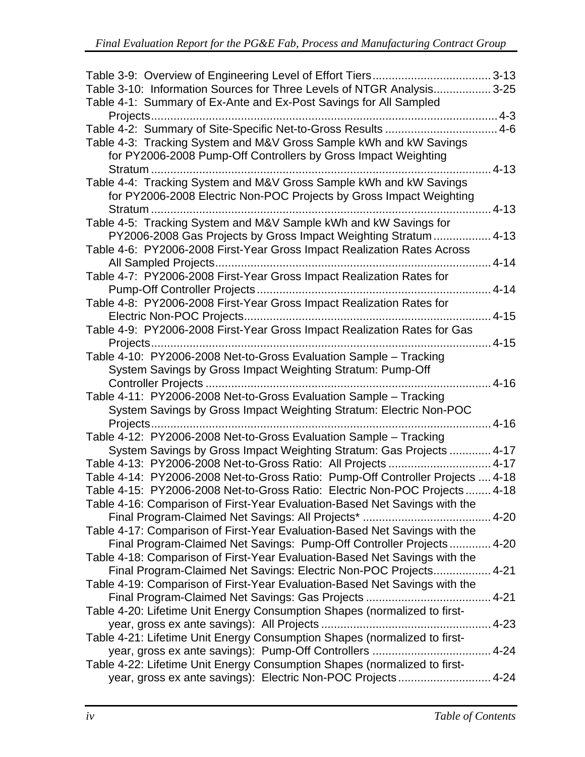| Table 3-10: Information Sources for Three Levels of NTGR Analysis3-25          |           |
|--------------------------------------------------------------------------------|-----------|
| Table 4-1: Summary of Ex-Ante and Ex-Post Savings for All Sampled              |           |
|                                                                                |           |
| Table 4-2: Summary of Site-Specific Net-to-Gross Results  4-6                  |           |
| Table 4-3: Tracking System and M&V Gross Sample kWh and kW Savings             |           |
| for PY2006-2008 Pump-Off Controllers by Gross Impact Weighting                 |           |
| Stratum                                                                        | $4 - 13$  |
| Table 4-4: Tracking System and M&V Gross Sample kWh and kW Savings             |           |
| for PY2006-2008 Electric Non-POC Projects by Gross Impact Weighting            |           |
| Stratum                                                                        | $4 - 13$  |
| Table 4-5: Tracking System and M&V Sample kWh and kW Savings for               |           |
| PY2006-2008 Gas Projects by Gross Impact Weighting Stratum  4-13               |           |
| Table 4-6: PY2006-2008 First-Year Gross Impact Realization Rates Across        |           |
|                                                                                |           |
| Table 4-7: PY2006-2008 First-Year Gross Impact Realization Rates for           |           |
|                                                                                | $4 - 14$  |
| Table 4-8: PY2006-2008 First-Year Gross Impact Realization Rates for           |           |
|                                                                                | $4 - 15$  |
| Table 4-9: PY2006-2008 First-Year Gross Impact Realization Rates for Gas       |           |
|                                                                                |           |
| Table 4-10: PY2006-2008 Net-to-Gross Evaluation Sample - Tracking              |           |
| System Savings by Gross Impact Weighting Stratum: Pump-Off                     |           |
| Controller Projects                                                            | $.4 - 16$ |
| Table 4-11: PY2006-2008 Net-to-Gross Evaluation Sample - Tracking              |           |
| System Savings by Gross Impact Weighting Stratum: Electric Non-POC             |           |
| Projects                                                                       | $4-16$    |
| Table 4-12: PY2006-2008 Net-to-Gross Evaluation Sample - Tracking              |           |
| System Savings by Gross Impact Weighting Stratum: Gas Projects  4-17           |           |
| Table 4-13: PY2006-2008 Net-to-Gross Ratio: All Projects  4-17                 |           |
| Table 4-14: PY2006-2008 Net-to-Gross Ratio: Pump-Off Controller Projects  4-18 |           |
| Table 4-15: PY2006-2008 Net-to-Gross Ratio: Electric Non-POC Projects 4-18     |           |
| Table 4-16: Comparison of First-Year Evaluation-Based Net Savings with the     |           |
|                                                                                |           |
| Table 4-17: Comparison of First-Year Evaluation-Based Net Savings with the     |           |
| Final Program-Claimed Net Savings: Pump-Off Controller Projects 4-20           |           |
| Table 4-18: Comparison of First-Year Evaluation-Based Net Savings with the     |           |
| Final Program-Claimed Net Savings: Electric Non-POC Projects 4-21              |           |
| Table 4-19: Comparison of First-Year Evaluation-Based Net Savings with the     |           |
|                                                                                |           |
| Table 4-20: Lifetime Unit Energy Consumption Shapes (normalized to first-      |           |
|                                                                                |           |
| Table 4-21: Lifetime Unit Energy Consumption Shapes (normalized to first-      |           |
|                                                                                |           |
| Table 4-22: Lifetime Unit Energy Consumption Shapes (normalized to first-      |           |
| year, gross ex ante savings): Electric Non-POC Projects 4-24                   |           |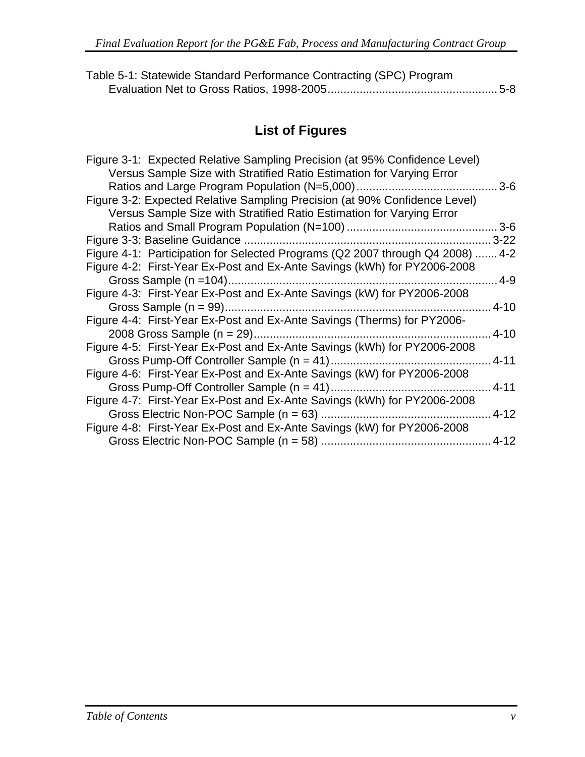| Table 5-1: Statewide Standard Performance Contracting (SPC) Program |  |
|---------------------------------------------------------------------|--|
|                                                                     |  |

## **List of Figures**

| Figure 3-1: Expected Relative Sampling Precision (at 95% Confidence Level)     |           |
|--------------------------------------------------------------------------------|-----------|
| Versus Sample Size with Stratified Ratio Estimation for Varying Error          |           |
| Ratios and Large Program Population (N=5,000)                                  | $3-6$     |
| Figure 3-2: Expected Relative Sampling Precision (at 90% Confidence Level)     |           |
| Versus Sample Size with Stratified Ratio Estimation for Varying Error          |           |
|                                                                                |           |
|                                                                                | $.3 - 22$ |
| Figure 4-1: Participation for Selected Programs (Q2 2007 through Q4 2008)  4-2 |           |
| Figure 4-2: First-Year Ex-Post and Ex-Ante Savings (kWh) for PY2006-2008       |           |
|                                                                                | $4 - 9$   |
| Figure 4-3: First-Year Ex-Post and Ex-Ante Savings (kW) for PY2006-2008        |           |
|                                                                                | $.4 - 10$ |
| Figure 4-4: First-Year Ex-Post and Ex-Ante Savings (Therms) for PY2006-        |           |
|                                                                                | $.4 - 10$ |
| Figure 4-5: First-Year Ex-Post and Ex-Ante Savings (kWh) for PY2006-2008       |           |
| Gross Pump-Off Controller Sample (n = 41)                                      | $.4 - 11$ |
| Figure 4-6: First-Year Ex-Post and Ex-Ante Savings (kW) for PY2006-2008        |           |
| Gross Pump-Off Controller Sample $(n = 41)$                                    | $4 - 11$  |
| Figure 4-7: First-Year Ex-Post and Ex-Ante Savings (kWh) for PY2006-2008       |           |
| Gross Electric Non-POC Sample $(n = 63)$                                       | $.4 - 12$ |
| Figure 4-8: First-Year Ex-Post and Ex-Ante Savings (kW) for PY2006-2008        |           |
|                                                                                |           |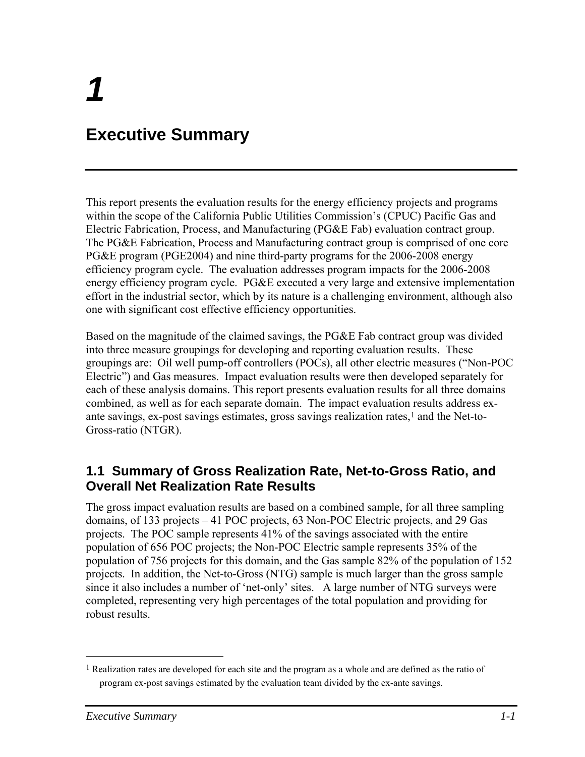# <span id="page-10-0"></span>**Executive Summary**

This report presents the evaluation results for the energy efficiency projects and programs within the scope of the California Public Utilities Commission's (CPUC) Pacific Gas and Electric Fabrication, Process, and Manufacturing (PG&E Fab) evaluation contract group. The PG&E Fabrication, Process and Manufacturing contract group is comprised of one core PG&E program (PGE2004) and nine third-party programs for the 2006-2008 energy efficiency program cycle. The evaluation addresses program impacts for the 2006-2008 energy efficiency program cycle. PG&E executed a very large and extensive implementation effort in the industrial sector, which by its nature is a challenging environment, although also one with significant cost effective efficiency opportunities.

Based on the magnitude of the claimed savings, the PG&E Fab contract group was divided into three measure groupings for developing and reporting evaluation results. These groupings are: Oil well pump-off controllers (POCs), all other electric measures ("Non-POC Electric") and Gas measures. Impact evaluation results were then developed separately for each of these analysis domains. This report presents evaluation results for all three domains combined, as well as for each separate domain. The impact evaluation results address exante savings, ex-post savings estimates, gross savings realization rates, $<sup>1</sup>$  $<sup>1</sup>$  $<sup>1</sup>$  and the Net-to-</sup> Gross-ratio (NTGR).

### **1.1 Summary of Gross Realization Rate, Net-to-Gross Ratio, and Overall Net Realization Rate Results**

The gross impact evaluation results are based on a combined sample, for all three sampling domains, of 133 projects – 41 POC projects, 63 Non-POC Electric projects, and 29 Gas projects. The POC sample represents 41% of the savings associated with the entire population of 656 POC projects; the Non-POC Electric sample represents 35% of the population of 756 projects for this domain, and the Gas sample 82% of the population of 152 projects. In addition, the Net-to-Gross (NTG) sample is much larger than the gross sample since it also includes a number of 'net-only' sites. A large number of NTG surveys were completed, representing very high percentages of the total population and providing for robust results.

 $\overline{a}$ 

<sup>1</sup> Realization rates are developed for each site and the program as a whole and are defined as the ratio of program ex-post savings estimated by the evaluation team divided by the ex-ante savings.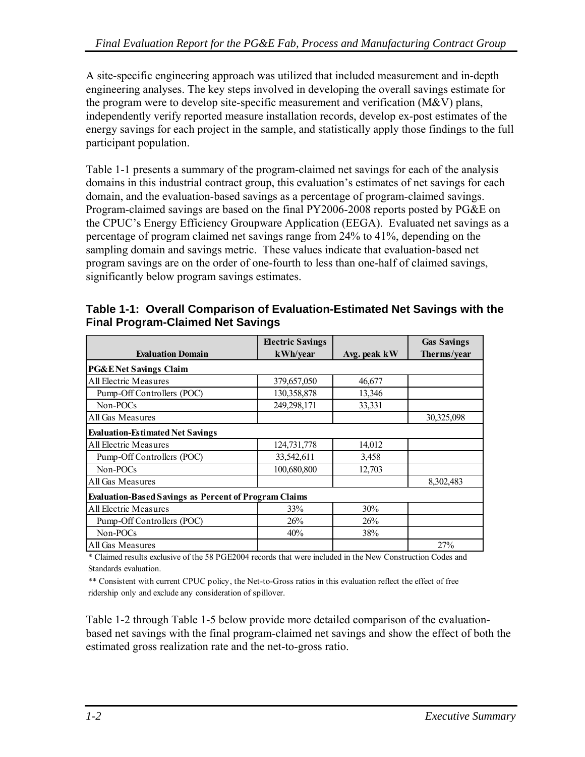<span id="page-11-0"></span>A site-specific engineering approach was utilized that included measurement and in-depth engineering analyses. The key steps involved in developing the overall savings estimate for the program were to develop site-specific measurement and verification (M&V) plans, independently verify reported measure installation records, develop ex-post estimates of the energy savings for each project in the sample, and statistically apply those findings to the full participant population.

[Table 1-1](#page-11-0) presents a summary of the program-claimed net savings for each of the analysis domains in this industrial contract group, this evaluation's estimates of net savings for each domain, and the evaluation-based savings as a percentage of program-claimed savings. Program-claimed savings are based on the final PY2006-2008 reports posted by PG&E on the CPUC's Energy Efficiency Groupware Application (EEGA). Evaluated net savings as a percentage of program claimed net savings range from 24% to 41%, depending on the sampling domain and savings metric. These values indicate that evaluation-based net program savings are on the order of one-fourth to less than one-half of claimed savings, significantly below program savings estimates.

|                                                              | <b>Electric Savings</b> |              | <b>Gas Savings</b> |
|--------------------------------------------------------------|-------------------------|--------------|--------------------|
| <b>Evaluation Domain</b>                                     | kWh/year                | Avg. peak kW | Therms/year        |
| <b>PG&amp;ENet Savings Claim</b>                             |                         |              |                    |
| All Electric Measures                                        | 379,657,050             | 46,677       |                    |
| Pump-Off Controllers (POC)                                   | 130,358,878             | 13,346       |                    |
| Non-POCs                                                     | 249,298,171             | 33,331       |                    |
| All Gas Measures                                             |                         |              | 30,325,098         |
| <b>Evaluation-Estimated Net Savings</b>                      |                         |              |                    |
| All Electric Measures                                        | 124,731,778             | 14,012       |                    |
| Pump-Off Controllers (POC)                                   | 33,542,611              | 3,458        |                    |
| Non-POCs                                                     | 100,680,800             | 12,703       |                    |
| All Gas Measures                                             |                         |              | 8,302,483          |
| <b>Evaluation-Based Savings as Percent of Program Claims</b> |                         |              |                    |
| All Electric Measures                                        | 33%                     | 30%          |                    |
| Pump-Off Controllers (POC)                                   | 26%                     | 26%          |                    |
| Non-POCs                                                     | 40%                     | 38%          |                    |
| All Gas Measures                                             |                         |              | 27%                |

**Table 1-1: Overall Comparison of Evaluation-Estimated Net Savings with the Final Program-Claimed Net Savings** 

\* Claimed results exclusive of the 58 PGE2004 records that were included in the New Construction Codes and Standards evaluation.

\*\* Consistent with current CPUC policy, the Net-to-Gross ratios in this evaluation reflect the effect of free ridership only and exclude any consideration of spillover.

[Table 1-2](#page-12-0) through [Table 1-5](#page-13-0) below provide more detailed comparison of the evaluationbased net savings with the final program-claimed net savings and show the effect of both the estimated gross realization rate and the net-to-gross ratio.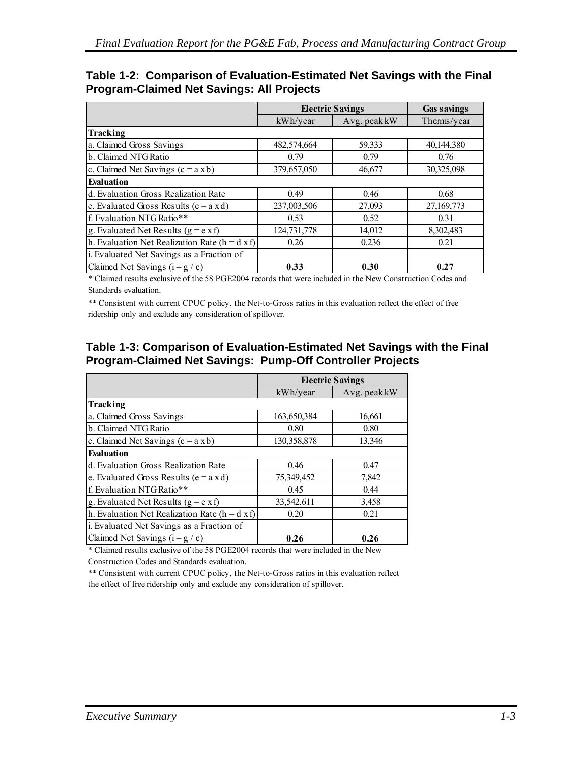|                                                         | <b>Electric Savings</b> |              | <b>Gas savings</b> |
|---------------------------------------------------------|-------------------------|--------------|--------------------|
|                                                         | kWh/year                | Avg. peak kW | Therms/year        |
| Tracking                                                |                         |              |                    |
| a. Claimed Gross Savings                                | 482,574,664             | 59,333       | 40,144,380         |
| b. Claimed NTG Ratio                                    | 0.79                    | 0.79         | 0.76               |
| c. Claimed Net Savings $(c = a x b)$                    | 379,657,050             | 46,677       | 30,325,098         |
| <b>Evaluation</b>                                       |                         |              |                    |
| d. Evaluation Gross Realization Rate                    | 0.49                    | 0.46         | 0.68               |
| e. Evaluated Gross Results ( $e = a x d$ )              | 237,003,506             | 27,093       | 27,169,773         |
| f. Evaluation NTG Ratio**                               | 0.53                    | 0.52         | 0.31               |
| g. Evaluated Net Results $(g = e \times f)$             | 124,731,778             | 14,012       | 8,302,483          |
| h. Evaluation Net Realization Rate ( $h = d \times f$ ) | 0.26                    | 0.236        | 0.21               |
| i. Evaluated Net Savings as a Fraction of               |                         |              |                    |
| Claimed Net Savings $(i = g / c)$                       | 0.33                    | 0.30         | 0.27               |

#### <span id="page-12-0"></span>**Table 1-2: Comparison of Evaluation-Estimated Net Savings with the Final Program-Claimed Net Savings: All Projects**

\* Claimed results exclusive of the 58 PGE2004 records that were included in the New Construction Codes and Standards evaluation.

\*\* Consistent with current CPUC policy, the Net-to-Gross ratios in this evaluation reflect the effect of free ridership only and exclude any consideration of spillover.

#### **Table 1-3: Comparison of Evaluation-Estimated Net Savings with the Final Program-Claimed Net Savings: Pump-Off Controller Projects**

|                                                    | <b>Electric Savings</b> |              |
|----------------------------------------------------|-------------------------|--------------|
|                                                    | kWh/year                | Avg. peak kW |
| Tracking                                           |                         |              |
| a. Claimed Gross Savings                           | 163,650,384             | 16,661       |
| b. Claimed NTG Ratio                               | 0.80                    | 0.80         |
| c. Claimed Net Savings $(c = a x b)$               | 130,358,878             | 13,346       |
| <b>Evaluation</b>                                  |                         |              |
| d. Evaluation Gross Realization Rate               | 0.46                    | 0.47         |
| e. Evaluated Gross Results ( $e = a x d$ )         | 75,349,452              | 7,842        |
| f. Evaluation NTG Ratio**                          | 0.45                    | 0.44         |
| g. Evaluated Net Results ( $g = e \times f$ )      | 33,542,611              | 3,458        |
| h. Evaluation Net Realization Rate ( $h = d x f$ ) | 0.20                    | 0.21         |
| i. Evaluated Net Savings as a Fraction of          |                         |              |
| Claimed Net Savings $(i = g / c)$                  | 0.26                    | 0.26         |

\* Claimed results exclusive of the 58 PGE2004 records that were included in the New

Construction Codes and Standards evaluation.

\*\* Consistent with current CPUC policy, the Net-to-Gross ratios in this evaluation reflect the effect of free ridership only and exclude any consideration of spillover.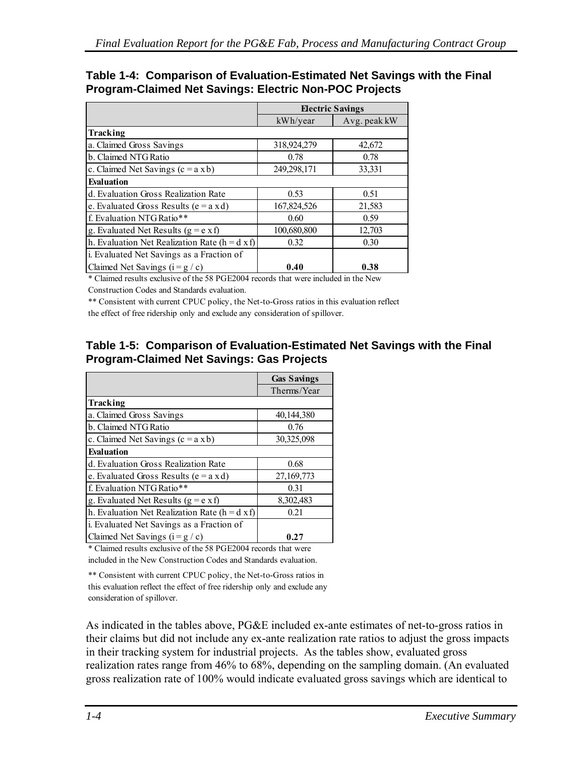#### <span id="page-13-0"></span>**Table 1-4: Comparison of Evaluation-Estimated Net Savings with the Final Program-Claimed Net Savings: Electric Non-POC Projects**

|                                                         | <b>Electric Savings</b> |              |
|---------------------------------------------------------|-------------------------|--------------|
|                                                         | kWh/year                | Avg. peak kW |
| Tracking                                                |                         |              |
| a. Claimed Gross Savings                                | 318,924,279             | 42,672       |
| b. Claimed NTG Ratio                                    | 0.78                    | 0.78         |
| c. Claimed Net Savings $(c = a x b)$                    | 249,298,171             | 33,331       |
| <b>Evaluation</b>                                       |                         |              |
| d. Evaluation Gross Realization Rate                    | 0.53                    | 0.51         |
| e. Evaluated Gross Results ( $e = a x d$ )              | 167,824,526             | 21,583       |
| f. Evaluation NTG Ratio**                               | 0.60                    | 0.59         |
| g. Evaluated Net Results ( $g = e \times f$ )           | 100,680,800             | 12,703       |
| h. Evaluation Net Realization Rate ( $h = d \times f$ ) | 0.32                    | 0.30         |
| i. Evaluated Net Savings as a Fraction of               |                         |              |
| Claimed Net Savings $(i = g / c)$                       | 0.40                    | 0.38         |

\* Claimed results exclusive of the 58 PGE2004 records that were included in the New Construction Codes and Standards evaluation.

\*\* Consistent with current CPUC policy, the Net-to-Gross ratios in this evaluation reflect the effect of free ridership only and exclude any consideration of spillover.

#### **Table 1-5: Comparison of Evaluation-Estimated Net Savings with the Final Program-Claimed Net Savings: Gas Projects**

|                                                         | <b>Gas Savings</b> |
|---------------------------------------------------------|--------------------|
|                                                         | Therms/Year        |
| Tracking                                                |                    |
| a. Claimed Gross Savings                                | 40,144,380         |
| b. Claimed NTG Ratio                                    | 0.76               |
| c. Claimed Net Savings $(c = a x b)$                    | 30,325,098         |
| <b>Evaluation</b>                                       |                    |
| d. Evaluation Gross Realization Rate                    | 0.68               |
| e. Evaluated Gross Results (e = $a$ x d)                | 27,169,773         |
| f. Evaluation NTG Ratio**                               | 0.31               |
| g. Evaluated Net Results ( $g = e \times f$ )           | 8,302,483          |
| h. Evaluation Net Realization Rate ( $h = d \times f$ ) | 0.21               |
| i. Evaluated Net Savings as a Fraction of               |                    |
| Claimed Net Savings $(i = g / c)$                       | 0.27               |

\* Claimed results exclusive of the 58 PGE2004 records that were included in the New Construction Codes and Standards evaluation.

\*\* Consistent with current CPUC policy, the Net-to-Gross ratios in this evaluation reflect the effect of free ridership only and exclude any consideration of spillover.

As indicated in the tables above, PG&E included ex-ante estimates of net-to-gross ratios in their claims but did not include any ex-ante realization rate ratios to adjust the gross impacts in their tracking system for industrial projects. As the tables show, evaluated gross realization rates range from 46% to 68%, depending on the sampling domain. (An evaluated gross realization rate of 100% would indicate evaluated gross savings which are identical to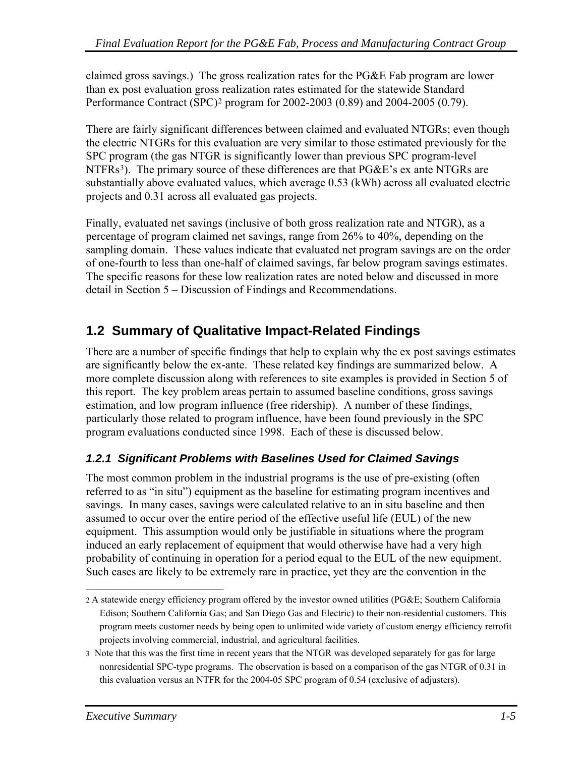<span id="page-14-0"></span>claimed gross savings.) The gross realization rates for the PG&E Fab program are lower than ex post evaluation gross realization rates estimated for the statewide Standard Performance Contract (SPC)[2](#page-14-0) program for 2002-2003 (0.89) and 2004-2005 (0.79).

There are fairly significant differences between claimed and evaluated NTGRs; even though the electric NTGRs for this evaluation are very similar to those estimated previously for the SPC program (the gas NTGR is significantly lower than previous SPC program-level NTFRs<sup>3</sup>). The primary source of these differences are that  $P G \& E$ 's ex ante NTGRs are substantially above evaluated values, which average 0.53 (kWh) across all evaluated electric projects and 0.31 across all evaluated gas projects.

Finally, evaluated net savings (inclusive of both gross realization rate and NTGR), as a percentage of program claimed net savings, range from 26% to 40%, depending on the sampling domain. These values indicate that evaluated net program savings are on the order of one-fourth to less than one-half of claimed savings, far below program savings estimates. The specific reasons for these low realization rates are noted below and discussed in more detail in Section 5 – Discussion of Findings and Recommendations.

## **1.2 Summary of Qualitative Impact-Related Findings**

There are a number of specific findings that help to explain why the ex post savings estimates are significantly below the ex-ante. These related key findings are summarized below. A more complete discussion along with references to site examples is provided in Section 5 of this report. The key problem areas pertain to assumed baseline conditions, gross savings estimation, and low program influence (free ridership). A number of these findings, particularly those related to program influence, have been found previously in the SPC program evaluations conducted since 1998. Each of these is discussed below.

#### *1.2.1 Significant Problems with Baselines Used for Claimed Savings*

The most common problem in the industrial programs is the use of pre-existing (often referred to as "in situ") equipment as the baseline for estimating program incentives and savings. In many cases, savings were calculated relative to an in situ baseline and then assumed to occur over the entire period of the effective useful life (EUL) of the new equipment. This assumption would only be justifiable in situations where the program induced an early replacement of equipment that would otherwise have had a very high probability of continuing in operation for a period equal to the EUL of the new equipment. Such cases are likely to be extremely rare in practice, yet they are the convention in the

 $\overline{a}$ 2 A statewide energy efficiency program offered by the investor owned utilities (PG&E; Southern California Edison; Southern California Gas; and San Diego Gas and Electric) to their non-residential customers. This program meets customer needs by being open to unlimited wide variety of custom energy efficiency retrofit projects involving commercial, industrial, and agricultural facilities.

<sup>3</sup> Note that this was the first time in recent years that the NTGR was developed separately for gas for large nonresidential SPC-type programs. The observation is based on a comparison of the gas NTGR of 0.31 in this evaluation versus an NTFR for the 2004-05 SPC program of 0.54 (exclusive of adjusters).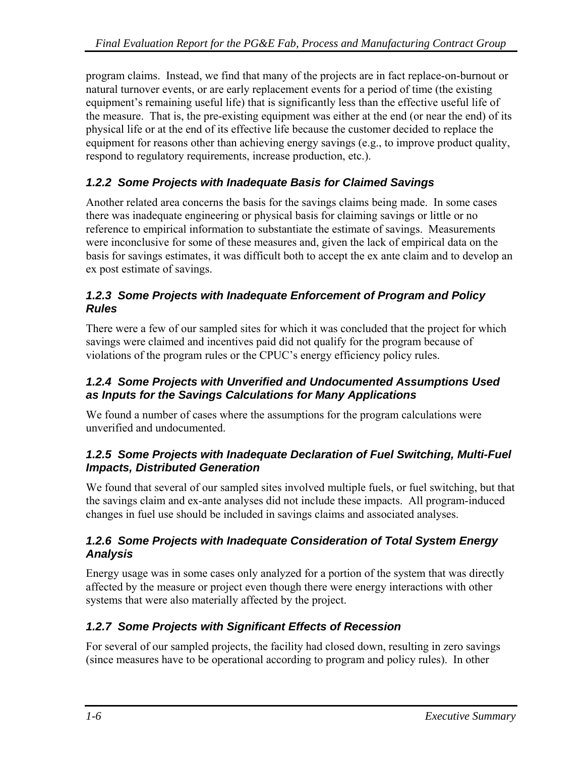<span id="page-15-0"></span>program claims. Instead, we find that many of the projects are in fact replace-on-burnout or natural turnover events, or are early replacement events for a period of time (the existing equipment's remaining useful life) that is significantly less than the effective useful life of the measure. That is, the pre-existing equipment was either at the end (or near the end) of its physical life or at the end of its effective life because the customer decided to replace the equipment for reasons other than achieving energy savings (e.g., to improve product quality, respond to regulatory requirements, increase production, etc.).

#### *1.2.2 Some Projects with Inadequate Basis for Claimed Savings*

Another related area concerns the basis for the savings claims being made. In some cases there was inadequate engineering or physical basis for claiming savings or little or no reference to empirical information to substantiate the estimate of savings. Measurements were inconclusive for some of these measures and, given the lack of empirical data on the basis for savings estimates, it was difficult both to accept the ex ante claim and to develop an ex post estimate of savings.

#### *1.2.3 Some Projects with Inadequate Enforcement of Program and Policy Rules*

There were a few of our sampled sites for which it was concluded that the project for which savings were claimed and incentives paid did not qualify for the program because of violations of the program rules or the CPUC's energy efficiency policy rules.

#### *1.2.4 Some Projects with Unverified and Undocumented Assumptions Used as Inputs for the Savings Calculations for Many Applications*

We found a number of cases where the assumptions for the program calculations were unverified and undocumented.

#### *1.2.5 Some Projects with Inadequate Declaration of Fuel Switching, Multi-Fuel Impacts, Distributed Generation*

We found that several of our sampled sites involved multiple fuels, or fuel switching, but that the savings claim and ex-ante analyses did not include these impacts. All program-induced changes in fuel use should be included in savings claims and associated analyses.

#### *1.2.6 Some Projects with Inadequate Consideration of Total System Energy Analysis*

Energy usage was in some cases only analyzed for a portion of the system that was directly affected by the measure or project even though there were energy interactions with other systems that were also materially affected by the project.

#### *1.2.7 Some Projects with Significant Effects of Recession*

For several of our sampled projects, the facility had closed down, resulting in zero savings (since measures have to be operational according to program and policy rules). In other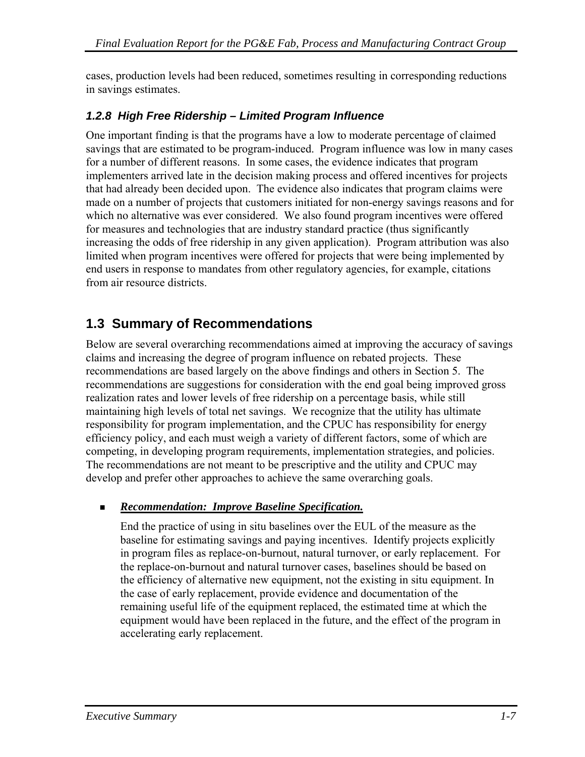<span id="page-16-0"></span>cases, production levels had been reduced, sometimes resulting in corresponding reductions in savings estimates.

#### *1.2.8 High Free Ridership – Limited Program Influence*

One important finding is that the programs have a low to moderate percentage of claimed savings that are estimated to be program-induced. Program influence was low in many cases for a number of different reasons. In some cases, the evidence indicates that program implementers arrived late in the decision making process and offered incentives for projects that had already been decided upon. The evidence also indicates that program claims were made on a number of projects that customers initiated for non-energy savings reasons and for which no alternative was ever considered. We also found program incentives were offered for measures and technologies that are industry standard practice (thus significantly increasing the odds of free ridership in any given application). Program attribution was also limited when program incentives were offered for projects that were being implemented by end users in response to mandates from other regulatory agencies, for example, citations from air resource districts.

### **1.3 Summary of Recommendations**

Below are several overarching recommendations aimed at improving the accuracy of savings claims and increasing the degree of program influence on rebated projects. These recommendations are based largely on the above findings and others in Section 5. The recommendations are suggestions for consideration with the end goal being improved gross realization rates and lower levels of free ridership on a percentage basis, while still maintaining high levels of total net savings. We recognize that the utility has ultimate responsibility for program implementation, and the CPUC has responsibility for energy efficiency policy, and each must weigh a variety of different factors, some of which are competing, in developing program requirements, implementation strategies, and policies. The recommendations are not meant to be prescriptive and the utility and CPUC may develop and prefer other approaches to achieve the same overarching goals.

#### *Recommendation: Improve Baseline Specification.*

 End the practice of using in situ baselines over the EUL of the measure as the baseline for estimating savings and paying incentives. Identify projects explicitly in program files as replace-on-burnout, natural turnover, or early replacement. For the replace-on-burnout and natural turnover cases, baselines should be based on the efficiency of alternative new equipment, not the existing in situ equipment. In the case of early replacement, provide evidence and documentation of the remaining useful life of the equipment replaced, the estimated time at which the equipment would have been replaced in the future, and the effect of the program in accelerating early replacement.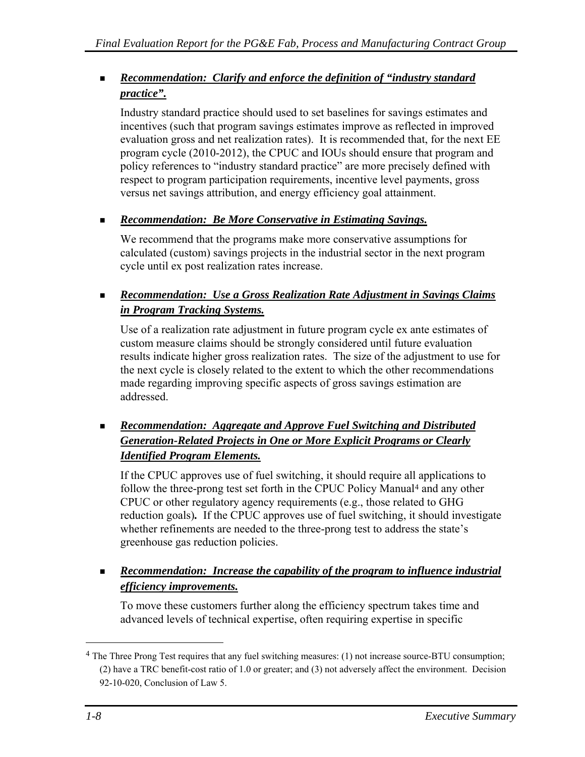#### <span id="page-17-0"></span> *Recommendation: Clarify and enforce the definition of "industry standard practice".*

 Industry standard practice should used to set baselines for savings estimates and incentives (such that program savings estimates improve as reflected in improved evaluation gross and net realization rates). It is recommended that, for the next EE program cycle (2010-2012), the CPUC and IOUs should ensure that program and policy references to "industry standard practice" are more precisely defined with respect to program participation requirements, incentive level payments, gross versus net savings attribution, and energy efficiency goal attainment.

#### *Recommendation: Be More Conservative in Estimating Savings.*

 We recommend that the programs make more conservative assumptions for calculated (custom) savings projects in the industrial sector in the next program cycle until ex post realization rates increase.

#### *Recommendation: Use a Gross Realization Rate Adjustment in Savings Claims in Program Tracking Systems.*

 Use of a realization rate adjustment in future program cycle ex ante estimates of custom measure claims should be strongly considered until future evaluation results indicate higher gross realization rates. The size of the adjustment to use for the next cycle is closely related to the extent to which the other recommendations made regarding improving specific aspects of gross savings estimation are addressed.

#### *Recommendation: Aggregate and Approve Fuel Switching and Distributed Generation-Related Projects in One or More Explicit Programs or Clearly Identified Program Elements.*

 If the CPUC approves use of fuel switching, it should require all applications to follow the three-prong test set forth in the CPUC Policy Manual[4](#page-17-0) and any other CPUC or other regulatory agency requirements (e.g., those related to GHG reduction goals)*.* If the CPUC approves use of fuel switching, it should investigate whether refinements are needed to the three-prong test to address the state's greenhouse gas reduction policies.

#### **Recommendation:** Increase the capability of the program to influence industrial *efficiency improvements.*

 To move these customers further along the efficiency spectrum takes time and advanced levels of technical expertise, often requiring expertise in specific

 $\overline{a}$ 

<sup>4</sup> The Three Prong Test requires that any fuel switching measures: (1) not increase source-BTU consumption; (2) have a TRC benefit-cost ratio of 1.0 or greater; and (3) not adversely affect the environment. Decision 92-10-020, Conclusion of Law 5.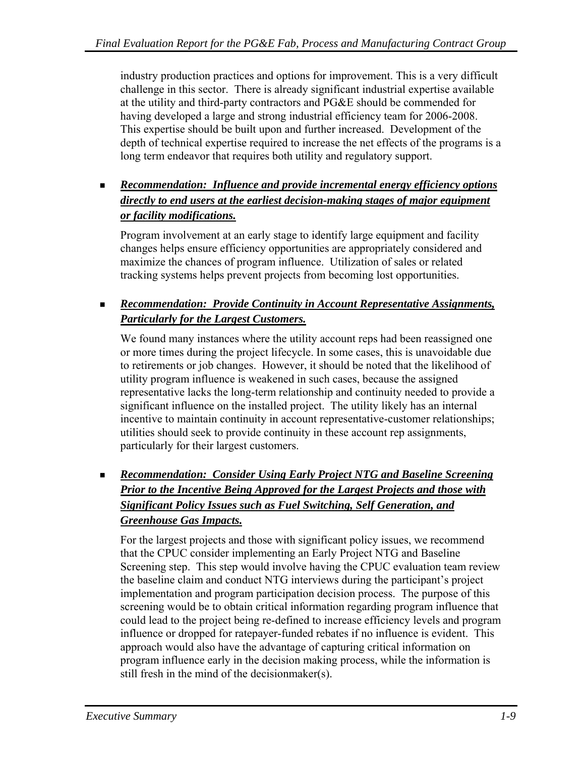industry production practices and options for improvement. This is a very difficult challenge in this sector. There is already significant industrial expertise available at the utility and third-party contractors and PG&E should be commended for having developed a large and strong industrial efficiency team for 2006-2008. This expertise should be built upon and further increased. Development of the depth of technical expertise required to increase the net effects of the programs is a long term endeavor that requires both utility and regulatory support.

#### *Recommendation: Influence and provide incremental energy efficiency options directly to end users at the earliest decision-making stages of major equipment or facility modifications.*

 Program involvement at an early stage to identify large equipment and facility changes helps ensure efficiency opportunities are appropriately considered and maximize the chances of program influence. Utilization of sales or related tracking systems helps prevent projects from becoming lost opportunities.

#### *Recommendation: Provide Continuity in Account Representative Assignments, Particularly for the Largest Customers.*

 We found many instances where the utility account reps had been reassigned one or more times during the project lifecycle. In some cases, this is unavoidable due to retirements or job changes. However, it should be noted that the likelihood of utility program influence is weakened in such cases, because the assigned representative lacks the long-term relationship and continuity needed to provide a significant influence on the installed project. The utility likely has an internal incentive to maintain continuity in account representative-customer relationships; utilities should seek to provide continuity in these account rep assignments, particularly for their largest customers.

#### *Recommendation: Consider Using Early Project NTG and Baseline Screening Prior to the Incentive Being Approved for the Largest Projects and those with Significant Policy Issues such as Fuel Switching, Self Generation, and Greenhouse Gas Impacts.*

 For the largest projects and those with significant policy issues, we recommend that the CPUC consider implementing an Early Project NTG and Baseline Screening step. This step would involve having the CPUC evaluation team review the baseline claim and conduct NTG interviews during the participant's project implementation and program participation decision process. The purpose of this screening would be to obtain critical information regarding program influence that could lead to the project being re-defined to increase efficiency levels and program influence or dropped for ratepayer-funded rebates if no influence is evident. This approach would also have the advantage of capturing critical information on program influence early in the decision making process, while the information is still fresh in the mind of the decisionmaker(s).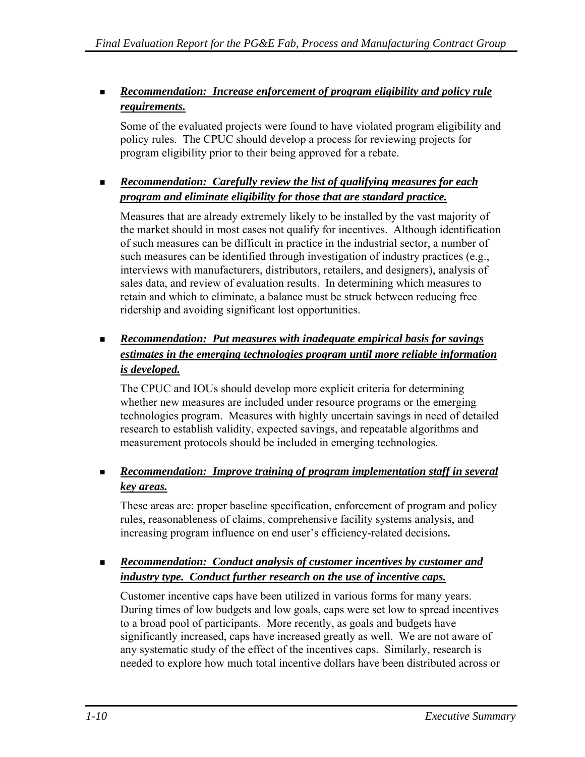#### *Recommendation: Increase enforcement of program eligibility and policy rule requirements.*

 Some of the evaluated projects were found to have violated program eligibility and policy rules. The CPUC should develop a process for reviewing projects for program eligibility prior to their being approved for a rebate.

#### *Recommendation: Carefully review the list of qualifying measures for each program and eliminate eligibility for those that are standard practice.*

 Measures that are already extremely likely to be installed by the vast majority of the market should in most cases not qualify for incentives. Although identification of such measures can be difficult in practice in the industrial sector, a number of such measures can be identified through investigation of industry practices (e.g., interviews with manufacturers, distributors, retailers, and designers), analysis of sales data, and review of evaluation results. In determining which measures to retain and which to eliminate, a balance must be struck between reducing free ridership and avoiding significant lost opportunities.

#### *Recommendation: Put measures with inadequate empirical basis for savings estimates in the emerging technologies program until more reliable information is developed.*

 The CPUC and IOUs should develop more explicit criteria for determining whether new measures are included under resource programs or the emerging technologies program. Measures with highly uncertain savings in need of detailed research to establish validity, expected savings, and repeatable algorithms and measurement protocols should be included in emerging technologies.

#### *Recommendation: Improve training of program implementation staff in several key areas.*

 These areas are: proper baseline specification, enforcement of program and policy rules, reasonableness of claims, comprehensive facility systems analysis, and increasing program influence on end user's efficiency-related decisions*.*

#### *Recommendation: Conduct analysis of customer incentives by customer and industry type. Conduct further research on the use of incentive caps.*

 Customer incentive caps have been utilized in various forms for many years. During times of low budgets and low goals, caps were set low to spread incentives to a broad pool of participants. More recently, as goals and budgets have significantly increased, caps have increased greatly as well. We are not aware of any systematic study of the effect of the incentives caps. Similarly, research is needed to explore how much total incentive dollars have been distributed across or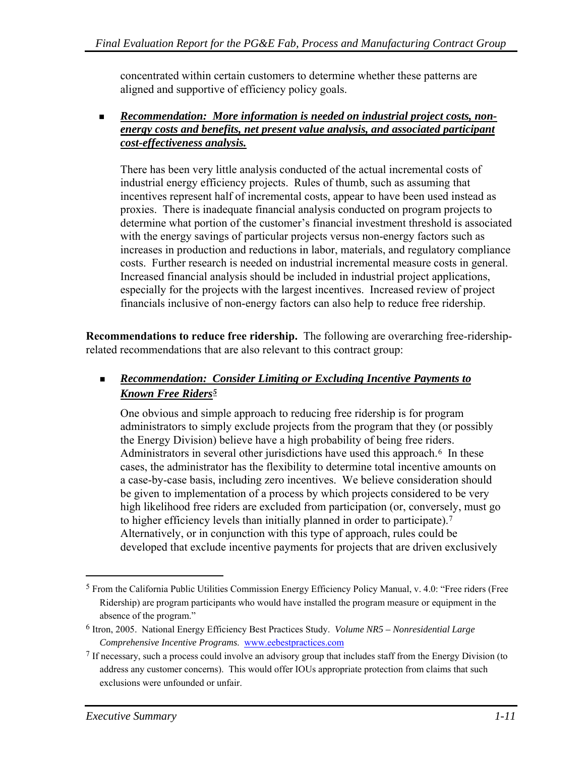<span id="page-20-0"></span>concentrated within certain customers to determine whether these patterns are aligned and supportive of efficiency policy goals.

#### *Recommendation: More information is needed on industrial project costs, nonenergy costs and benefits, net present value analysis, and associated participant cost-effectiveness analysis.*

There has been very little analysis conducted of the actual incremental costs of industrial energy efficiency projects. Rules of thumb, such as assuming that incentives represent half of incremental costs, appear to have been used instead as proxies. There is inadequate financial analysis conducted on program projects to determine what portion of the customer's financial investment threshold is associated with the energy savings of particular projects versus non-energy factors such as increases in production and reductions in labor, materials, and regulatory compliance costs. Further research is needed on industrial incremental measure costs in general. Increased financial analysis should be included in industrial project applications, especially for the projects with the largest incentives. Increased review of project financials inclusive of non-energy factors can also help to reduce free ridership.

**Recommendations to reduce free ridership.** The following are overarching free-ridershiprelated recommendations that are also relevant to this contract group:

#### *Recommendation: Consider Limiting or Excluding Incentive Payments to Known Free Riders[5](#page-20-0)*

 One obvious and simple approach to reducing free ridership is for program administrators to simply exclude projects from the program that they (or possibly the Energy Division) believe have a high probability of being free riders. Administrators in several other jurisdictions have used this approach.<sup>6</sup> In these cases, the administrator has the flexibility to determine total incentive amounts on a case-by-case basis, including zero incentives. We believe consideration should be given to implementation of a process by which projects considered to be very high likelihood free riders are excluded from participation (or, conversely, must go to higher efficiency levels than initially planned in order to participate).[7](#page-20-0) Alternatively, or in conjunction with this type of approach, rules could be developed that exclude incentive payments for projects that are driven exclusively

 $\overline{a}$ 

<sup>5</sup> From the California Public Utilities Commission Energy Efficiency Policy Manual, v. 4.0: "Free riders (Free Ridership) are program participants who would have installed the program measure or equipment in the absence of the program."

<sup>6</sup> Itron, 2005. National Energy Efficiency Best Practices Study. *Volume NR5 – Nonresidential Large Comprehensive Incentive Programs*. www.eebestpractices.com

<sup>7</sup> If necessary, such a process could involve an advisory group that includes staff from the Energy Division (to address any customer concerns). This would offer IOUs appropriate protection from claims that such exclusions were unfounded or unfair.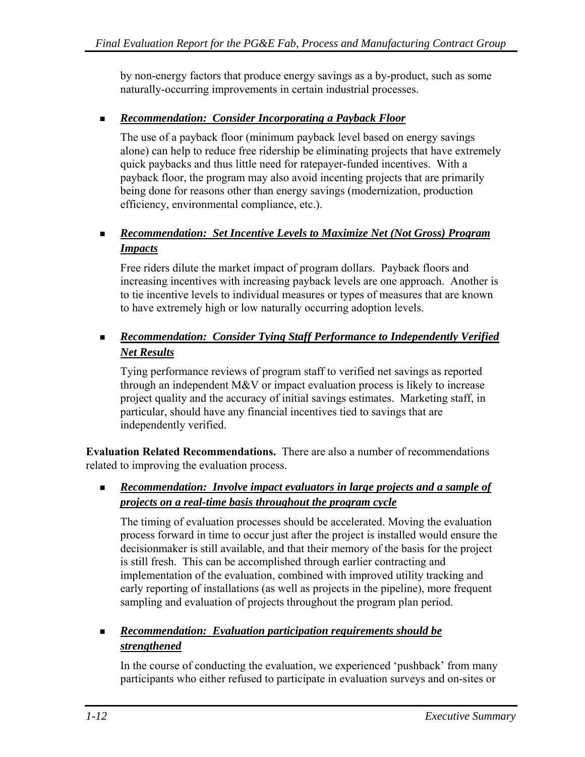by non-energy factors that produce energy savings as a by-product, such as some naturally-occurring improvements in certain industrial processes.

#### *Recommendation: Consider Incorporating a Payback Floor*

 The use of a payback floor (minimum payback level based on energy savings alone) can help to reduce free ridership be eliminating projects that have extremely quick paybacks and thus little need for ratepayer-funded incentives. With a payback floor, the program may also avoid incenting projects that are primarily being done for reasons other than energy savings (modernization, production efficiency, environmental compliance, etc.).

#### *Recommendation: Set Incentive Levels to Maximize Net (Not Gross) Program Impacts*

 Free riders dilute the market impact of program dollars. Payback floors and increasing incentives with increasing payback levels are one approach. Another is to tie incentive levels to individual measures or types of measures that are known to have extremely high or low naturally occurring adoption levels.

#### *Recommendation: Consider Tying Staff Performance to Independently Verified Net Results*

 Tying performance reviews of program staff to verified net savings as reported through an independent M&V or impact evaluation process is likely to increase project quality and the accuracy of initial savings estimates. Marketing staff, in particular, should have any financial incentives tied to savings that are independently verified.

**Evaluation Related Recommendations.** There are also a number of recommendations related to improving the evaluation process.

#### *Recommendation: Involve impact evaluators in large projects and a sample of projects on a real-time basis throughout the program cycle*

 The timing of evaluation processes should be accelerated. Moving the evaluation process forward in time to occur just after the project is installed would ensure the decisionmaker is still available, and that their memory of the basis for the project is still fresh. This can be accomplished through earlier contracting and implementation of the evaluation, combined with improved utility tracking and early reporting of installations (as well as projects in the pipeline), more frequent sampling and evaluation of projects throughout the program plan period.

#### *Recommendation: Evaluation participation requirements should be strengthened*

 In the course of conducting the evaluation, we experienced 'pushback' from many participants who either refused to participate in evaluation surveys and on-sites or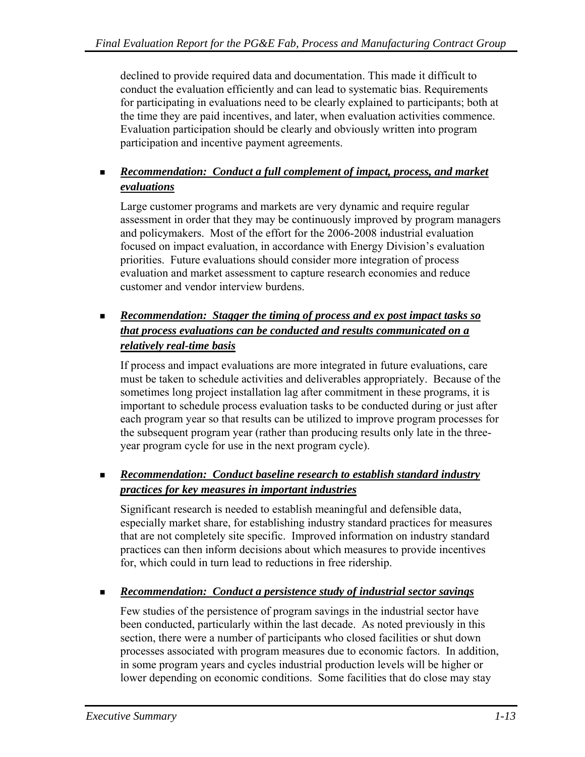declined to provide required data and documentation. This made it difficult to conduct the evaluation efficiently and can lead to systematic bias. Requirements for participating in evaluations need to be clearly explained to participants; both at the time they are paid incentives, and later, when evaluation activities commence. Evaluation participation should be clearly and obviously written into program participation and incentive payment agreements.

#### *Recommendation: Conduct a full complement of impact, process, and market evaluations*

 Large customer programs and markets are very dynamic and require regular assessment in order that they may be continuously improved by program managers and policymakers. Most of the effort for the 2006-2008 industrial evaluation focused on impact evaluation, in accordance with Energy Division's evaluation priorities. Future evaluations should consider more integration of process evaluation and market assessment to capture research economies and reduce customer and vendor interview burdens.

#### **Recommendation:** Stagger the timing of process and ex post impact tasks so *that process evaluations can be conducted and results communicated on a relatively real-time basis*

 If process and impact evaluations are more integrated in future evaluations, care must be taken to schedule activities and deliverables appropriately. Because of the sometimes long project installation lag after commitment in these programs, it is important to schedule process evaluation tasks to be conducted during or just after each program year so that results can be utilized to improve program processes for the subsequent program year (rather than producing results only late in the threeyear program cycle for use in the next program cycle).

#### *Recommendation: Conduct baseline research to establish standard industry practices for key measures in important industries*

 Significant research is needed to establish meaningful and defensible data, especially market share, for establishing industry standard practices for measures that are not completely site specific. Improved information on industry standard practices can then inform decisions about which measures to provide incentives for, which could in turn lead to reductions in free ridership.

#### *Recommendation: Conduct a persistence study of industrial sector savings*

 Few studies of the persistence of program savings in the industrial sector have been conducted, particularly within the last decade. As noted previously in this section, there were a number of participants who closed facilities or shut down processes associated with program measures due to economic factors. In addition, in some program years and cycles industrial production levels will be higher or lower depending on economic conditions. Some facilities that do close may stay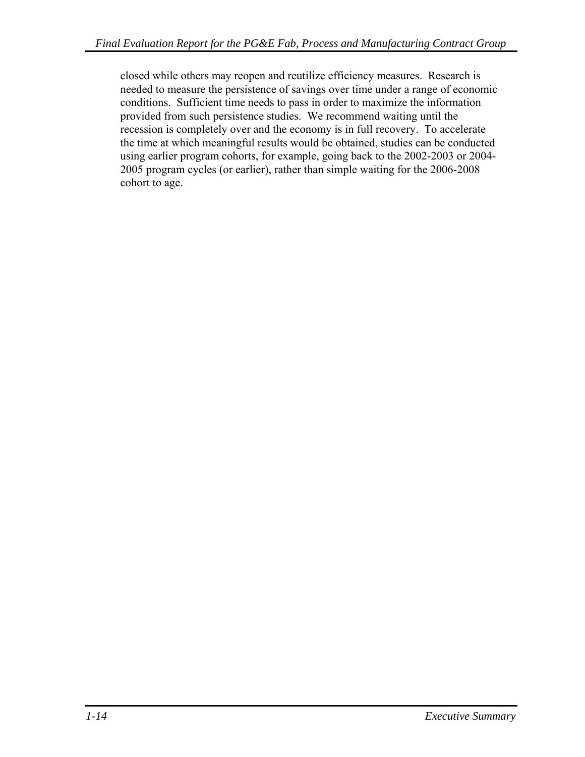closed while others may reopen and reutilize efficiency measures. Research is needed to measure the persistence of savings over time under a range of economic conditions. Sufficient time needs to pass in order to maximize the information provided from such persistence studies. We recommend waiting until the recession is completely over and the economy is in full recovery. To accelerate the time at which meaningful results would be obtained, studies can be conducted using earlier program cohorts, for example, going back to the 2002-2003 or 2004- 2005 program cycles (or earlier), rather than simple waiting for the 2006-2008 cohort to age.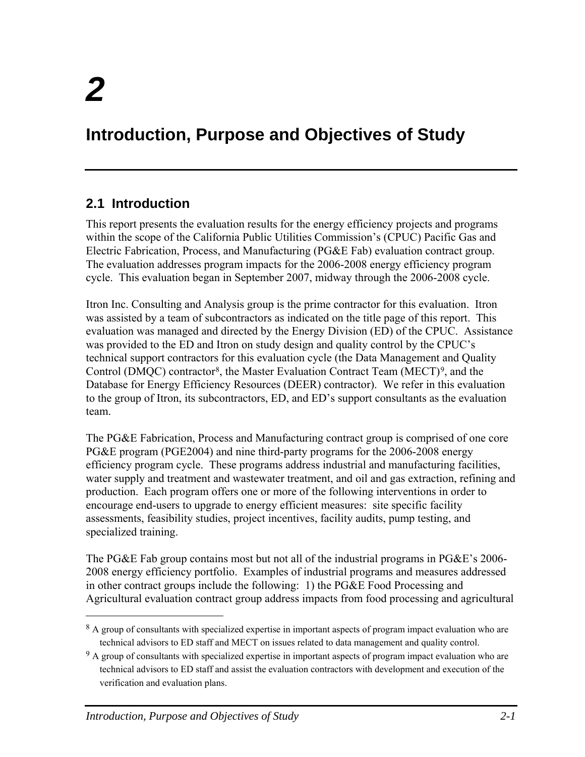1

## <span id="page-24-0"></span>**Introduction, Purpose and Objectives of Study**

### **2.1 Introduction**

This report presents the evaluation results for the energy efficiency projects and programs within the scope of the California Public Utilities Commission's (CPUC) Pacific Gas and Electric Fabrication, Process, and Manufacturing (PG&E Fab) evaluation contract group. The evaluation addresses program impacts for the 2006-2008 energy efficiency program cycle. This evaluation began in September 2007, midway through the 2006-2008 cycle.

Itron Inc. Consulting and Analysis group is the prime contractor for this evaluation. Itron was assisted by a team of subcontractors as indicated on the title page of this report. This evaluation was managed and directed by the Energy Division (ED) of the CPUC. Assistance was provided to the ED and Itron on study design and quality control by the CPUC's technical support contractors for this evaluation cycle (the Data Management and Quality Control (DMQC) contractor[8,](#page-24-0) the Master Evaluation Contract Team (MECT)[9](#page-24-0), and the Database for Energy Efficiency Resources (DEER) contractor). We refer in this evaluation to the group of Itron, its subcontractors, ED, and ED's support consultants as the evaluation team.

The PG&E Fabrication, Process and Manufacturing contract group is comprised of one core PG&E program (PGE2004) and nine third-party programs for the 2006-2008 energy efficiency program cycle. These programs address industrial and manufacturing facilities, water supply and treatment and wastewater treatment, and oil and gas extraction, refining and production. Each program offers one or more of the following interventions in order to encourage end-users to upgrade to energy efficient measures: site specific facility assessments, feasibility studies, project incentives, facility audits, pump testing, and specialized training.

The PG&E Fab group contains most but not all of the industrial programs in PG&E's 2006-2008 energy efficiency portfolio. Examples of industrial programs and measures addressed in other contract groups include the following: 1) the PG&E Food Processing and Agricultural evaluation contract group address impacts from food processing and agricultural

<sup>&</sup>lt;sup>8</sup> A group of consultants with specialized expertise in important aspects of program impact evaluation who are technical advisors to ED staff and MECT on issues related to data management and quality control.

<sup>&</sup>lt;sup>9</sup> A group of consultants with specialized expertise in important aspects of program impact evaluation who are technical advisors to ED staff and assist the evaluation contractors with development and execution of the verification and evaluation plans.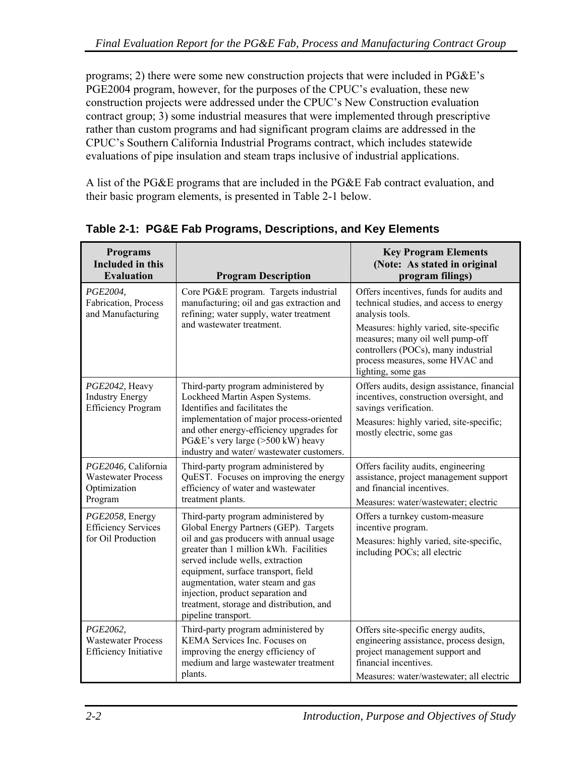<span id="page-25-0"></span>programs; 2) there were some new construction projects that were included in PG&E's PGE2004 program, however, for the purposes of the CPUC's evaluation, these new construction projects were addressed under the CPUC's New Construction evaluation contract group; 3) some industrial measures that were implemented through prescriptive rather than custom programs and had significant program claims are addressed in the CPUC's Southern California Industrial Programs contract, which includes statewide evaluations of pipe insulation and steam traps inclusive of industrial applications.

A list of the PG&E programs that are included in the PG&E Fab contract evaluation, and their basic program elements, is presented in [Table 2-1](#page-25-0) below.

| <b>Programs</b><br><b>Included in this</b><br><b>Evaluation</b>       | <b>Program Description</b>                                                                                                                                                                                                                                                                                | <b>Key Program Elements</b><br>(Note: As stated in original<br>program filings)                                                                                                     |
|-----------------------------------------------------------------------|-----------------------------------------------------------------------------------------------------------------------------------------------------------------------------------------------------------------------------------------------------------------------------------------------------------|-------------------------------------------------------------------------------------------------------------------------------------------------------------------------------------|
| PGE2004,<br>Fabrication, Process<br>and Manufacturing                 | Core PG&E program. Targets industrial<br>manufacturing; oil and gas extraction and<br>refining; water supply, water treatment<br>and wastewater treatment.                                                                                                                                                | Offers incentives, funds for audits and<br>technical studies, and access to energy<br>analysis tools.<br>Measures: highly varied, site-specific<br>measures; many oil well pump-off |
|                                                                       |                                                                                                                                                                                                                                                                                                           | controllers (POCs), many industrial<br>process measures, some HVAC and<br>lighting, some gas                                                                                        |
| PGE2042, Heavy<br><b>Industry Energy</b><br><b>Efficiency Program</b> | Third-party program administered by<br>Lockheed Martin Aspen Systems.<br>Identifies and facilitates the                                                                                                                                                                                                   | Offers audits, design assistance, financial<br>incentives, construction oversight, and<br>savings verification.                                                                     |
|                                                                       | implementation of major process-oriented<br>and other energy-efficiency upgrades for<br>PG&E's very large (>500 kW) heavy<br>industry and water/wastewater customers.                                                                                                                                     | Measures: highly varied, site-specific;<br>mostly electric, some gas                                                                                                                |
| PGE2046, California<br><b>Wastewater Process</b><br>Optimization      | Third-party program administered by<br>QuEST. Focuses on improving the energy<br>efficiency of water and wastewater<br>treatment plants.                                                                                                                                                                  | Offers facility audits, engineering<br>assistance, project management support<br>and financial incentives.                                                                          |
| Program                                                               |                                                                                                                                                                                                                                                                                                           | Measures: water/wastewater; electric<br>Offers a turnkey custom-measure                                                                                                             |
| PGE2058, Energy<br><b>Efficiency Services</b>                         | Third-party program administered by<br>Global Energy Partners (GEP). Targets                                                                                                                                                                                                                              | incentive program.                                                                                                                                                                  |
| for Oil Production                                                    | oil and gas producers with annual usage<br>greater than 1 million kWh. Facilities<br>served include wells, extraction<br>equipment, surface transport, field<br>augmentation, water steam and gas<br>injection, product separation and<br>treatment, storage and distribution, and<br>pipeline transport. | Measures: highly varied, site-specific,<br>including POCs; all electric                                                                                                             |
| PGE2062,<br><b>Wastewater Process</b><br><b>Efficiency Initiative</b> | Third-party program administered by<br>KEMA Services Inc. Focuses on<br>improving the energy efficiency of<br>medium and large wastewater treatment<br>plants.                                                                                                                                            | Offers site-specific energy audits,<br>engineering assistance, process design,<br>project management support and<br>financial incentives.                                           |
|                                                                       |                                                                                                                                                                                                                                                                                                           | Measures: water/wastewater; all electric                                                                                                                                            |

**Table 2-1: PG&E Fab Programs, Descriptions, and Key Elements**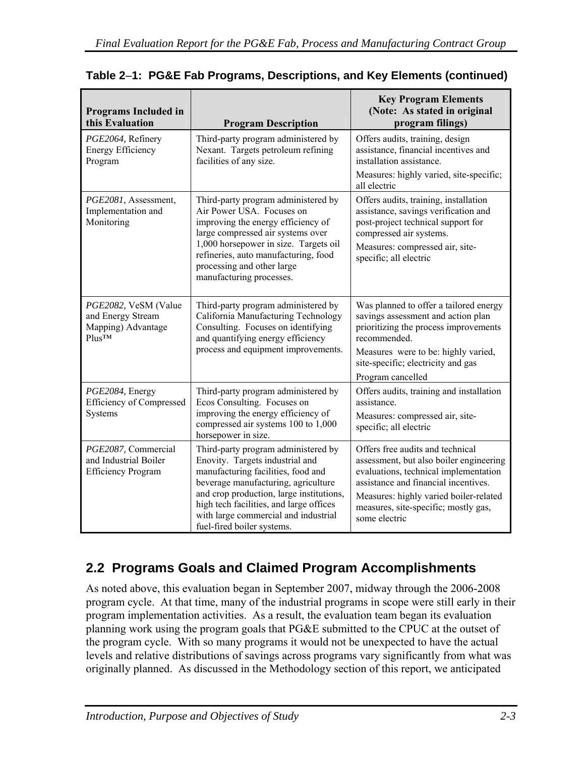| <b>Programs Included in</b><br>this Evaluation                                              | <b>Program Description</b>                                                                                                                                                                                                                                                                                       | <b>Key Program Elements</b><br>(Note: As stated in original<br>program filings)                                                                                                                                                                                 |
|---------------------------------------------------------------------------------------------|------------------------------------------------------------------------------------------------------------------------------------------------------------------------------------------------------------------------------------------------------------------------------------------------------------------|-----------------------------------------------------------------------------------------------------------------------------------------------------------------------------------------------------------------------------------------------------------------|
| PGE2064, Refinery<br><b>Energy Efficiency</b><br>Program                                    | Third-party program administered by<br>Nexant. Targets petroleum refining<br>facilities of any size.                                                                                                                                                                                                             | Offers audits, training, design<br>assistance, financial incentives and<br>installation assistance.<br>Measures: highly varied, site-specific;<br>all electric                                                                                                  |
| PGE2081, Assessment,<br>Implementation and<br>Monitoring                                    | Third-party program administered by<br>Air Power USA. Focuses on<br>improving the energy efficiency of<br>large compressed air systems over<br>1,000 horsepower in size. Targets oil<br>refineries, auto manufacturing, food<br>processing and other large<br>manufacturing processes.                           | Offers audits, training, installation<br>assistance, savings verification and<br>post-project technical support for<br>compressed air systems.<br>Measures: compressed air, site-<br>specific; all electric                                                     |
| PGE2082, VeSM (Value<br>and Energy Stream<br>Mapping) Advantage<br><b>Plus<sub>TM</sub></b> | Third-party program administered by<br>California Manufacturing Technology<br>Consulting. Focuses on identifying<br>and quantifying energy efficiency<br>process and equipment improvements.                                                                                                                     | Was planned to offer a tailored energy<br>savings assessment and action plan<br>prioritizing the process improvements<br>recommended.<br>Measures were to be: highly varied,<br>site-specific; electricity and gas<br>Program cancelled                         |
| PGE2084, Energy<br><b>Efficiency of Compressed</b><br>Systems                               | Third-party program administered by<br>Ecos Consulting. Focuses on<br>improving the energy efficiency of<br>compressed air systems 100 to 1,000<br>horsepower in size.                                                                                                                                           | Offers audits, training and installation<br>assistance.<br>Measures: compressed air, site-<br>specific; all electric                                                                                                                                            |
| PGE2087, Commercial<br>and Industrial Boiler<br><b>Efficiency Program</b>                   | Third-party program administered by<br>Enovity. Targets industrial and<br>manufacturing facilities, food and<br>beverage manufacturing, agriculture<br>and crop production, large institutions,<br>high tech facilities, and large offices<br>with large commercial and industrial<br>fuel-fired boiler systems. | Offers free audits and technical<br>assessment, but also boiler engineering<br>evaluations, technical implementation<br>assistance and financial incentives.<br>Measures: highly varied boiler-related<br>measures, site-specific; mostly gas,<br>some electric |

#### <span id="page-26-0"></span>**Table 2**–**1: PG&E Fab Programs, Descriptions, and Key Elements (continued)**

## **2.2 Programs Goals and Claimed Program Accomplishments**

As noted above, this evaluation began in September 2007, midway through the 2006-2008 program cycle. At that time, many of the industrial programs in scope were still early in their program implementation activities. As a result, the evaluation team began its evaluation planning work using the program goals that PG&E submitted to the CPUC at the outset of the program cycle. With so many programs it would not be unexpected to have the actual levels and relative distributions of savings across programs vary significantly from what was originally planned. As discussed in the Methodology section of this report, we anticipated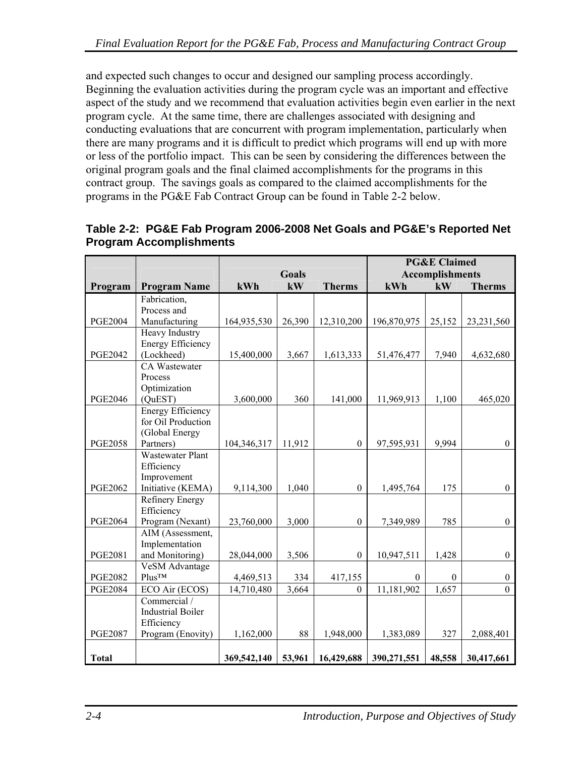<span id="page-27-0"></span>and expected such changes to occur and designed our sampling process accordingly. Beginning the evaluation activities during the program cycle was an important and effective aspect of the study and we recommend that evaluation activities begin even earlier in the next program cycle. At the same time, there are challenges associated with designing and conducting evaluations that are concurrent with program implementation, particularly when there are many programs and it is difficult to predict which programs will end up with more or less of the portfolio impact. This can be seen by considering the differences between the original program goals and the final claimed accomplishments for the programs in this contract group. The savings goals as compared to the claimed accomplishments for the programs in the PG&E Fab Contract Group can be found in [Table 2-2](#page-27-0) below.

|                |                          |              |        | <b>PG&amp;E Claimed</b> |             |                  |                  |
|----------------|--------------------------|--------------|--------|-------------------------|-------------|------------------|------------------|
|                |                          | <b>Goals</b> |        | Accomplishments         |             |                  |                  |
| Program        | <b>Program Name</b>      | kWh          | kW     | <b>Therms</b>           | kWh         | kW               | <b>Therms</b>    |
|                | Fabrication,             |              |        |                         |             |                  |                  |
|                | Process and              |              |        |                         |             |                  |                  |
| <b>PGE2004</b> | Manufacturing            | 164,935,530  | 26,390 | 12,310,200              | 196,870,975 | 25,152           | 23, 231, 560     |
|                | Heavy Industry           |              |        |                         |             |                  |                  |
|                | <b>Energy Efficiency</b> |              |        |                         |             |                  |                  |
| <b>PGE2042</b> | (Lockheed)               | 15,400,000   | 3,667  | 1,613,333               | 51,476,477  | 7,940            | 4,632,680        |
|                | <b>CA Wastewater</b>     |              |        |                         |             |                  |                  |
|                | Process                  |              |        |                         |             |                  |                  |
|                | Optimization             |              |        |                         |             |                  |                  |
| <b>PGE2046</b> | (QuEST)                  | 3,600,000    | 360    | 141,000                 | 11,969,913  | 1,100            | 465,020          |
|                | <b>Energy Efficiency</b> |              |        |                         |             |                  |                  |
|                | for Oil Production       |              |        |                         |             |                  |                  |
|                | (Global Energy           |              |        |                         |             |                  |                  |
| <b>PGE2058</b> | Partners)                | 104,346,317  | 11,912 | $\theta$                | 97,595,931  | 9,994            | $\mathbf{0}$     |
|                | <b>Wastewater Plant</b>  |              |        |                         |             |                  |                  |
|                | Efficiency               |              |        |                         |             |                  |                  |
|                | Improvement              |              |        |                         |             |                  |                  |
| <b>PGE2062</b> | Initiative (KEMA)        | 9,114,300    | 1,040  | $\theta$                | 1,495,764   | 175              | $\overline{0}$   |
|                | Refinery Energy          |              |        |                         |             |                  |                  |
|                | Efficiency               |              |        |                         |             |                  |                  |
| <b>PGE2064</b> | Program (Nexant)         | 23,760,000   | 3,000  | $\mathbf{0}$            | 7,349,989   | 785              | $\mathbf{0}$     |
|                | AIM (Assessment,         |              |        |                         |             |                  |                  |
|                | Implementation           |              |        |                         |             |                  |                  |
| <b>PGE2081</b> | and Monitoring)          | 28,044,000   | 3,506  | $\boldsymbol{0}$        | 10,947,511  | 1,428            | $\mathbf{0}$     |
|                | VeSM Advantage           |              |        |                         |             |                  |                  |
| <b>PGE2082</b> | <b>Plus<sub>TM</sub></b> | 4,469,513    | 334    | 417,155                 | $\theta$    | $\boldsymbol{0}$ | $\mathbf{0}$     |
| <b>PGE2084</b> | ECO Air (ECOS)           | 14,710,480   | 3,664  | $\Omega$                | 11,181,902  | 1,657            | $\boldsymbol{0}$ |
|                | Commercial /             |              |        |                         |             |                  |                  |
|                | <b>Industrial Boiler</b> |              |        |                         |             |                  |                  |
|                | Efficiency               |              |        |                         |             |                  |                  |
| <b>PGE2087</b> | Program (Enovity)        | 1,162,000    | 88     | 1,948,000               | 1,383,089   | 327              | 2,088,401        |
| <b>Total</b>   |                          | 369,542,140  | 53,961 | 16,429,688              | 390,271,551 | 48,558           | 30,417,661       |

#### **Table 2-2: PG&E Fab Program 2006-2008 Net Goals and PG&E's Reported Net Program Accomplishments**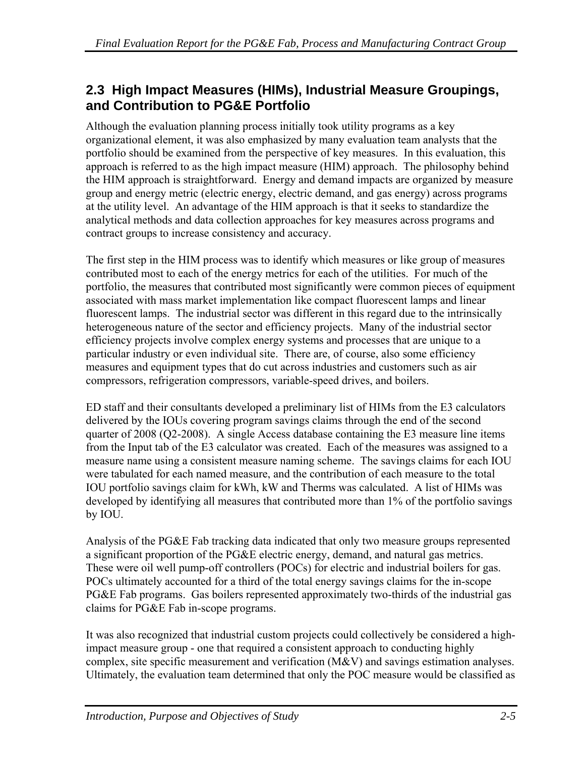### <span id="page-28-0"></span>**2.3 High Impact Measures (HIMs), Industrial Measure Groupings, and Contribution to PG&E Portfolio**

Although the evaluation planning process initially took utility programs as a key organizational element, it was also emphasized by many evaluation team analysts that the portfolio should be examined from the perspective of key measures. In this evaluation, this approach is referred to as the high impact measure (HIM) approach. The philosophy behind the HIM approach is straightforward. Energy and demand impacts are organized by measure group and energy metric (electric energy, electric demand, and gas energy) across programs at the utility level. An advantage of the HIM approach is that it seeks to standardize the analytical methods and data collection approaches for key measures across programs and contract groups to increase consistency and accuracy.

The first step in the HIM process was to identify which measures or like group of measures contributed most to each of the energy metrics for each of the utilities. For much of the portfolio, the measures that contributed most significantly were common pieces of equipment associated with mass market implementation like compact fluorescent lamps and linear fluorescent lamps. The industrial sector was different in this regard due to the intrinsically heterogeneous nature of the sector and efficiency projects. Many of the industrial sector efficiency projects involve complex energy systems and processes that are unique to a particular industry or even individual site. There are, of course, also some efficiency measures and equipment types that do cut across industries and customers such as air compressors, refrigeration compressors, variable-speed drives, and boilers.

ED staff and their consultants developed a preliminary list of HIMs from the E3 calculators delivered by the IOUs covering program savings claims through the end of the second quarter of 2008 (Q2-2008). A single Access database containing the E3 measure line items from the Input tab of the E3 calculator was created. Each of the measures was assigned to a measure name using a consistent measure naming scheme. The savings claims for each IOU were tabulated for each named measure, and the contribution of each measure to the total IOU portfolio savings claim for kWh, kW and Therms was calculated. A list of HIMs was developed by identifying all measures that contributed more than 1% of the portfolio savings by IOU.

Analysis of the PG&E Fab tracking data indicated that only two measure groups represented a significant proportion of the PG&E electric energy, demand, and natural gas metrics. These were oil well pump-off controllers (POCs) for electric and industrial boilers for gas. POCs ultimately accounted for a third of the total energy savings claims for the in-scope PG&E Fab programs. Gas boilers represented approximately two-thirds of the industrial gas claims for PG&E Fab in-scope programs.

It was also recognized that industrial custom projects could collectively be considered a highimpact measure group - one that required a consistent approach to conducting highly complex, site specific measurement and verification (M&V) and savings estimation analyses. Ultimately, the evaluation team determined that only the POC measure would be classified as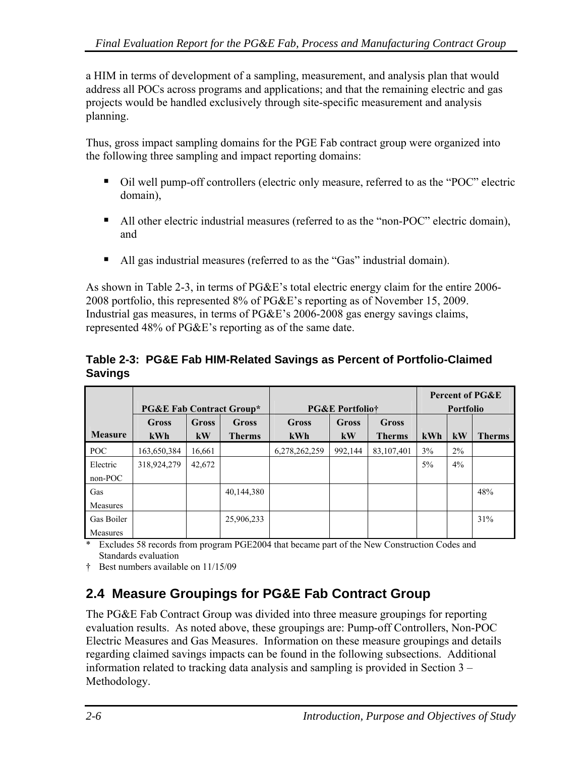<span id="page-29-0"></span>a HIM in terms of development of a sampling, measurement, and analysis plan that would address all POCs across programs and applications; and that the remaining electric and gas projects would be handled exclusively through site-specific measurement and analysis planning.

Thus, gross impact sampling domains for the PGE Fab contract group were organized into the following three sampling and impact reporting domains:

- Oil well pump-off controllers (electric only measure, referred to as the "POC" electric domain),
- All other electric industrial measures (referred to as the "non-POC" electric domain), and
- All gas industrial measures (referred to as the "Gas" industrial domain).

As shown in [Table 2-3](#page-29-0), in terms of PG&E's total electric energy claim for the entire 2006- 2008 portfolio, this represented 8% of PG&E's reporting as of November 15, 2009. Industrial gas measures, in terms of PG&E's 2006-2008 gas energy savings claims, represented 48% of PG&E's reporting as of the same date.

#### **Table 2-3: PG&E Fab HIM-Related Savings as Percent of Portfolio-Claimed Savings**

|                 | <b>PG&amp;E Fab Contract Group*</b> |             | <b>PG&amp;E Portfoliot</b> |                     |             | <b>Percent of PG&amp;E</b><br><b>Portfolio</b> |       |       |               |
|-----------------|-------------------------------------|-------------|----------------------------|---------------------|-------------|------------------------------------------------|-------|-------|---------------|
| <b>Measure</b>  | Gross<br>kWh                        | Gross<br>kW | Gross<br><b>Therms</b>     | <b>Gross</b><br>kWh | Gross<br>kW | <b>Gross</b><br><b>Therms</b>                  | kWh   | kW    | <b>Therms</b> |
| POC             | 163,650,384                         | 16.661      |                            | 6,278,262,259       | 992.144     | 83,107,401                                     | 3%    | $2\%$ |               |
| Electric        | 318,924,279                         | 42,672      |                            |                     |             |                                                | $5\%$ | 4%    |               |
| $non-POC$       |                                     |             |                            |                     |             |                                                |       |       |               |
| Gas             |                                     |             | 40,144,380                 |                     |             |                                                |       |       | 48%           |
| <b>Measures</b> |                                     |             |                            |                     |             |                                                |       |       |               |
| Gas Boiler      |                                     |             | 25,906,233                 |                     |             |                                                |       |       | 31%           |
| Measures        |                                     |             |                            |                     |             |                                                |       |       |               |

Excludes 58 records from program PGE2004 that became part of the New Construction Codes and Standards evaluation

† Best numbers available on 11/15/09

## **2.4 Measure Groupings for PG&E Fab Contract Group**

The PG&E Fab Contract Group was divided into three measure groupings for reporting evaluation results. As noted above, these groupings are: Pump-off Controllers, Non-POC Electric Measures and Gas Measures. Information on these measure groupings and details regarding claimed savings impacts can be found in the following subsections. Additional information related to tracking data analysis and sampling is provided in Section 3 – Methodology.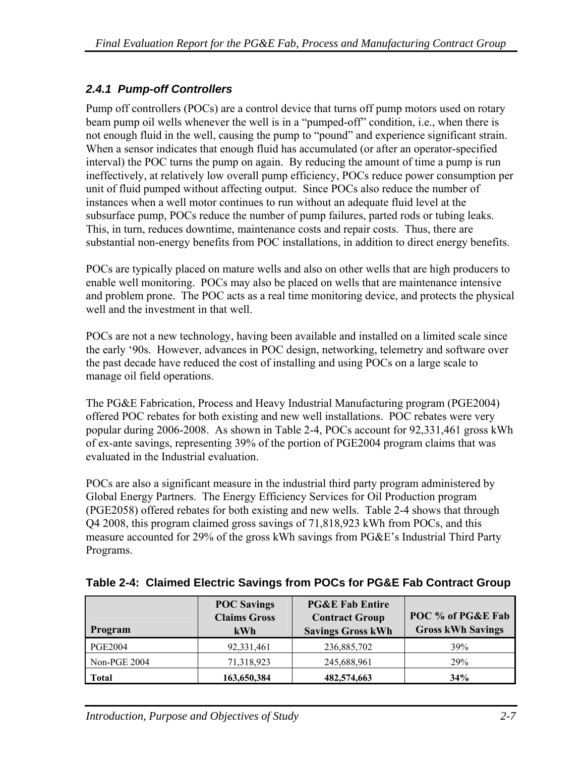#### <span id="page-30-0"></span>*2.4.1 Pump-off Controllers*

Pump off controllers (POCs) are a control device that turns off pump motors used on rotary beam pump oil wells whenever the well is in a "pumped-off" condition, i.e., when there is not enough fluid in the well, causing the pump to "pound" and experience significant strain. When a sensor indicates that enough fluid has accumulated (or after an operator-specified interval) the POC turns the pump on again. By reducing the amount of time a pump is run ineffectively, at relatively low overall pump efficiency, POCs reduce power consumption per unit of fluid pumped without affecting output. Since POCs also reduce the number of instances when a well motor continues to run without an adequate fluid level at the subsurface pump, POCs reduce the number of pump failures, parted rods or tubing leaks. This, in turn, reduces downtime, maintenance costs and repair costs. Thus, there are substantial non-energy benefits from POC installations, in addition to direct energy benefits.

POCs are typically placed on mature wells and also on other wells that are high producers to enable well monitoring. POCs may also be placed on wells that are maintenance intensive and problem prone. The POC acts as a real time monitoring device, and protects the physical well and the investment in that well.

POCs are not a new technology, having been available and installed on a limited scale since the early '90s. However, advances in POC design, networking, telemetry and software over the past decade have reduced the cost of installing and using POCs on a large scale to manage oil field operations.

The PG&E Fabrication, Process and Heavy Industrial Manufacturing program (PGE2004) offered POC rebates for both existing and new well installations. POC rebates were very popular during 2006-2008. As shown in [Table 2-4](#page-30-0), POCs account for 92,331,461 gross kWh of ex-ante savings, representing 39% of the portion of PGE2004 program claims that was evaluated in the Industrial evaluation.

POCs are also a significant measure in the industrial third party program administered by Global Energy Partners. The Energy Efficiency Services for Oil Production program (PGE2058) offered rebates for both existing and new wells. [Table 2-4](#page-30-0) shows that through Q4 2008, this program claimed gross savings of 71,818,923 kWh from POCs, and this measure accounted for 29% of the gross kWh savings from PG&E's Industrial Third Party Programs.

| Program        | <b>POC Savings</b><br><b>Claims Gross</b><br><b>kWh</b> | <b>PG&amp;E Fab Entire</b><br><b>Contract Group</b><br><b>Savings Gross kWh</b> | POC % of PG&E Fab<br><b>Gross kWh Savings</b> |
|----------------|---------------------------------------------------------|---------------------------------------------------------------------------------|-----------------------------------------------|
| <b>PGE2004</b> | 92,331,461                                              | 236,885,702                                                                     | 39%                                           |
| Non-PGE 2004   | 71,318,923                                              | 245,688,961                                                                     | 29%                                           |
| Total          | 163,650,384                                             | 482,574,663                                                                     | 34%                                           |

**Table 2-4: Claimed Electric Savings from POCs for PG&E Fab Contract Group**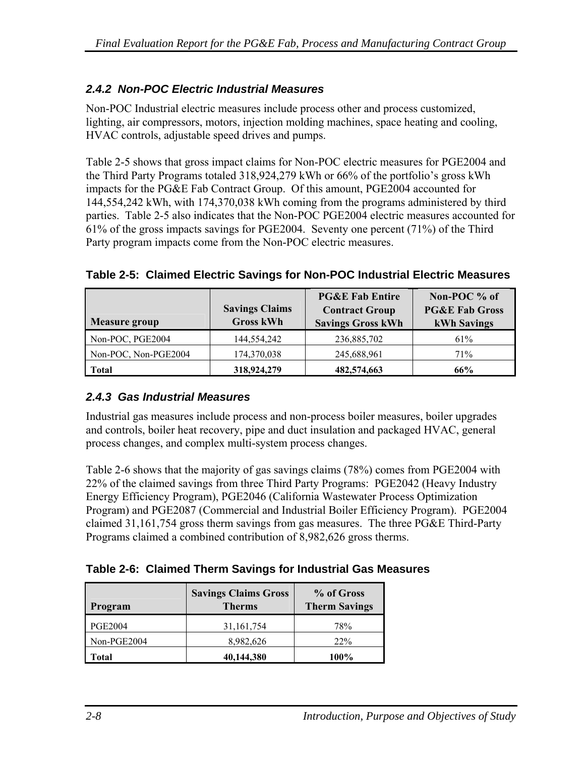#### <span id="page-31-0"></span>*2.4.2 Non-POC Electric Industrial Measures*

Non-POC Industrial electric measures include process other and process customized, lighting, air compressors, motors, injection molding machines, space heating and cooling, HVAC controls, adjustable speed drives and pumps.

[Table 2-5](#page-31-0) shows that gross impact claims for Non-POC electric measures for PGE2004 and the Third Party Programs totaled 318,924,279 kWh or 66% of the portfolio's gross kWh impacts for the PG&E Fab Contract Group. Of this amount, PGE2004 accounted for 144,554,242 kWh, with 174,370,038 kWh coming from the programs administered by third parties. [Table 2-5](#page-31-0) also indicates that the Non-POC PGE2004 electric measures accounted for 61% of the gross impacts savings for PGE2004. Seventy one percent (71%) of the Third Party program impacts come from the Non-POC electric measures.

| <b>Measure group</b> | <b>Savings Claims</b><br><b>Gross kWh</b> | <b>PG&amp;E Fab Entire</b><br><b>Contract Group</b><br><b>Savings Gross kWh</b> | Non-POC % of<br><b>PG&amp;E Fab Gross</b><br><b>kWh Savings</b> |
|----------------------|-------------------------------------------|---------------------------------------------------------------------------------|-----------------------------------------------------------------|
| Non-POC, PGE2004     | 144,554,242                               | 236,885,702                                                                     | 61%                                                             |
| Non-POC, Non-PGE2004 | 174,370,038                               | 245,688,961                                                                     | 71%                                                             |
| <b>Total</b>         | 318,924,279                               | 482,574,663                                                                     | 66%                                                             |

**Table 2-5: Claimed Electric Savings for Non-POC Industrial Electric Measures** 

#### *2.4.3 Gas Industrial Measures*

Industrial gas measures include process and non-process boiler measures, boiler upgrades and controls, boiler heat recovery, pipe and duct insulation and packaged HVAC, general process changes, and complex multi-system process changes.

[Table 2-6](#page-31-0) shows that the majority of gas savings claims (78%) comes from PGE2004 with 22% of the claimed savings from three Third Party Programs: PGE2042 (Heavy Industry Energy Efficiency Program), PGE2046 (California Wastewater Process Optimization Program) and PGE2087 (Commercial and Industrial Boiler Efficiency Program). PGE2004 claimed 31,161,754 gross therm savings from gas measures. The three PG&E Third-Party Programs claimed a combined contribution of 8,982,626 gross therms.

| Table 2-6: Claimed Therm Savings for Industrial Gas Measures |  |
|--------------------------------------------------------------|--|
|--------------------------------------------------------------|--|

| Program        | <b>Savings Claims Gross</b><br><b>Therms</b> | % of Gross<br><b>Therm Savings</b> |
|----------------|----------------------------------------------|------------------------------------|
| <b>PGE2004</b> | 31, 161, 754                                 | 78%                                |
| Non-PGE2004    | 8,982,626                                    | <b>22%</b>                         |
| Total          | 40,144,380                                   | 100%                               |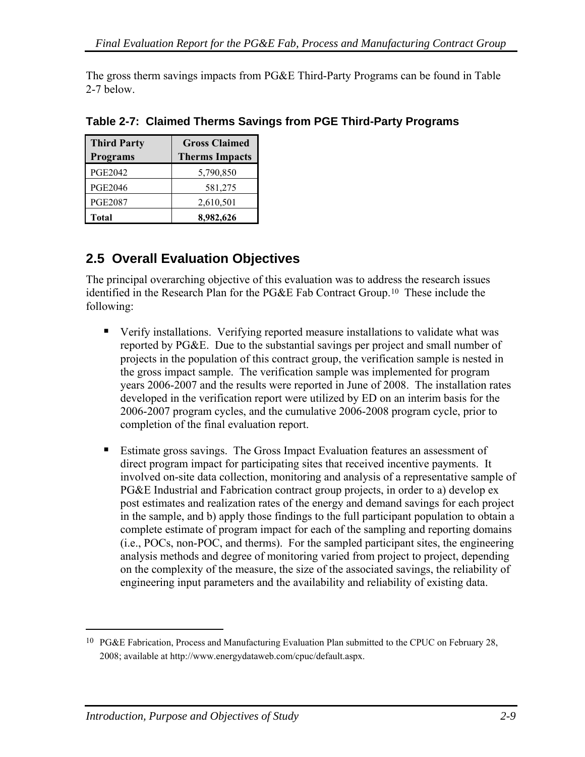<span id="page-32-0"></span>The gross therm savings impacts from PG&E Third-Party Programs can be found in [Table](#page-32-0)  [2-7](#page-32-0) below.

| <b>Third Party</b> | <b>Gross Claimed</b>  |  |  |
|--------------------|-----------------------|--|--|
| <b>Programs</b>    | <b>Therms Impacts</b> |  |  |
| <b>PGE2042</b>     | 5,790,850             |  |  |
| <b>PGE2046</b>     | 581,275               |  |  |
| <b>PGE2087</b>     | 2,610,501             |  |  |
| <b>Total</b>       | 8,982,626             |  |  |

**Table 2-7: Claimed Therms Savings from PGE Third-Party Programs** 

## **2.5 Overall Evaluation Objectives**

The principal overarching objective of this evaluation was to address the research issues identified in the Research Plan for the PG&E Fab Contract Group.[1](#page-32-0)0 These include the following:

- Verify installations. Verifying reported measure installations to validate what was reported by PG&E. Due to the substantial savings per project and small number of projects in the population of this contract group, the verification sample is nested in the gross impact sample. The verification sample was implemented for program years 2006-2007 and the results were reported in June of 2008. The installation rates developed in the verification report were utilized by ED on an interim basis for the 2006-2007 program cycles, and the cumulative 2006-2008 program cycle, prior to completion of the final evaluation report.
- Estimate gross savings. The Gross Impact Evaluation features an assessment of direct program impact for participating sites that received incentive payments. It involved on-site data collection, monitoring and analysis of a representative sample of PG&E Industrial and Fabrication contract group projects, in order to a) develop ex post estimates and realization rates of the energy and demand savings for each project in the sample, and b) apply those findings to the full participant population to obtain a complete estimate of program impact for each of the sampling and reporting domains (i.e., POCs, non-POC, and therms). For the sampled participant sites, the engineering analysis methods and degree of monitoring varied from project to project, depending on the complexity of the measure, the size of the associated savings, the reliability of engineering input parameters and the availability and reliability of existing data.

 $\overline{a}$ 

<sup>&</sup>lt;sup>10</sup> PG&E Fabrication, Process and Manufacturing Evaluation Plan submitted to the CPUC on February 28, 2008; available at http://www.energydataweb.com/cpuc/default.aspx.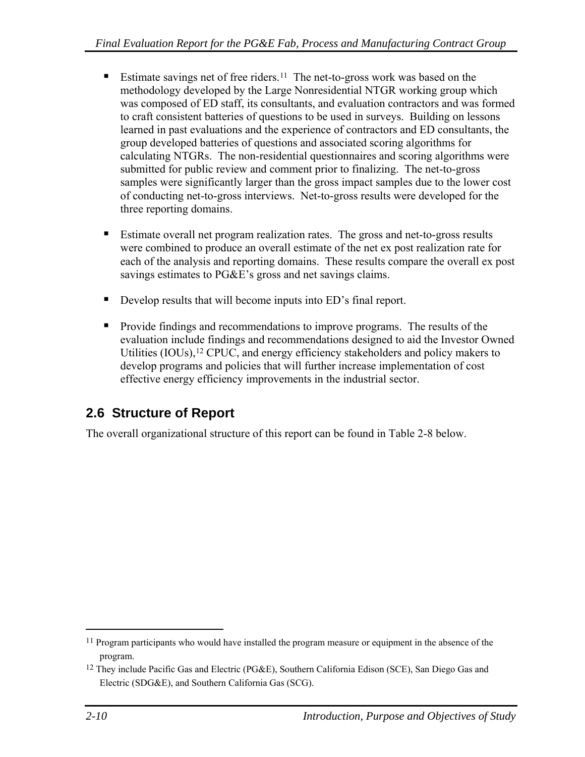- <span id="page-33-0"></span>Estimate savings net of free riders.<sup>[1](#page-33-0)1</sup> The net-to-gross work was based on the methodology developed by the Large Nonresidential NTGR working group which was composed of ED staff, its consultants, and evaluation contractors and was formed to craft consistent batteries of questions to be used in surveys. Building on lessons learned in past evaluations and the experience of contractors and ED consultants, the group developed batteries of questions and associated scoring algorithms for calculating NTGRs. The non-residential questionnaires and scoring algorithms were submitted for public review and comment prior to finalizing. The net-to-gross samples were significantly larger than the gross impact samples due to the lower cost of conducting net-to-gross interviews. Net-to-gross results were developed for the three reporting domains.
- Estimate overall net program realization rates. The gross and net-to-gross results were combined to produce an overall estimate of the net ex post realization rate for each of the analysis and reporting domains. These results compare the overall ex post savings estimates to PG&E's gross and net savings claims.
- Develop results that will become inputs into ED's final report.
- **Provide findings and recommendations to improve programs.** The results of the evaluation include findings and recommendations designed to aid the Investor Owned Utilities (IOUs),<sup>[1](#page-33-0)2</sup> CPUC, and energy efficiency stakeholders and policy makers to develop programs and policies that will further increase implementation of cost effective energy efficiency improvements in the industrial sector.

## **2.6 Structure of Report**

The overall organizational structure of this report can be found in [Table 2-8](#page-34-0) below.

 $\overline{a}$ 

<sup>&</sup>lt;sup>11</sup> Program participants who would have installed the program measure or equipment in the absence of the program.

<sup>12</sup> They include Pacific Gas and Electric (PG&E), Southern California Edison (SCE), San Diego Gas and Electric (SDG&E), and Southern California Gas (SCG).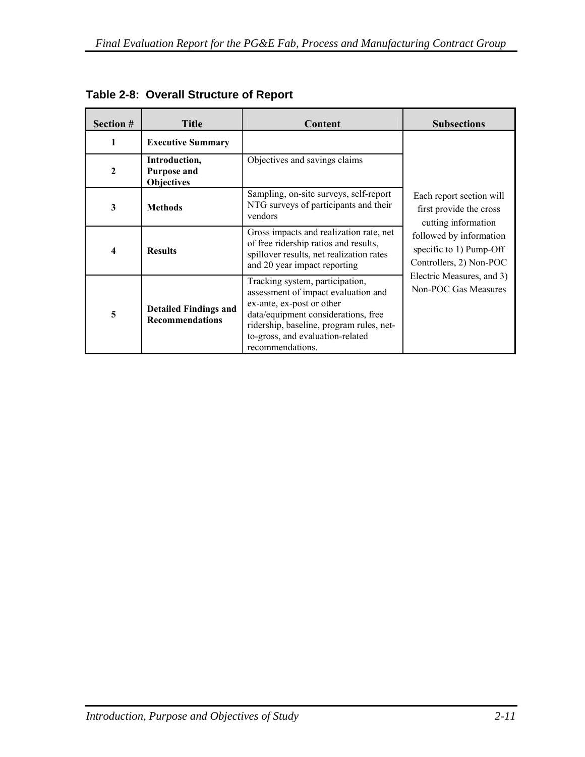| Section #               | <b>Title</b>                                             | Content                                                                                                                                                                                                                                        | <b>Subsections</b>                                                            |  |
|-------------------------|----------------------------------------------------------|------------------------------------------------------------------------------------------------------------------------------------------------------------------------------------------------------------------------------------------------|-------------------------------------------------------------------------------|--|
| $\mathbf{1}$            | <b>Executive Summary</b>                                 |                                                                                                                                                                                                                                                |                                                                               |  |
| $\mathbf{2}$            | Introduction,<br><b>Purpose and</b><br><b>Objectives</b> | Objectives and savings claims                                                                                                                                                                                                                  |                                                                               |  |
| 3                       | <b>Methods</b>                                           | Sampling, on-site surveys, self-report<br>NTG surveys of participants and their<br>vendors                                                                                                                                                     | Each report section will<br>first provide the cross<br>cutting information    |  |
| $\overline{\mathbf{4}}$ | <b>Results</b>                                           | Gross impacts and realization rate, net<br>of free ridership ratios and results,<br>spillover results, net realization rates<br>and 20 year impact reporting                                                                                   | followed by information<br>specific to 1) Pump-Off<br>Controllers, 2) Non-POC |  |
| 5                       | <b>Detailed Findings and</b><br><b>Recommendations</b>   | Tracking system, participation,<br>assessment of impact evaluation and<br>ex-ante, ex-post or other<br>data/equipment considerations, free<br>ridership, baseline, program rules, net-<br>to-gross, and evaluation-related<br>recommendations. | Electric Measures, and 3)<br>Non-POC Gas Measures                             |  |

<span id="page-34-0"></span>**Table 2-8: Overall Structure of Report**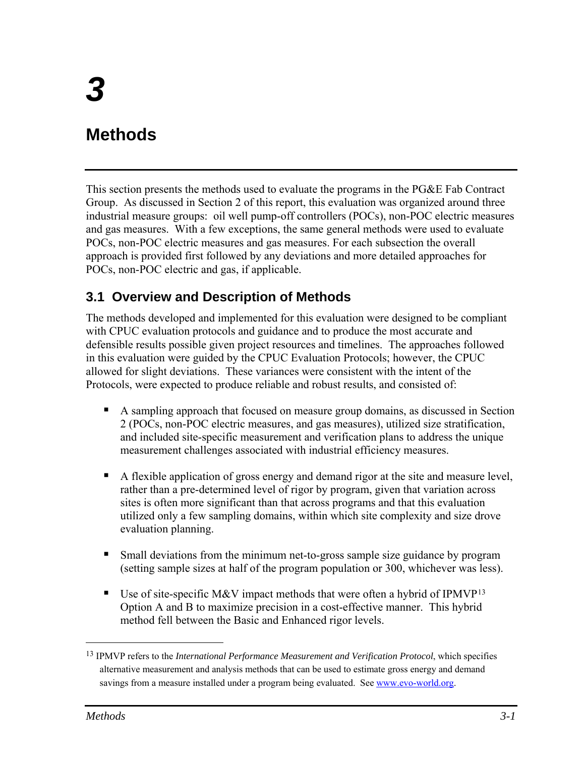# <span id="page-36-0"></span>**Methods**

This section presents the methods used to evaluate the programs in the PG&E Fab Contract Group. As discussed in Section 2 of this report, this evaluation was organized around three industrial measure groups: oil well pump-off controllers (POCs), non-POC electric measures and gas measures. With a few exceptions, the same general methods were used to evaluate POCs, non-POC electric measures and gas measures. For each subsection the overall approach is provided first followed by any deviations and more detailed approaches for POCs, non-POC electric and gas, if applicable.

## **3.1 Overview and Description of Methods**

The methods developed and implemented for this evaluation were designed to be compliant with CPUC evaluation protocols and guidance and to produce the most accurate and defensible results possible given project resources and timelines. The approaches followed in this evaluation were guided by the CPUC Evaluation Protocols; however, the CPUC allowed for slight deviations. These variances were consistent with the intent of the Protocols, were expected to produce reliable and robust results, and consisted of:

- A sampling approach that focused on measure group domains, as discussed in Section 2 (POCs, non-POC electric measures, and gas measures), utilized size stratification, and included site-specific measurement and verification plans to address the unique measurement challenges associated with industrial efficiency measures.
- A flexible application of gross energy and demand rigor at the site and measure level, rather than a pre-determined level of rigor by program, given that variation across sites is often more significant than that across programs and that this evaluation utilized only a few sampling domains, within which site complexity and size drove evaluation planning.
- Small deviations from the minimum net-to-gross sample size guidance by program (setting sample sizes at half of the program population or 300, whichever was less).
- Use of site-specific M&V impact methods that were often a hybrid of IPMVP<sup>[1](#page-36-0)3</sup> Option A and B to maximize precision in a cost-effective manner. This hybrid method fell between the Basic and Enhanced rigor levels.

<u>.</u>

<sup>13</sup> IPMVP refers to the *International Performance Measurement and Verification Protocol*, which specifies alternative measurement and analysis methods that can be used to estimate gross energy and demand savings from a measure installed under a program being evaluated. See www.evo-world.org.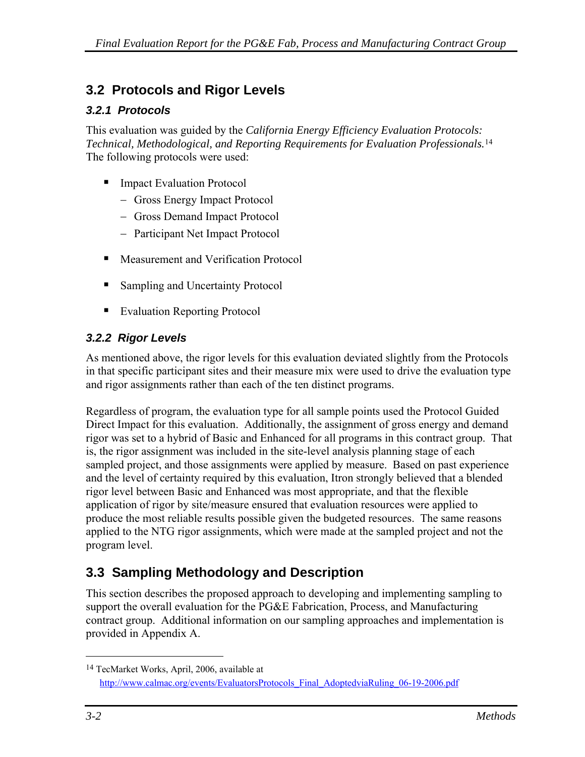## <span id="page-37-0"></span>**3.2 Protocols and Rigor Levels**

### *3.2.1 Protocols*

This evaluation was guided by the *California Energy Efficiency Evaluation Protocols: Technical, Methodological, and Reporting Requirements for Evaluation Professionals.*[14](#page-37-0) The following protocols were used:

- Impact Evaluation Protocol
	- − Gross Energy Impact Protocol
	- − Gross Demand Impact Protocol
	- − Participant Net Impact Protocol
- Measurement and Verification Protocol
- Sampling and Uncertainty Protocol
- Evaluation Reporting Protocol

## *3.2.2 Rigor Levels*

As mentioned above, the rigor levels for this evaluation deviated slightly from the Protocols in that specific participant sites and their measure mix were used to drive the evaluation type and rigor assignments rather than each of the ten distinct programs.

Regardless of program, the evaluation type for all sample points used the Protocol Guided Direct Impact for this evaluation. Additionally, the assignment of gross energy and demand rigor was set to a hybrid of Basic and Enhanced for all programs in this contract group. That is, the rigor assignment was included in the site-level analysis planning stage of each sampled project, and those assignments were applied by measure. Based on past experience and the level of certainty required by this evaluation, Itron strongly believed that a blended rigor level between Basic and Enhanced was most appropriate, and that the flexible application of rigor by site/measure ensured that evaluation resources were applied to produce the most reliable results possible given the budgeted resources. The same reasons applied to the NTG rigor assignments, which were made at the sampled project and not the program level.

## **3.3 Sampling Methodology and Description**

This section describes the proposed approach to developing and implementing sampling to support the overall evaluation for the PG&E Fabrication, Process, and Manufacturing contract group. Additional information on our sampling approaches and implementation is provided in Appendix A.

 $\overline{a}$ 

<sup>14</sup> TecMarket Works, April, 2006, available at http://www.calmac.org/events/EvaluatorsProtocols\_Final\_AdoptedviaRuling\_06-19-2006.pdf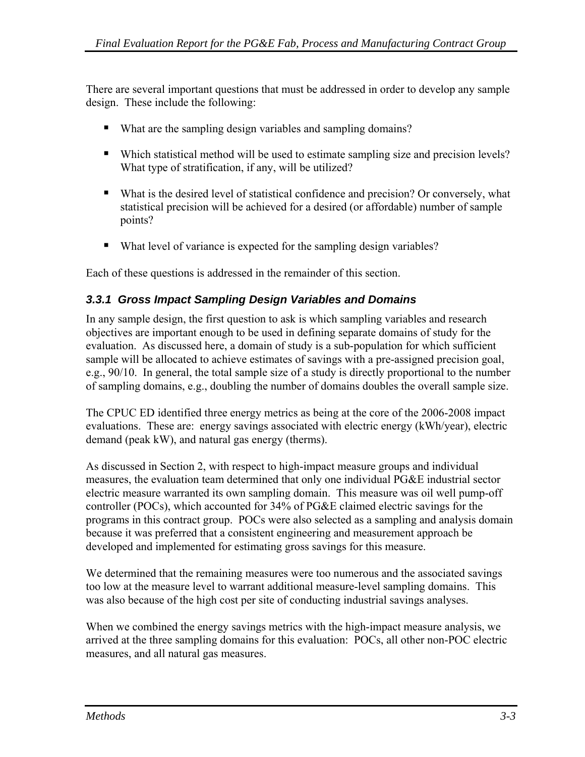There are several important questions that must be addressed in order to develop any sample design. These include the following:

- What are the sampling design variables and sampling domains?
- Which statistical method will be used to estimate sampling size and precision levels? What type of stratification, if any, will be utilized?
- What is the desired level of statistical confidence and precision? Or conversely, what statistical precision will be achieved for a desired (or affordable) number of sample points?
- What level of variance is expected for the sampling design variables?

Each of these questions is addressed in the remainder of this section.

#### *3.3.1 Gross Impact Sampling Design Variables and Domains*

In any sample design, the first question to ask is which sampling variables and research objectives are important enough to be used in defining separate domains of study for the evaluation. As discussed here, a domain of study is a sub-population for which sufficient sample will be allocated to achieve estimates of savings with a pre-assigned precision goal, e.g., 90/10. In general, the total sample size of a study is directly proportional to the number of sampling domains, e.g., doubling the number of domains doubles the overall sample size.

The CPUC ED identified three energy metrics as being at the core of the 2006-2008 impact evaluations. These are: energy savings associated with electric energy (kWh/year), electric demand (peak kW), and natural gas energy (therms).

As discussed in Section 2, with respect to high-impact measure groups and individual measures, the evaluation team determined that only one individual PG&E industrial sector electric measure warranted its own sampling domain. This measure was oil well pump-off controller (POCs), which accounted for 34% of PG&E claimed electric savings for the programs in this contract group. POCs were also selected as a sampling and analysis domain because it was preferred that a consistent engineering and measurement approach be developed and implemented for estimating gross savings for this measure.

We determined that the remaining measures were too numerous and the associated savings too low at the measure level to warrant additional measure-level sampling domains. This was also because of the high cost per site of conducting industrial savings analyses.

When we combined the energy savings metrics with the high-impact measure analysis, we arrived at the three sampling domains for this evaluation: POCs, all other non-POC electric measures, and all natural gas measures.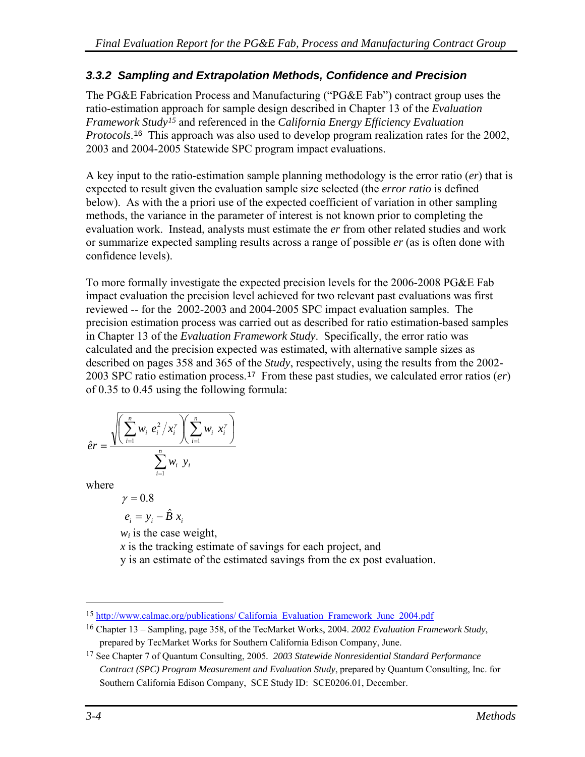### <span id="page-39-0"></span>*3.3.2 Sampling and Extrapolation Methods, Confidence and Precision*

The PG&E Fabrication Process and Manufacturing ("PG&E Fab") contract group uses the ratio-estimation approach for sample design described in Chapter 13 of the *Evaluation Framework Study[1](#page-39-0)5* and referenced in the *California Energy Efficiency Evaluation Protocols*.[16](#page-39-0) This approach was also used to develop program realization rates for the 2002, 2003 and 2004-2005 Statewide SPC program impact evaluations.

A key input to the ratio-estimation sample planning methodology is the error ratio (*er*) that is expected to result given the evaluation sample size selected (the *error ratio* is defined below). As with the a priori use of the expected coefficient of variation in other sampling methods, the variance in the parameter of interest is not known prior to completing the evaluation work. Instead, analysts must estimate the *er* from other related studies and work or summarize expected sampling results across a range of possible *er* (as is often done with confidence levels).

To more formally investigate the expected precision levels for the 2006-2008 PG&E Fab impact evaluation the precision level achieved for two relevant past evaluations was first reviewed -- for the 2002-2003 and 2004-2005 SPC impact evaluation samples. The precision estimation process was carried out as described for ratio estimation-based samples in Chapter 13 of the *Evaluation Framework Study*. Specifically, the error ratio was calculated and the precision expected was estimated, with alternative sample sizes as described on pages 358 and 365 of the *Study*, respectively, using the results from the 2002- 2003 SPC ratio estimation process.[1](#page-39-0)7 From these past studies, we calculated error ratios (*er*) of 0.35 to 0.45 using the following formula:

$$
\hat{e}r = \frac{\sqrt{\left(\sum_{i=1}^{n} w_i e_i^2 / x_i^{\gamma}\right) \left(\sum_{i=1}^{n} w_i x_i^{\gamma}\right)}}{\sum_{i=1}^{n} w_i y_i}
$$

where

$$
\gamma = 0.8
$$

 $e_i = y_i - \hat{B} x_i$ <br>*w<sub>i</sub>* is the case weight,

*x* is the tracking estimate of savings for each project, and

y is an estimate of the estimated savings from the ex post evaluation.

 $\overline{a}$ 

<sup>15</sup> http://www.calmac.org/publications/ California\_Evaluation\_Framework\_June\_2004.pdf

<sup>16</sup> Chapter 13 – Sampling, page 358, of the TecMarket Works, 2004. *2002 Evaluation Framework Study*, prepared by TecMarket Works for Southern California Edison Company, June.

<sup>17</sup> See Chapter 7 of Quantum Consulting, 2005*. 2003 Statewide Nonresidential Standard Performance Contract (SPC) Program Measurement and Evaluation Study*, prepared by Quantum Consulting, Inc. for Southern California Edison Company, SCE Study ID: SCE0206.01, December.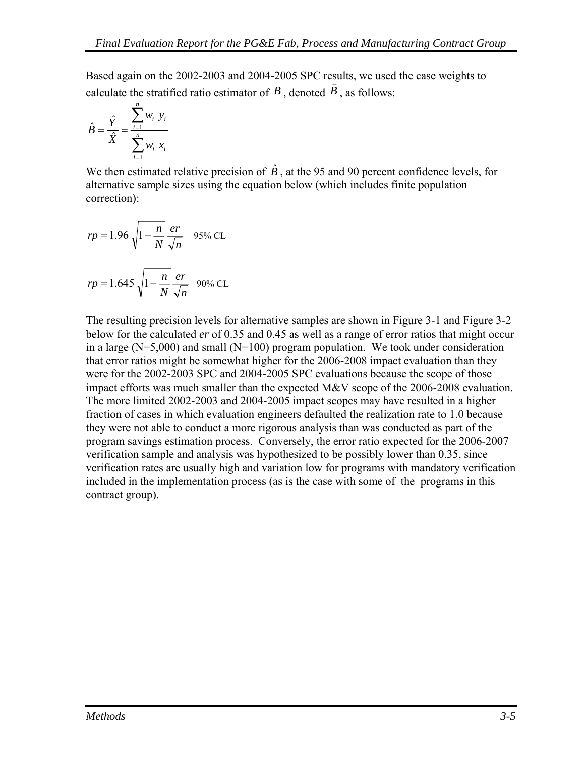Based again on the 2002-2003 and 2004-2005 SPC results, we used the case weights to calculate the stratified ratio estimator of  $\vec{B}$ , denoted  $\vec{B}$ , as follows:

$$
\hat{B} = \frac{\hat{Y}}{\hat{X}} = \frac{\sum_{i=1}^{n} w_i \ y_i}{\sum_{i=1}^{n} w_i \ x_i}
$$

We then estimated relative precision of  $\hat{B}$ , at the 95 and 90 percent confidence levels, for alternative sample sizes using the equation below (which includes finite population correction):

$$
rp = 1.96 \sqrt{1 - \frac{n}{N} \frac{er}{\sqrt{n}}}
$$
 95% CL

$$
rp = 1.645 \sqrt{1 - \frac{n}{N}} \frac{er}{\sqrt{n}}
$$
 90% CL

The resulting precision levels for alternative samples are shown in [Figure 3-1](#page-41-0) and [Figure 3-2](#page-41-0) below for the calculated *er* of 0.35 and 0.45 as well as a range of error ratios that might occur in a large  $(N=5,000)$  and small  $(N=100)$  program population. We took under consideration that error ratios might be somewhat higher for the 2006-2008 impact evaluation than they were for the 2002-2003 SPC and 2004-2005 SPC evaluations because the scope of those impact efforts was much smaller than the expected  $M\&V$  scope of the 2006-2008 evaluation. The more limited 2002-2003 and 2004-2005 impact scopes may have resulted in a higher fraction of cases in which evaluation engineers defaulted the realization rate to 1.0 because they were not able to conduct a more rigorous analysis than was conducted as part of the program savings estimation process. Conversely, the error ratio expected for the 2006-2007 verification sample and analysis was hypothesized to be possibly lower than 0.35, since verification rates are usually high and variation low for programs with mandatory verification included in the implementation process (as is the case with some of the programs in this contract group).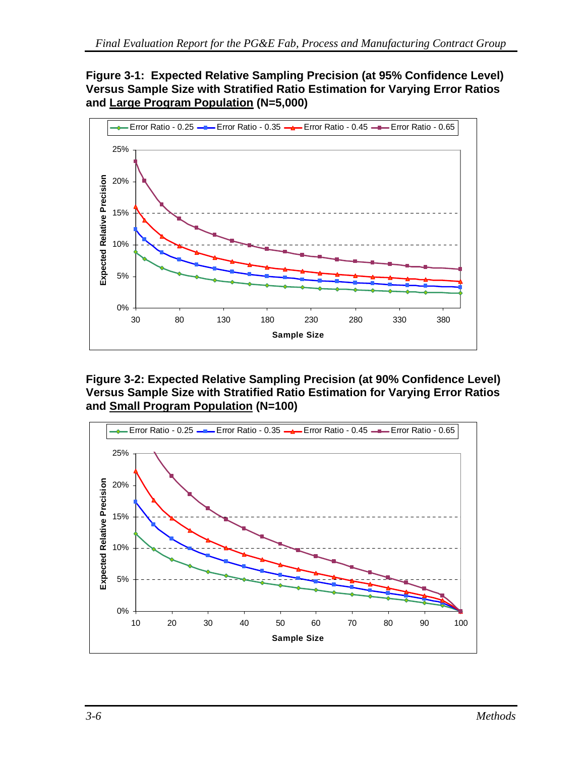#### <span id="page-41-0"></span>**Figure 3-1: Expected Relative Sampling Precision (at 95% Confidence Level) Versus Sample Size with Stratified Ratio Estimation for Varying Error Ratios and Large Program Population (N=5,000)**



**Figure 3-2: Expected Relative Sampling Precision (at 90% Confidence Level) Versus Sample Size with Stratified Ratio Estimation for Varying Error Ratios and Small Program Population (N=100)** 

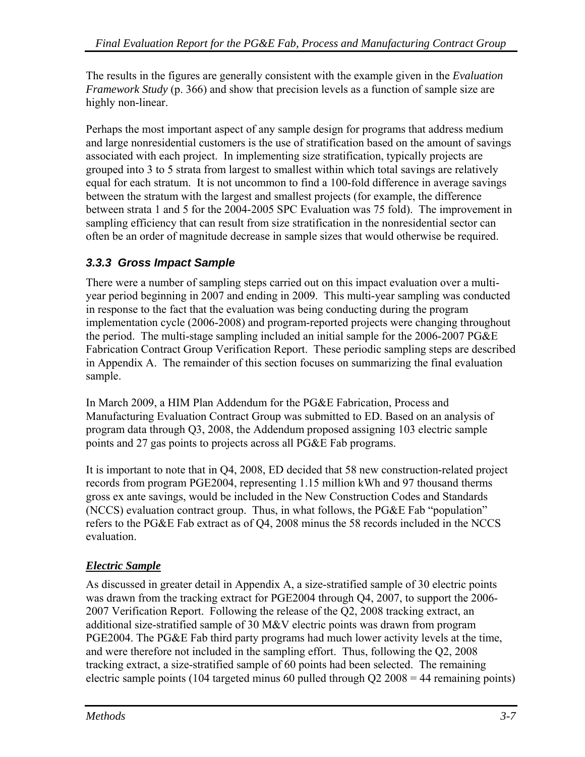The results in the figures are generally consistent with the example given in the *Evaluation Framework Study* (p. 366) and show that precision levels as a function of sample size are highly non-linear.

Perhaps the most important aspect of any sample design for programs that address medium and large nonresidential customers is the use of stratification based on the amount of savings associated with each project. In implementing size stratification, typically projects are grouped into 3 to 5 strata from largest to smallest within which total savings are relatively equal for each stratum. It is not uncommon to find a 100-fold difference in average savings between the stratum with the largest and smallest projects (for example, the difference between strata 1 and 5 for the 2004-2005 SPC Evaluation was 75 fold). The improvement in sampling efficiency that can result from size stratification in the nonresidential sector can often be an order of magnitude decrease in sample sizes that would otherwise be required.

## *3.3.3 Gross Impact Sample*

There were a number of sampling steps carried out on this impact evaluation over a multiyear period beginning in 2007 and ending in 2009. This multi-year sampling was conducted in response to the fact that the evaluation was being conducting during the program implementation cycle (2006-2008) and program-reported projects were changing throughout the period. The multi-stage sampling included an initial sample for the 2006-2007 PG&E Fabrication Contract Group Verification Report. These periodic sampling steps are described in Appendix A. The remainder of this section focuses on summarizing the final evaluation sample.

In March 2009, a HIM Plan Addendum for the PG&E Fabrication, Process and Manufacturing Evaluation Contract Group was submitted to ED. Based on an analysis of program data through Q3, 2008, the Addendum proposed assigning 103 electric sample points and 27 gas points to projects across all PG&E Fab programs.

It is important to note that in Q4, 2008, ED decided that 58 new construction-related project records from program PGE2004, representing 1.15 million kWh and 97 thousand therms gross ex ante savings, would be included in the New Construction Codes and Standards (NCCS) evaluation contract group. Thus, in what follows, the PG&E Fab "population" refers to the PG&E Fab extract as of Q4, 2008 minus the 58 records included in the NCCS evaluation.

#### *Electric Sample*

As discussed in greater detail in Appendix A, a size-stratified sample of 30 electric points was drawn from the tracking extract for PGE2004 through Q4, 2007, to support the 2006- 2007 Verification Report. Following the release of the Q2, 2008 tracking extract, an additional size-stratified sample of 30 M&V electric points was drawn from program PGE2004. The PG&E Fab third party programs had much lower activity levels at the time, and were therefore not included in the sampling effort. Thus, following the Q2, 2008 tracking extract, a size-stratified sample of 60 points had been selected. The remaining electric sample points (104 targeted minus 60 pulled through Q2 2008 = 44 remaining points)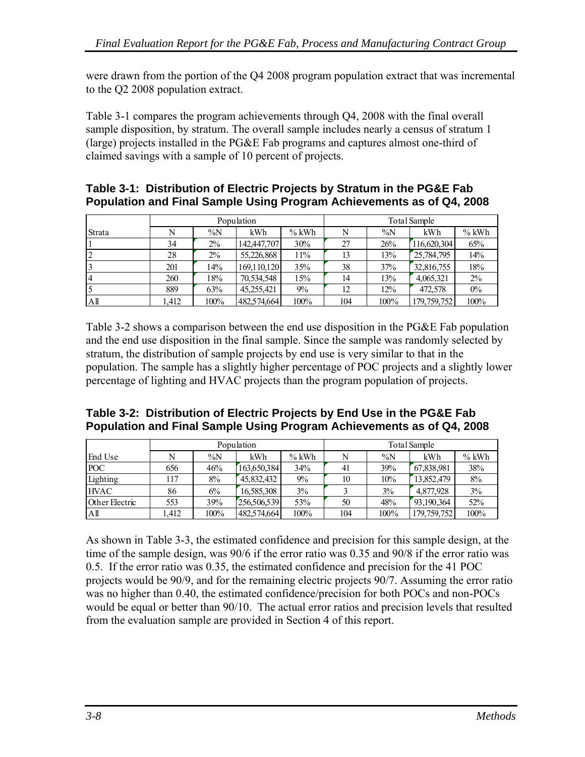<span id="page-43-0"></span>were drawn from the portion of the Q4 2008 program population extract that was incremental to the Q2 2008 population extract.

[Table 3-1](#page-43-0) compares the program achievements through Q4, 2008 with the final overall sample disposition, by stratum. The overall sample includes nearly a census of stratum 1 (large) projects installed in the PG&E Fab programs and captures almost one-third of claimed savings with a sample of 10 percent of projects.

#### **Table 3-1: Distribution of Electric Projects by Stratum in the PG&E Fab Population and Final Sample Using Program Achievements as of Q4, 2008**

|                 | Population |       |               | Total Sample |     |         |             |         |
|-----------------|------------|-------|---------------|--------------|-----|---------|-------------|---------|
| Strata          | N          | $\%N$ | kWh           | $%$ kWh      | N   | $\%N$   | kWh         | $%$ kWh |
|                 | 34         | $2\%$ | 142,447,707   | 30%          | 27  | 26%     | 116,620,304 | 65%     |
| $\overline{2}$  | 28         | $2\%$ | 55,226,868    | 11%          | 13  | 13%     | 25,784,795  | 14%     |
|                 | 201        | 14%   | 169, 110, 120 | 35%          | 38  | 37%     | 32,816,755  | 18%     |
| 14              | 260        | 18%   | 70,534,548    | 15%          | 14  | 13%     | 4,065,321   | $2\%$   |
|                 | 889        | 63%   | 45.255.421    | $9\%$        | 12  | 12%     | 472,578     | $0\%$   |
| A <sup>II</sup> | l.412      | 100%  | 482,574,664   | 100%         | 104 | $100\%$ | 179,759,752 | 100%    |

[Table 3-2](#page-43-0) shows a comparison between the end use disposition in the PG&E Fab population and the end use disposition in the final sample. Since the sample was randomly selected by stratum, the distribution of sample projects by end use is very similar to that in the population. The sample has a slightly higher percentage of POC projects and a slightly lower percentage of lighting and HVAC projects than the program population of projects.

#### **Table 3-2: Distribution of Electric Projects by End Use in the PG&E Fab Population and Final Sample Using Program Achievements as of Q4, 2008**

|                 | Population |        |             | Total Sample |     |         |             |         |
|-----------------|------------|--------|-------------|--------------|-----|---------|-------------|---------|
| End Use         |            | $\%$ N | kWh         | $%$ kWh      |     | $\%$ N  | kWh         | $%$ kWh |
| <b>POC</b>      | 656        | 46%    | 163,650,384 | 34%          | 41  | 39%     | 67,838,981  | 38%     |
| Lighting        | 117        | 8%     | 45,832,432  | $9\%$        | 10  | 10%     | 13,852,479  | 8%      |
| <b>HVAC</b>     | 86         | $6\%$  | 16,585,308  | $3\%$        |     | 3%      | 4,877,928   | 3%      |
| Other Electric  | 553        | 39%    | 256,506,539 | 53%          | 50  | 48%     | 93,190,364  | 52%     |
| A <sup>II</sup> | .412       | 100%   | 482,574,664 | 100%         | 104 | $100\%$ | 179,759,752 | 100%    |

As shown in [Table 3-3](#page-44-0), the estimated confidence and precision for this sample design, at the time of the sample design, was 90/6 if the error ratio was 0.35 and 90/8 if the error ratio was 0.5. If the error ratio was 0.35, the estimated confidence and precision for the 41 POC projects would be 90/9, and for the remaining electric projects 90/7. Assuming the error ratio was no higher than 0.40, the estimated confidence/precision for both POCs and non-POCs would be equal or better than 90/10. The actual error ratios and precision levels that resulted from the evaluation sample are provided in Section 4 of this report.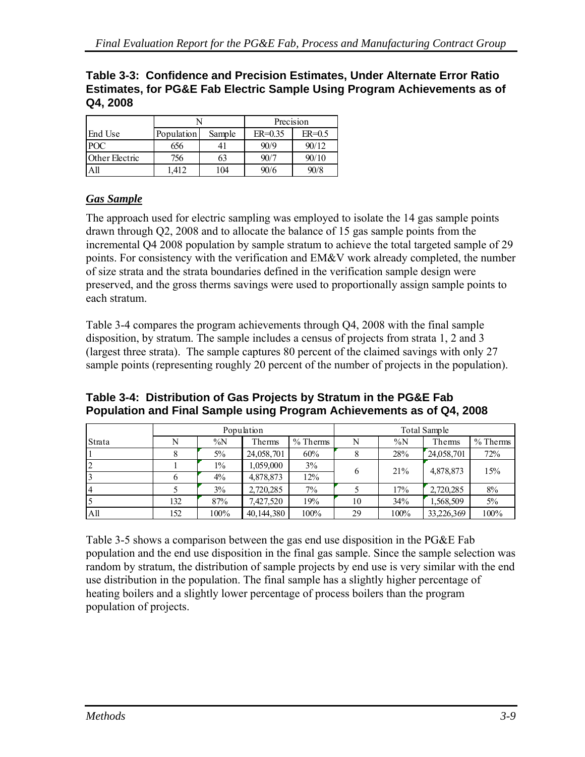<span id="page-44-0"></span>

|          | Table 3-3: Confidence and Precision Estimates, Under Alternate Error Ratio |
|----------|----------------------------------------------------------------------------|
|          | Estimates, for PG&E Fab Electric Sample Using Program Achievements as of   |
| Q4, 2008 |                                                                            |

|                |            |        | Precision   |          |  |
|----------------|------------|--------|-------------|----------|--|
| End Use        | Population | Sample | $ER = 0.35$ | $ER=0.5$ |  |
| POC            | 656        | 41     | 90/9        | 90/12    |  |
| Other Electric | 756        | 63     | 90/7        | 90/10    |  |
|                | 1.412      | 104    | 90/6        | 90/8     |  |

### *Gas Sample*

The approach used for electric sampling was employed to isolate the 14 gas sample points drawn through Q2, 2008 and to allocate the balance of 15 gas sample points from the incremental Q4 2008 population by sample stratum to achieve the total targeted sample of 29 points. For consistency with the verification and EM&V work already completed, the number of size strata and the strata boundaries defined in the verification sample design were preserved, and the gross therms savings were used to proportionally assign sample points to each stratum.

[Table 3-4](#page-44-0) compares the program achievements through Q4, 2008 with the final sample disposition, by stratum. The sample includes a census of projects from strata 1, 2 and 3 (largest three strata). The sample captures 80 percent of the claimed savings with only 27 sample points (representing roughly 20 percent of the number of projects in the population).

|              |     | Population |            |            | Total Sample |       |            |            |
|--------------|-----|------------|------------|------------|--------------|-------|------------|------------|
| Strata       |     | $\%N$      | Therms     | $%$ Therms | N            | $\%N$ | Thems      | $%$ Therms |
|              |     | $5\%$      | 24,058,701 | 60%        |              | 28%   | 24,058,701 | 72%        |
|              |     | $1\%$      | 1,059,000  | 3%         |              | 21%   | 4,878,873  | 15%        |
|              |     | $4\%$      | 4,878,873  | 12%        | 6            |       |            |            |
| <sup>4</sup> |     | 3%         | 2,720,285  | 7%         |              | 17%   | 2,720,285  | 8%         |
|              | 132 | 87%        | 7,427,520  | 19%        | 10           | 34%   | 1,568,509  | $5\%$      |
| All          | 152 | 100%       | 40,144,380 | 100%       | 29           | 100%  | 33,226,369 | 100%       |

**Table 3-4: Distribution of Gas Projects by Stratum in the PG&E Fab Population and Final Sample using Program Achievements as of Q4, 2008** 

[Table 3-5](#page-45-0) shows a comparison between the gas end use disposition in the PG&E Fab population and the end use disposition in the final gas sample. Since the sample selection was random by stratum, the distribution of sample projects by end use is very similar with the end use distribution in the population. The final sample has a slightly higher percentage of heating boilers and a slightly lower percentage of process boilers than the program population of projects.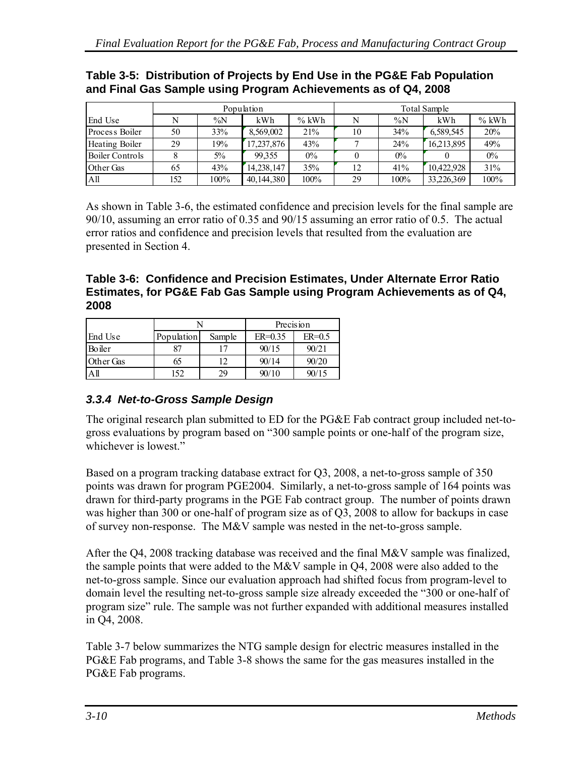|                        | Population |       |              | Total Sample |    |       |            |         |
|------------------------|------------|-------|--------------|--------------|----|-------|------------|---------|
| End Use                |            | $\%N$ | kWh          | $%$ kWh      |    | $\%N$ | kWh        | $%$ kWh |
| Process Boiler         | 50         | 33%   | 8,569,002    | 21%          | 10 | 34%   | 6,589,545  | 20%     |
| Heating Boiler         | 29         | 19%   | 17,237,876   | 43%          |    | 24%   | 16,213,895 | 49%     |
| <b>Boiler Controls</b> |            | $5\%$ | 99.355       | $0\%$        |    | $0\%$ |            | $0\%$   |
| Other Gas              | 65         | 43%   | 14, 238, 147 | 35%          | 12 | 41%   | 10,422,928 | 31%     |
| A <sup>11</sup>        | 152        | 100%  | 40,144,380   | 100%         | 29 | 100%  | 33,226,369 | 100%    |

#### <span id="page-45-0"></span>**Table 3-5: Distribution of Projects by End Use in the PG&E Fab Population and Final Gas Sample using Program Achievements as of Q4, 2008**

As shown in [Table 3-6](#page-45-0), the estimated confidence and precision levels for the final sample are 90/10, assuming an error ratio of 0.35 and 90/15 assuming an error ratio of 0.5. The actual error ratios and confidence and precision levels that resulted from the evaluation are presented in Section 4.

**Table 3-6: Confidence and Precision Estimates, Under Alternate Error Ratio Estimates, for PG&E Fab Gas Sample using Program Achievements as of Q4, 2008** 

|               |            |        | Precision   |          |  |
|---------------|------------|--------|-------------|----------|--|
| End Use       | Population | Sample | $ER = 0.35$ | $ER=0.5$ |  |
| <b>Boiler</b> | 87         | 17     | 90/15       | 90/21    |  |
| Other Gas     | 65         | 12     | 90/14       | 90/20    |  |
| $A$ ll        | 152        | 29     | 90/10       | 90/15    |  |

## *3.3.4 Net-to-Gross Sample Design*

The original research plan submitted to ED for the PG&E Fab contract group included net-togross evaluations by program based on "300 sample points or one-half of the program size, whichever is lowest."

Based on a program tracking database extract for Q3, 2008, a net-to-gross sample of 350 points was drawn for program PGE2004. Similarly, a net-to-gross sample of 164 points was drawn for third-party programs in the PGE Fab contract group. The number of points drawn was higher than 300 or one-half of program size as of Q3, 2008 to allow for backups in case of survey non-response. The M&V sample was nested in the net-to-gross sample.

After the Q4, 2008 tracking database was received and the final M&V sample was finalized, the sample points that were added to the M&V sample in Q4, 2008 were also added to the net-to-gross sample. Since our evaluation approach had shifted focus from program-level to domain level the resulting net-to-gross sample size already exceeded the "300 or one-half of program size" rule. The sample was not further expanded with additional measures installed in Q4, 2008.

[Table 3-7](#page-46-0) below summarizes the NTG sample design for electric measures installed in the PG&E Fab programs, and [Table 3-8](#page-46-0) shows the same for the gas measures installed in the PG&E Fab programs.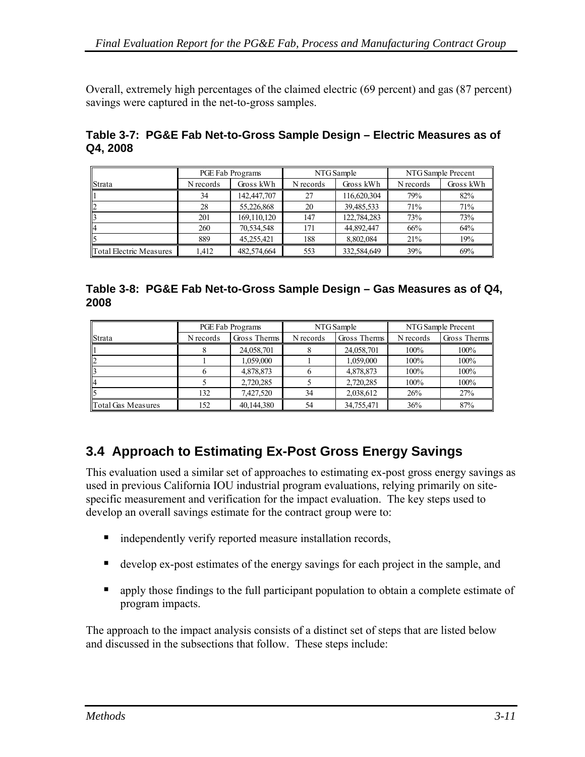<span id="page-46-0"></span>Overall, extremely high percentages of the claimed electric (69 percent) and gas (87 percent) savings were captured in the net-to-gross samples.

|          | Table 3-7: PG&E Fab Net-to-Gross Sample Design – Electric Measures as of |  |
|----------|--------------------------------------------------------------------------|--|
| Q4, 2008 |                                                                          |  |

|                         | PGE Fab Programs |             |           | NTG Sample  | NTG Sample Precent |           |
|-------------------------|------------------|-------------|-----------|-------------|--------------------|-----------|
| <b>Strata</b>           | N records        | Gross kWh   | N records | Gross kWh   | N records          | Gross kWh |
|                         | 34               | 142,447,707 | 27        | 116,620,304 | 79%                | 82%       |
|                         | 28               | 55,226,868  | 20        | 39,485,533  | 71%                | 71%       |
|                         | 201              | 169,110,120 | 147       | 122,784,283 | 73%                | 73%       |
|                         | 260              | 70,534,548  | 171       | 44,892,447  | 66%                | 64%       |
|                         | 889              | 45.255.421  | 188       | 8.802.084   | 21%                | 19%       |
| Total Electric Measures | 1,412            | 482,574,664 | 553       | 332,584,649 | 39%                | 69%       |

|      | Table 3-8: PG&E Fab Net-to-Gross Sample Design – Gas Measures as of Q4, |
|------|-------------------------------------------------------------------------|
| 2008 |                                                                         |

|                           | PGE Fab Programs |              |           | NTG Sample    | NTG Sample Precent |              |
|---------------------------|------------------|--------------|-----------|---------------|--------------------|--------------|
| <i><b>Strata</b></i>      | N records        | Gross Therms | N records | Gross Therms! | N records          | Gross Therms |
|                           |                  | 24,058,701   |           | 24,058,701    | $100\%$            | 100%         |
| $\mathsf{I}2$             |                  | 1,059,000    |           | 1,059,000     | 100%               | 100%         |
|                           |                  | 4,878,873    |           | 4,878,873     | 100%               | 100%         |
| 114                       |                  | 2,720,285    |           | 2,720,285     | 100%               | 100%         |
|                           | 132              | 7,427,520    | 34        | 2,038,612     | 26%                | 27%          |
| <b>Total Gas Measures</b> | I 52             | 40,144,380   | 54        | 34,755,471    | 36%                | 87%          |

## **3.4 Approach to Estimating Ex-Post Gross Energy Savings**

This evaluation used a similar set of approaches to estimating ex-post gross energy savings as used in previous California IOU industrial program evaluations, relying primarily on sitespecific measurement and verification for the impact evaluation. The key steps used to develop an overall savings estimate for the contract group were to:

- independently verify reported measure installation records,
- develop ex-post estimates of the energy savings for each project in the sample, and
- **•** apply those findings to the full participant population to obtain a complete estimate of program impacts.

The approach to the impact analysis consists of a distinct set of steps that are listed below and discussed in the subsections that follow. These steps include: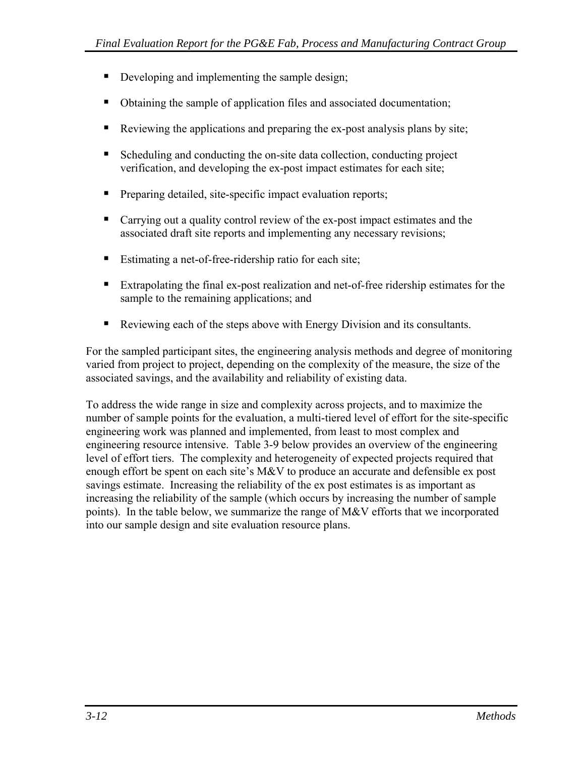- Developing and implementing the sample design;
- Obtaining the sample of application files and associated documentation;
- Reviewing the applications and preparing the ex-post analysis plans by site;
- Scheduling and conducting the on-site data collection, conducting project verification, and developing the ex-post impact estimates for each site;
- **Preparing detailed, site-specific impact evaluation reports;**
- Carrying out a quality control review of the ex-post impact estimates and the associated draft site reports and implementing any necessary revisions;
- Estimating a net-of-free-ridership ratio for each site;
- Extrapolating the final ex-post realization and net-of-free ridership estimates for the sample to the remaining applications; and
- Reviewing each of the steps above with Energy Division and its consultants.

For the sampled participant sites, the engineering analysis methods and degree of monitoring varied from project to project, depending on the complexity of the measure, the size of the associated savings, and the availability and reliability of existing data.

To address the wide range in size and complexity across projects, and to maximize the number of sample points for the evaluation, a multi-tiered level of effort for the site-specific engineering work was planned and implemented, from least to most complex and engineering resource intensive. [Table 3-9](#page-48-0) below provides an overview of the engineering level of effort tiers. The complexity and heterogeneity of expected projects required that enough effort be spent on each site's M&V to produce an accurate and defensible ex post savings estimate. Increasing the reliability of the ex post estimates is as important as increasing the reliability of the sample (which occurs by increasing the number of sample points). In the table below, we summarize the range of M&V efforts that we incorporated into our sample design and site evaluation resource plans.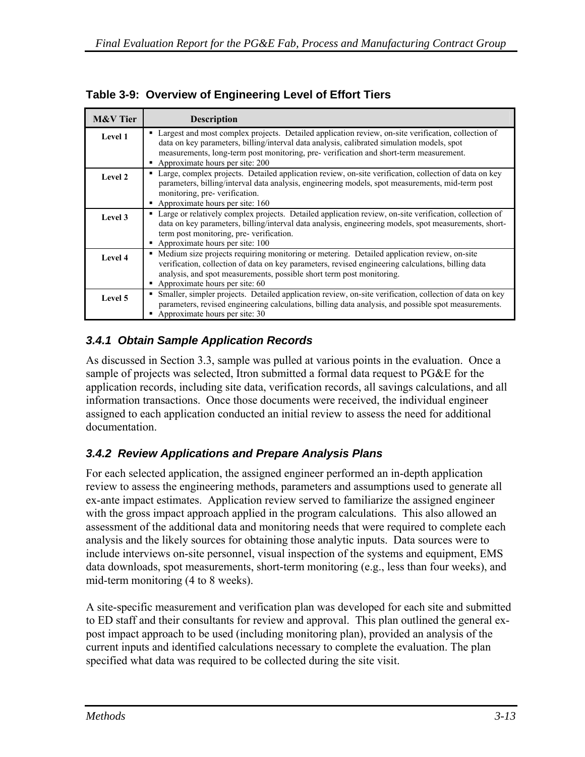| <b>M&amp;V</b> Tier | <b>Description</b>                                                                                                                                                                                                                                                                                             |
|---------------------|----------------------------------------------------------------------------------------------------------------------------------------------------------------------------------------------------------------------------------------------------------------------------------------------------------------|
| Level 1             | • Largest and most complex projects. Detailed application review, on-site verification, collection of<br>data on key parameters, billing/interval data analysis, calibrated simulation models, spot                                                                                                            |
|                     | measurements, long-term post monitoring, pre- verification and short-term measurement.                                                                                                                                                                                                                         |
|                     | Approximate hours per site: 200                                                                                                                                                                                                                                                                                |
| Level 2             | • Large, complex projects. Detailed application review, on-site verification, collection of data on key<br>parameters, billing/interval data analysis, engineering models, spot measurements, mid-term post<br>monitoring, pre-verification.                                                                   |
|                     | Approximate hours per site: 160                                                                                                                                                                                                                                                                                |
| Level 3             | • Large or relatively complex projects. Detailed application review, on-site verification, collection of<br>data on key parameters, billing/interval data analysis, engineering models, spot measurements, short-<br>term post monitoring, pre-verification.<br>Approximate hours per site: 100                |
| Level 4             | • Medium size projects requiring monitoring or metering. Detailed application review, on-site<br>verification, collection of data on key parameters, revised engineering calculations, billing data<br>analysis, and spot measurements, possible short term post monitoring.<br>Approximate hours per site: 60 |
| Level 5             | • Smaller, simpler projects. Detailed application review, on-site verification, collection of data on key<br>parameters, revised engineering calculations, billing data analysis, and possible spot measurements.<br>Approximate hours per site: 30                                                            |

<span id="page-48-0"></span>**Table 3-9: Overview of Engineering Level of Effort Tiers** 

## *3.4.1 Obtain Sample Application Records*

As discussed in Section 3.3, sample was pulled at various points in the evaluation. Once a sample of projects was selected, Itron submitted a formal data request to PG&E for the application records, including site data, verification records, all savings calculations, and all information transactions. Once those documents were received, the individual engineer assigned to each application conducted an initial review to assess the need for additional documentation.

## *3.4.2 Review Applications and Prepare Analysis Plans*

For each selected application, the assigned engineer performed an in-depth application review to assess the engineering methods, parameters and assumptions used to generate all ex-ante impact estimates. Application review served to familiarize the assigned engineer with the gross impact approach applied in the program calculations. This also allowed an assessment of the additional data and monitoring needs that were required to complete each analysis and the likely sources for obtaining those analytic inputs. Data sources were to include interviews on-site personnel, visual inspection of the systems and equipment, EMS data downloads, spot measurements, short-term monitoring (e.g., less than four weeks), and mid-term monitoring (4 to 8 weeks).

A site-specific measurement and verification plan was developed for each site and submitted to ED staff and their consultants for review and approval. This plan outlined the general expost impact approach to be used (including monitoring plan), provided an analysis of the current inputs and identified calculations necessary to complete the evaluation. The plan specified what data was required to be collected during the site visit.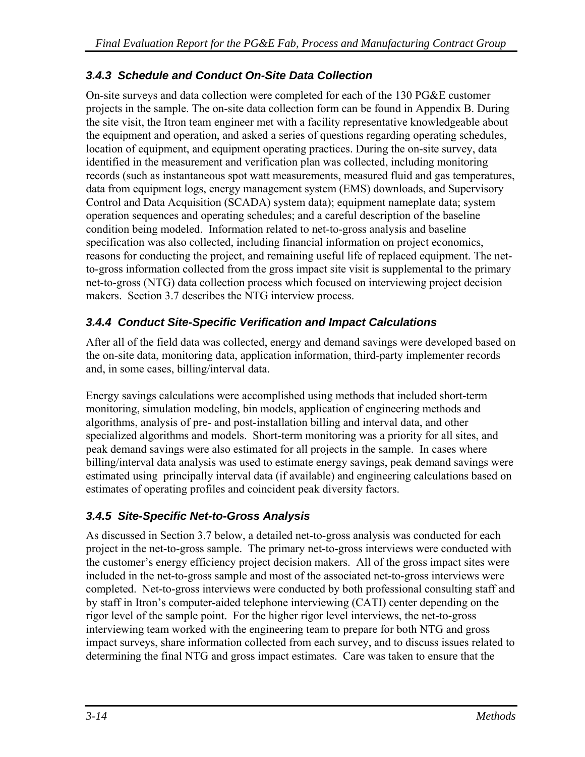## *3.4.3 Schedule and Conduct On-Site Data Collection*

On-site surveys and data collection were completed for each of the 130 PG&E customer projects in the sample. The on-site data collection form can be found in Appendix B. During the site visit, the Itron team engineer met with a facility representative knowledgeable about the equipment and operation, and asked a series of questions regarding operating schedules, location of equipment, and equipment operating practices. During the on-site survey, data identified in the measurement and verification plan was collected, including monitoring records (such as instantaneous spot watt measurements, measured fluid and gas temperatures, data from equipment logs, energy management system (EMS) downloads, and Supervisory Control and Data Acquisition (SCADA) system data); equipment nameplate data; system operation sequences and operating schedules; and a careful description of the baseline condition being modeled. Information related to net-to-gross analysis and baseline specification was also collected, including financial information on project economics, reasons for conducting the project, and remaining useful life of replaced equipment. The netto-gross information collected from the gross impact site visit is supplemental to the primary net-to-gross (NTG) data collection process which focused on interviewing project decision makers. Section 3.7 describes the NTG interview process.

## *3.4.4 Conduct Site-Specific Verification and Impact Calculations*

After all of the field data was collected, energy and demand savings were developed based on the on-site data, monitoring data, application information, third-party implementer records and, in some cases, billing/interval data.

Energy savings calculations were accomplished using methods that included short-term monitoring, simulation modeling, bin models, application of engineering methods and algorithms, analysis of pre- and post-installation billing and interval data, and other specialized algorithms and models. Short-term monitoring was a priority for all sites, and peak demand savings were also estimated for all projects in the sample. In cases where billing/interval data analysis was used to estimate energy savings, peak demand savings were estimated using principally interval data (if available) and engineering calculations based on estimates of operating profiles and coincident peak diversity factors.

## *3.4.5 Site-Specific Net-to-Gross Analysis*

As discussed in Section 3.7 below, a detailed net-to-gross analysis was conducted for each project in the net-to-gross sample. The primary net-to-gross interviews were conducted with the customer's energy efficiency project decision makers. All of the gross impact sites were included in the net-to-gross sample and most of the associated net-to-gross interviews were completed. Net-to-gross interviews were conducted by both professional consulting staff and by staff in Itron's computer-aided telephone interviewing (CATI) center depending on the rigor level of the sample point. For the higher rigor level interviews, the net-to-gross interviewing team worked with the engineering team to prepare for both NTG and gross impact surveys, share information collected from each survey, and to discuss issues related to determining the final NTG and gross impact estimates. Care was taken to ensure that the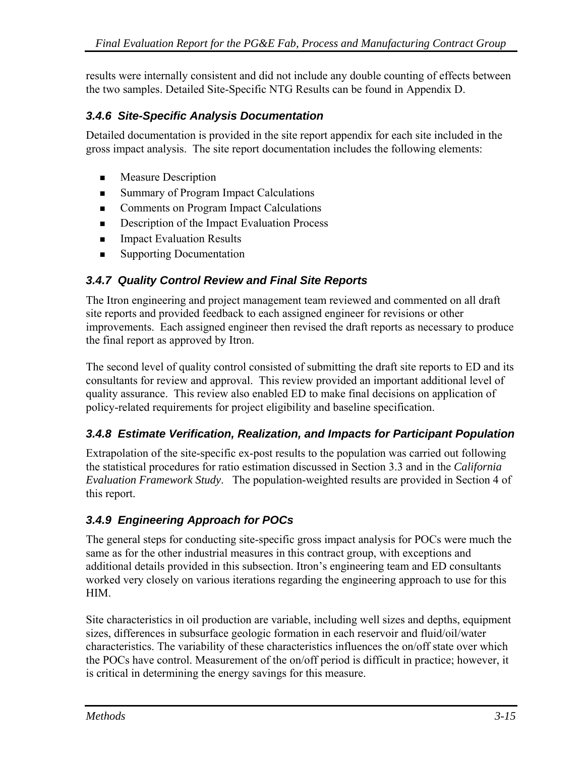results were internally consistent and did not include any double counting of effects between the two samples. Detailed Site-Specific NTG Results can be found in Appendix D.

### *3.4.6 Site-Specific Analysis Documentation*

Detailed documentation is provided in the site report appendix for each site included in the gross impact analysis. The site report documentation includes the following elements:

- **Measure Description**
- Summary of Program Impact Calculations
- **Comments on Program Impact Calculations**
- **Description of the Impact Evaluation Process**
- **Impact Evaluation Results**
- Supporting Documentation

#### *3.4.7 Quality Control Review and Final Site Reports*

The Itron engineering and project management team reviewed and commented on all draft site reports and provided feedback to each assigned engineer for revisions or other improvements. Each assigned engineer then revised the draft reports as necessary to produce the final report as approved by Itron.

The second level of quality control consisted of submitting the draft site reports to ED and its consultants for review and approval. This review provided an important additional level of quality assurance. This review also enabled ED to make final decisions on application of policy-related requirements for project eligibility and baseline specification.

#### *3.4.8 Estimate Verification, Realization, and Impacts for Participant Population*

Extrapolation of the site-specific ex-post results to the population was carried out following the statistical procedures for ratio estimation discussed in Section 3.3 and in the *California Evaluation Framework Study*. The population-weighted results are provided in Section 4 of this report.

#### *3.4.9 Engineering Approach for POCs*

The general steps for conducting site-specific gross impact analysis for POCs were much the same as for the other industrial measures in this contract group, with exceptions and additional details provided in this subsection. Itron's engineering team and ED consultants worked very closely on various iterations regarding the engineering approach to use for this HIM.

Site characteristics in oil production are variable, including well sizes and depths, equipment sizes, differences in subsurface geologic formation in each reservoir and fluid/oil/water characteristics. The variability of these characteristics influences the on/off state over which the POCs have control. Measurement of the on/off period is difficult in practice; however, it is critical in determining the energy savings for this measure.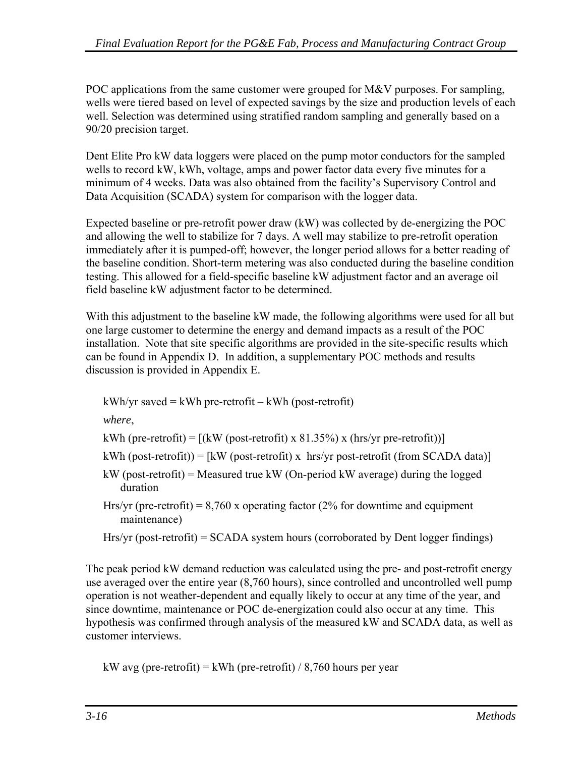POC applications from the same customer were grouped for M&V purposes. For sampling, wells were tiered based on level of expected savings by the size and production levels of each well. Selection was determined using stratified random sampling and generally based on a 90/20 precision target.

Dent Elite Pro kW data loggers were placed on the pump motor conductors for the sampled wells to record kW, kWh, voltage, amps and power factor data every five minutes for a minimum of 4 weeks. Data was also obtained from the facility's Supervisory Control and Data Acquisition (SCADA) system for comparison with the logger data.

Expected baseline or pre-retrofit power draw (kW) was collected by de-energizing the POC and allowing the well to stabilize for 7 days. A well may stabilize to pre-retrofit operation immediately after it is pumped-off; however, the longer period allows for a better reading of the baseline condition. Short-term metering was also conducted during the baseline condition testing. This allowed for a field-specific baseline kW adjustment factor and an average oil field baseline kW adjustment factor to be determined.

With this adjustment to the baseline kW made, the following algorithms were used for all but one large customer to determine the energy and demand impacts as a result of the POC installation. Note that site specific algorithms are provided in the site-specific results which can be found in Appendix D. In addition, a supplementary POC methods and results discussion is provided in Appendix E.

 $kWh/yr$  saved =  $kWh$  pre-retrofit –  $kWh$  (post-retrofit)

*where*,

kWh (pre-retrofit) =  $[(kW (post-retrofit) \times 81.35\%) \times (hrs/yr pre-retrofit))]$ 

```
kWh (post-retrofit)) = [kW (post-retrofit) x hrs/yr post-retrofit (from SCADA data)]
```
- kW (post-retrofit) = Measured true kW (On-period kW average) during the logged duration
- Hrs/yr (pre-retrofit) =  $8,760$  x operating factor (2% for downtime and equipment maintenance)
- Hrs/yr (post-retrofit) = SCADA system hours (corroborated by Dent logger findings)

The peak period kW demand reduction was calculated using the pre- and post-retrofit energy use averaged over the entire year (8,760 hours), since controlled and uncontrolled well pump operation is not weather-dependent and equally likely to occur at any time of the year, and since downtime, maintenance or POC de-energization could also occur at any time. This hypothesis was confirmed through analysis of the measured kW and SCADA data, as well as customer interviews.

```
kW avg (pre-retrofit) = kWh (pre-retrofit) / 8,760 hours per year
```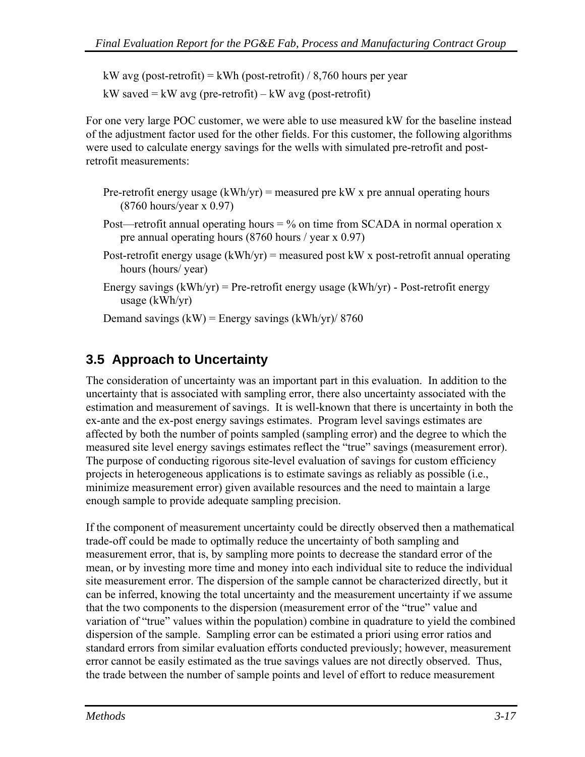kW avg (post-retrofit) = kWh (post-retrofit) / 8,760 hours per year

kW saved  $=$  kW avg (pre-retrofit)  $-$  kW avg (post-retrofit)

For one very large POC customer, we were able to use measured kW for the baseline instead of the adjustment factor used for the other fields. For this customer, the following algorithms were used to calculate energy savings for the wells with simulated pre-retrofit and postretrofit measurements:

- Pre-retrofit energy usage  $(kWh/yr)$  = measured pre kW x pre annual operating hours (8760 hours/year x 0.97)
- Post—retrofit annual operating hours  $=$  % on time from SCADA in normal operation x pre annual operating hours (8760 hours / year x 0.97)
- Post-retrofit energy usage  $(kWh/yr)$  = measured post kW x post-retrofit annual operating hours (hours/ year)
- Energy savings  $(kWh/yr)$  = Pre-retrofit energy usage  $(kWh/yr)$  Post-retrofit energy usage (kWh/yr)

Demand savings  $(kW)$  = Energy savings  $(kWh/yr)/8760$ 

## **3.5 Approach to Uncertainty**

The consideration of uncertainty was an important part in this evaluation. In addition to the uncertainty that is associated with sampling error, there also uncertainty associated with the estimation and measurement of savings. It is well-known that there is uncertainty in both the ex-ante and the ex-post energy savings estimates. Program level savings estimates are affected by both the number of points sampled (sampling error) and the degree to which the measured site level energy savings estimates reflect the "true" savings (measurement error). The purpose of conducting rigorous site-level evaluation of savings for custom efficiency projects in heterogeneous applications is to estimate savings as reliably as possible (i.e., minimize measurement error) given available resources and the need to maintain a large enough sample to provide adequate sampling precision.

If the component of measurement uncertainty could be directly observed then a mathematical trade-off could be made to optimally reduce the uncertainty of both sampling and measurement error, that is, by sampling more points to decrease the standard error of the mean, or by investing more time and money into each individual site to reduce the individual site measurement error. The dispersion of the sample cannot be characterized directly, but it can be inferred, knowing the total uncertainty and the measurement uncertainty if we assume that the two components to the dispersion (measurement error of the "true" value and variation of "true" values within the population) combine in quadrature to yield the combined dispersion of the sample. Sampling error can be estimated a priori using error ratios and standard errors from similar evaluation efforts conducted previously; however, measurement error cannot be easily estimated as the true savings values are not directly observed. Thus, the trade between the number of sample points and level of effort to reduce measurement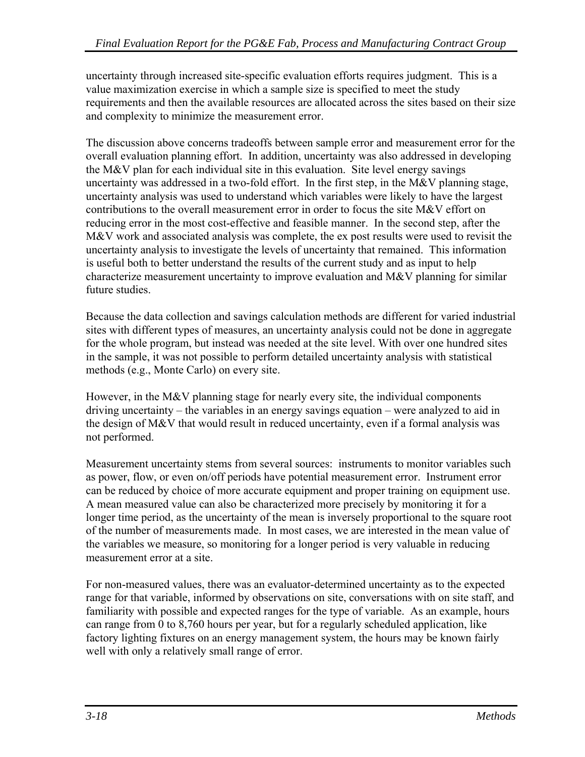uncertainty through increased site-specific evaluation efforts requires judgment. This is a value maximization exercise in which a sample size is specified to meet the study requirements and then the available resources are allocated across the sites based on their size and complexity to minimize the measurement error.

The discussion above concerns tradeoffs between sample error and measurement error for the overall evaluation planning effort. In addition, uncertainty was also addressed in developing the M&V plan for each individual site in this evaluation. Site level energy savings uncertainty was addressed in a two-fold effort. In the first step, in the M&V planning stage, uncertainty analysis was used to understand which variables were likely to have the largest contributions to the overall measurement error in order to focus the site M&V effort on reducing error in the most cost-effective and feasible manner. In the second step, after the M&V work and associated analysis was complete, the ex post results were used to revisit the uncertainty analysis to investigate the levels of uncertainty that remained. This information is useful both to better understand the results of the current study and as input to help characterize measurement uncertainty to improve evaluation and  $M\&V$  planning for similar future studies.

Because the data collection and savings calculation methods are different for varied industrial sites with different types of measures, an uncertainty analysis could not be done in aggregate for the whole program, but instead was needed at the site level. With over one hundred sites in the sample, it was not possible to perform detailed uncertainty analysis with statistical methods (e.g., Monte Carlo) on every site.

However, in the M&V planning stage for nearly every site, the individual components driving uncertainty – the variables in an energy savings equation – were analyzed to aid in the design of M&V that would result in reduced uncertainty, even if a formal analysis was not performed.

Measurement uncertainty stems from several sources: instruments to monitor variables such as power, flow, or even on/off periods have potential measurement error. Instrument error can be reduced by choice of more accurate equipment and proper training on equipment use. A mean measured value can also be characterized more precisely by monitoring it for a longer time period, as the uncertainty of the mean is inversely proportional to the square root of the number of measurements made. In most cases, we are interested in the mean value of the variables we measure, so monitoring for a longer period is very valuable in reducing measurement error at a site.

For non-measured values, there was an evaluator-determined uncertainty as to the expected range for that variable, informed by observations on site, conversations with on site staff, and familiarity with possible and expected ranges for the type of variable. As an example, hours can range from 0 to 8,760 hours per year, but for a regularly scheduled application, like factory lighting fixtures on an energy management system, the hours may be known fairly well with only a relatively small range of error.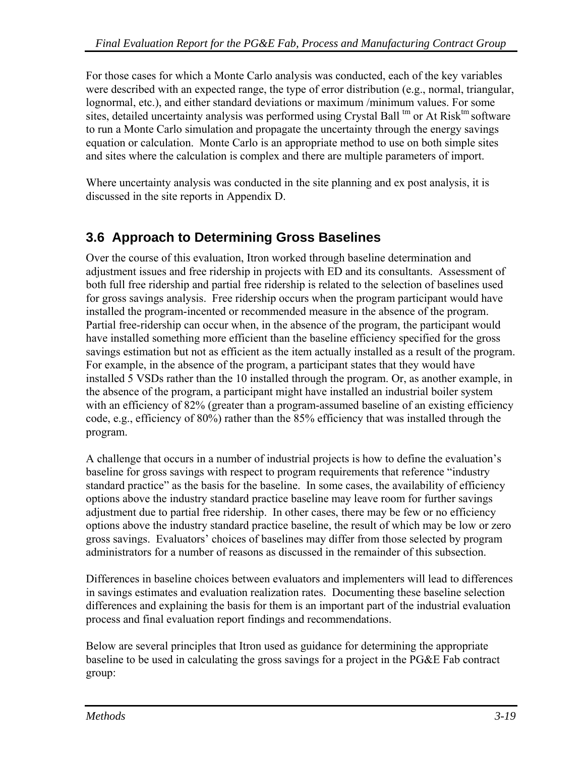For those cases for which a Monte Carlo analysis was conducted, each of the key variables were described with an expected range, the type of error distribution (e.g., normal, triangular, lognormal, etc.), and either standard deviations or maximum /minimum values. For some sites, detailed uncertainty analysis was performed using Crystal Ball  $\rm{^{tm}}$  or At Risk $\rm{^{tm}}$  software to run a Monte Carlo simulation and propagate the uncertainty through the energy savings equation or calculation. Monte Carlo is an appropriate method to use on both simple sites and sites where the calculation is complex and there are multiple parameters of import.

Where uncertainty analysis was conducted in the site planning and ex post analysis, it is discussed in the site reports in Appendix D.

## **3.6 Approach to Determining Gross Baselines**

Over the course of this evaluation, Itron worked through baseline determination and adjustment issues and free ridership in projects with ED and its consultants. Assessment of both full free ridership and partial free ridership is related to the selection of baselines used for gross savings analysis. Free ridership occurs when the program participant would have installed the program-incented or recommended measure in the absence of the program. Partial free-ridership can occur when, in the absence of the program, the participant would have installed something more efficient than the baseline efficiency specified for the gross savings estimation but not as efficient as the item actually installed as a result of the program. For example, in the absence of the program, a participant states that they would have installed 5 VSDs rather than the 10 installed through the program. Or, as another example, in the absence of the program, a participant might have installed an industrial boiler system with an efficiency of 82% (greater than a program-assumed baseline of an existing efficiency code, e.g., efficiency of 80%) rather than the 85% efficiency that was installed through the program.

A challenge that occurs in a number of industrial projects is how to define the evaluation's baseline for gross savings with respect to program requirements that reference "industry standard practice" as the basis for the baseline. In some cases, the availability of efficiency options above the industry standard practice baseline may leave room for further savings adjustment due to partial free ridership. In other cases, there may be few or no efficiency options above the industry standard practice baseline, the result of which may be low or zero gross savings. Evaluators' choices of baselines may differ from those selected by program administrators for a number of reasons as discussed in the remainder of this subsection.

Differences in baseline choices between evaluators and implementers will lead to differences in savings estimates and evaluation realization rates. Documenting these baseline selection differences and explaining the basis for them is an important part of the industrial evaluation process and final evaluation report findings and recommendations.

Below are several principles that Itron used as guidance for determining the appropriate baseline to be used in calculating the gross savings for a project in the PG&E Fab contract group: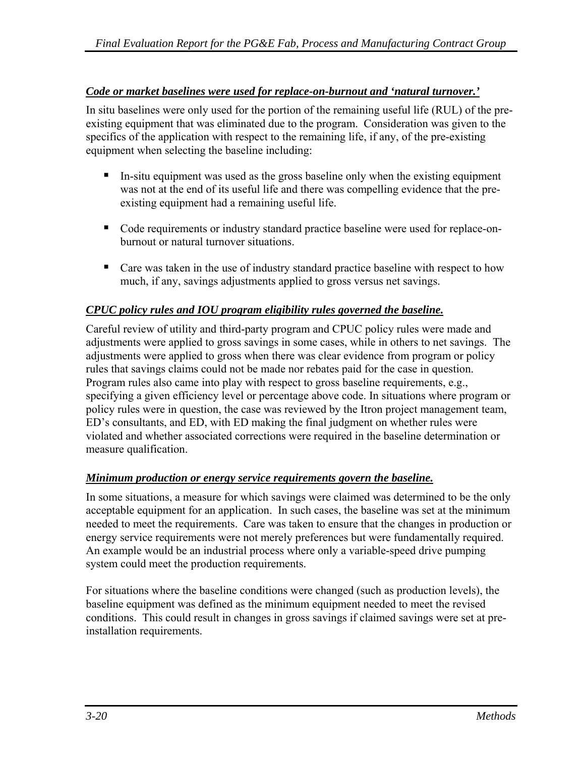#### *Code or market baselines were used for replace-on-burnout and 'natural turnover.'*

In situ baselines were only used for the portion of the remaining useful life (RUL) of the preexisting equipment that was eliminated due to the program. Consideration was given to the specifics of the application with respect to the remaining life, if any, of the pre-existing equipment when selecting the baseline including:

- $\blacksquare$  In-situ equipment was used as the gross baseline only when the existing equipment was not at the end of its useful life and there was compelling evidence that the preexisting equipment had a remaining useful life.
- Code requirements or industry standard practice baseline were used for replace-onburnout or natural turnover situations.
- Care was taken in the use of industry standard practice baseline with respect to how much, if any, savings adjustments applied to gross versus net savings.

#### *CPUC policy rules and IOU program eligibility rules governed the baseline.*

Careful review of utility and third-party program and CPUC policy rules were made and adjustments were applied to gross savings in some cases, while in others to net savings. The adjustments were applied to gross when there was clear evidence from program or policy rules that savings claims could not be made nor rebates paid for the case in question. Program rules also came into play with respect to gross baseline requirements, e.g., specifying a given efficiency level or percentage above code. In situations where program or policy rules were in question, the case was reviewed by the Itron project management team, ED's consultants, and ED, with ED making the final judgment on whether rules were violated and whether associated corrections were required in the baseline determination or measure qualification.

#### *Minimum production or energy service requirements govern the baseline.*

In some situations, a measure for which savings were claimed was determined to be the only acceptable equipment for an application. In such cases, the baseline was set at the minimum needed to meet the requirements. Care was taken to ensure that the changes in production or energy service requirements were not merely preferences but were fundamentally required. An example would be an industrial process where only a variable-speed drive pumping system could meet the production requirements.

For situations where the baseline conditions were changed (such as production levels), the baseline equipment was defined as the minimum equipment needed to meet the revised conditions. This could result in changes in gross savings if claimed savings were set at preinstallation requirements.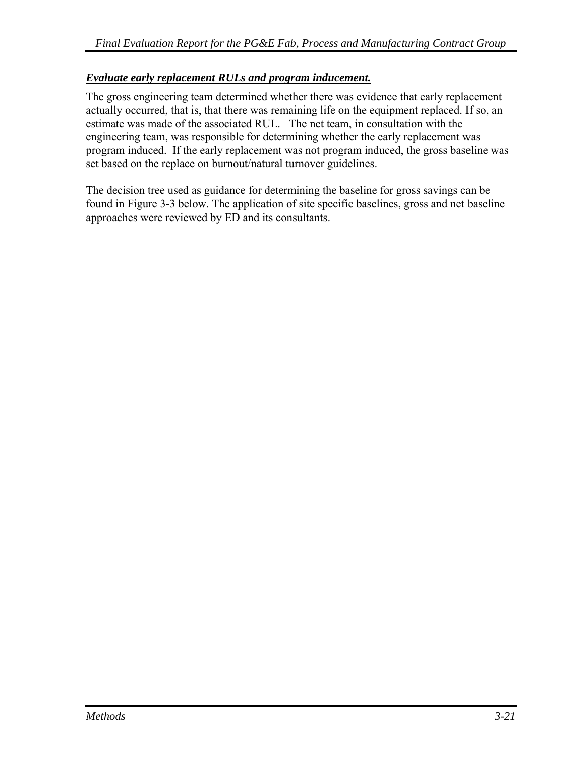#### *Evaluate early replacement RULs and program inducement.*

The gross engineering team determined whether there was evidence that early replacement actually occurred, that is, that there was remaining life on the equipment replaced. If so, an estimate was made of the associated RUL. The net team, in consultation with the engineering team, was responsible for determining whether the early replacement was program induced. If the early replacement was not program induced, the gross baseline was set based on the replace on burnout/natural turnover guidelines.

The decision tree used as guidance for determining the baseline for gross savings can be found in [Figure 3-3](#page-57-0) below. The application of site specific baselines, gross and net baseline approaches were reviewed by ED and its consultants.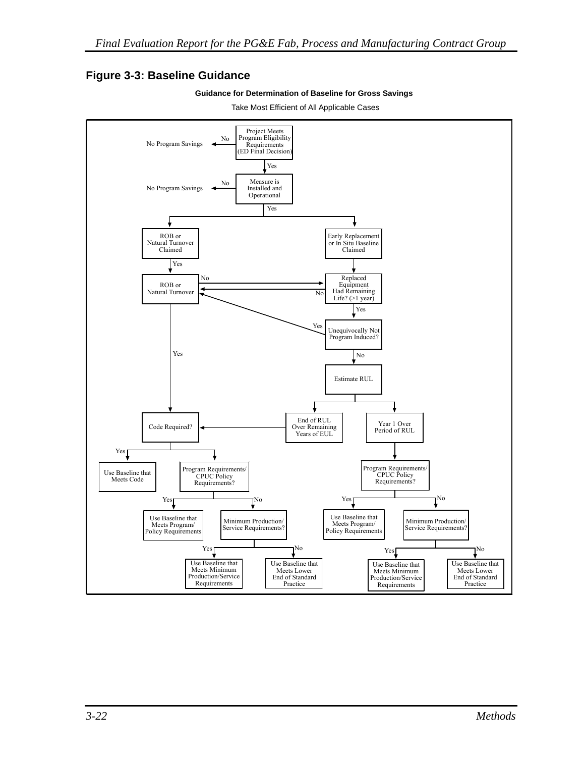### <span id="page-57-0"></span>**Figure 3-3: Baseline Guidance**





Take Most Efficient of All Applicable Cases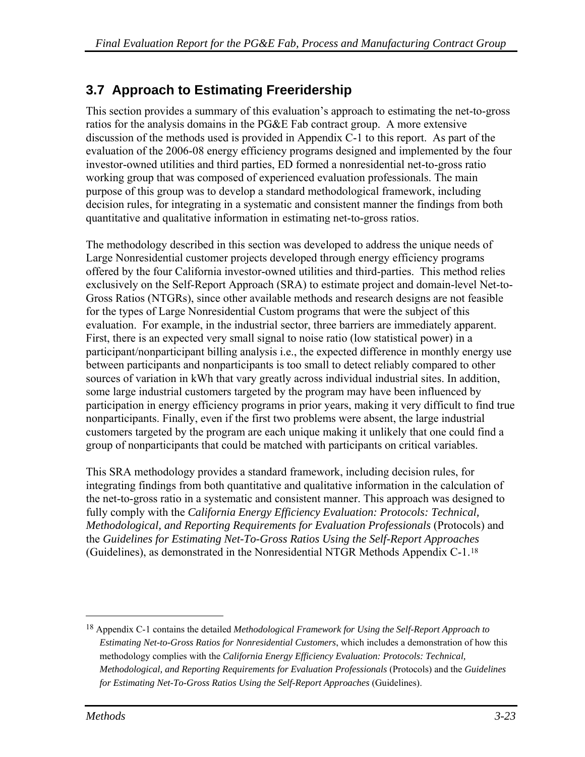## <span id="page-58-0"></span>**3.7 Approach to Estimating Freeridership**

This section provides a summary of this evaluation's approach to estimating the net-to-gross ratios for the analysis domains in the PG&E Fab contract group. A more extensive discussion of the methods used is provided in Appendix C-1 to this report. As part of the evaluation of the 2006-08 energy efficiency programs designed and implemented by the four investor-owned utilities and third parties, ED formed a nonresidential net-to-gross ratio working group that was composed of experienced evaluation professionals. The main purpose of this group was to develop a standard methodological framework, including decision rules, for integrating in a systematic and consistent manner the findings from both quantitative and qualitative information in estimating net-to-gross ratios.

The methodology described in this section was developed to address the unique needs of Large Nonresidential customer projects developed through energy efficiency programs offered by the four California investor-owned utilities and third-parties. This method relies exclusively on the Self-Report Approach (SRA) to estimate project and domain-level Net-to-Gross Ratios (NTGRs), since other available methods and research designs are not feasible for the types of Large Nonresidential Custom programs that were the subject of this evaluation. For example, in the industrial sector, three barriers are immediately apparent. First, there is an expected very small signal to noise ratio (low statistical power) in a participant/nonparticipant billing analysis i.e., the expected difference in monthly energy use between participants and nonparticipants is too small to detect reliably compared to other sources of variation in kWh that vary greatly across individual industrial sites. In addition, some large industrial customers targeted by the program may have been influenced by participation in energy efficiency programs in prior years, making it very difficult to find true nonparticipants. Finally, even if the first two problems were absent, the large industrial customers targeted by the program are each unique making it unlikely that one could find a group of nonparticipants that could be matched with participants on critical variables.

This SRA methodology provides a standard framework, including decision rules, for integrating findings from both quantitative and qualitative information in the calculation of the net-to-gross ratio in a systematic and consistent manner. This approach was designed to fully comply with the *California Energy Efficiency Evaluation: Protocols: Technical, Methodological, and Reporting Requirements for Evaluation Professionals* (Protocols) and the *Guidelines for Estimating Net-To-Gross Ratios Using the Self-Report Approaches*  (Guidelines), as demonstrated in the Nonresidential NTGR Methods Appendix C-1.[18](#page-58-0)

 $\overline{a}$ 

<sup>18</sup> Appendix C-1 contains the detailed *Methodological Framework for Using the Self-Report Approach to Estimating Net-to-Gross Ratios for Nonresidential Customers*, which includes a demonstration of how this methodology complies with the *California Energy Efficiency Evaluation: Protocols: Technical, Methodological, and Reporting Requirements for Evaluation Professionals* (Protocols) and the *Guidelines for Estimating Net-To-Gross Ratios Using the Self-Report Approaches* (Guidelines).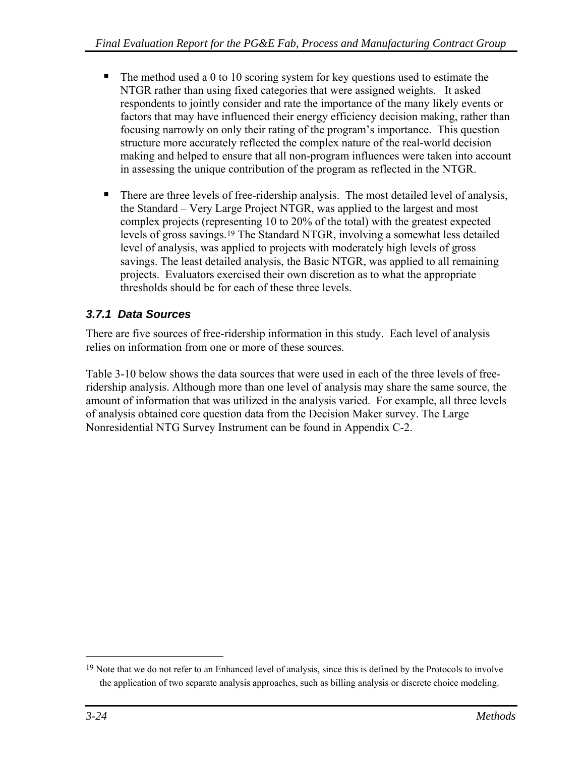- <span id="page-59-0"></span> $\blacksquare$  The method used a 0 to 10 scoring system for key questions used to estimate the NTGR rather than using fixed categories that were assigned weights. It asked respondents to jointly consider and rate the importance of the many likely events or factors that may have influenced their energy efficiency decision making, rather than focusing narrowly on only their rating of the program's importance. This question structure more accurately reflected the complex nature of the real-world decision making and helped to ensure that all non-program influences were taken into account in assessing the unique contribution of the program as reflected in the NTGR.
- There are three levels of free-ridership analysis. The most detailed level of analysis, the Standard – Very Large Project NTGR, was applied to the largest and most complex projects (representing 10 to 20% of the total) with the greatest expected levels of gross savings.[19](#page-59-0) The Standard NTGR, involving a somewhat less detailed level of analysis, was applied to projects with moderately high levels of gross savings. The least detailed analysis, the Basic NTGR, was applied to all remaining projects. Evaluators exercised their own discretion as to what the appropriate thresholds should be for each of these three levels.

## *3.7.1 Data Sources*

There are five sources of free-ridership information in this study. Each level of analysis relies on information from one or more of these sources.

[Table 3-10](#page-60-0) below shows the data sources that were used in each of the three levels of freeridership analysis. Although more than one level of analysis may share the same source, the amount of information that was utilized in the analysis varied. For example, all three levels of analysis obtained core question data from the Decision Maker survey. The Large Nonresidential NTG Survey Instrument can be found in Appendix C-2.

 $\overline{a}$ 

<sup>&</sup>lt;sup>19</sup> Note that we do not refer to an Enhanced level of analysis, since this is defined by the Protocols to involve the application of two separate analysis approaches, such as billing analysis or discrete choice modeling.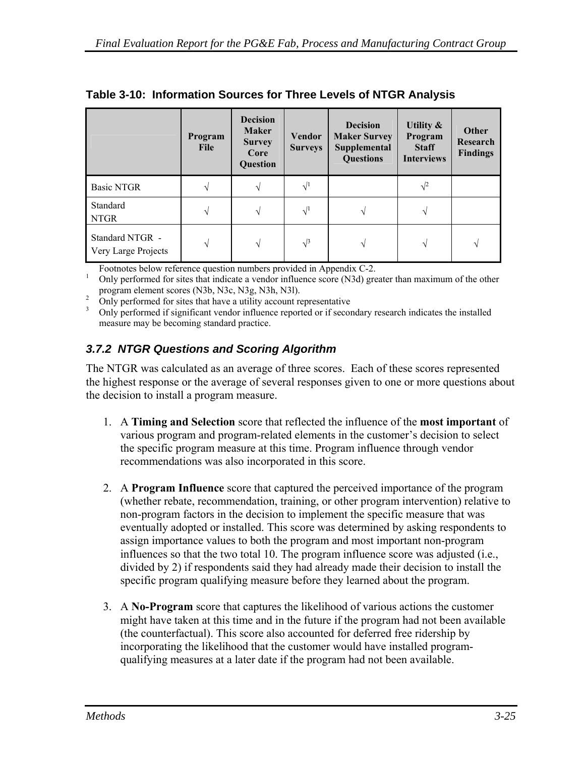|                                        | Program<br>File | <b>Decision</b><br><b>Maker</b><br><b>Survey</b><br>Core<br>Question | <b>Vendor</b><br><b>Surveys</b> | <b>Decision</b><br><b>Maker Survey</b><br>Supplemental<br><b>Questions</b> | Utility $\&$<br>Program<br><b>Staff</b><br><b>Interviews</b> | Other<br>Research<br><b>Findings</b> |
|----------------------------------------|-----------------|----------------------------------------------------------------------|---------------------------------|----------------------------------------------------------------------------|--------------------------------------------------------------|--------------------------------------|
| <b>Basic NTGR</b>                      |                 | ٦Ι                                                                   | $\sqrt{1}$                      |                                                                            | $\sqrt{2}$                                                   |                                      |
| Standard<br><b>NTGR</b>                | V               | V                                                                    | $\sqrt{1}$                      |                                                                            |                                                              |                                      |
| Standard NTGR -<br>Very Large Projects | V               | V                                                                    | $\sqrt{3}$                      | V                                                                          | N                                                            | N                                    |

<span id="page-60-0"></span>

|  | Table 3-10: Information Sources for Three Levels of NTGR Analysis |  |
|--|-------------------------------------------------------------------|--|
|  |                                                                   |  |

Footnotes below reference question numbers provided in Appendix C-2.<br> $\frac{1}{2}$  Only next formed for sites that indicate a vender influence seems (N2d) are

Only performed for sites that indicate a vendor influence score (N3d) greater than maximum of the other program element scores (N3b, N3c, N3g, N3h, N3l).

only performed for sites that have a utility account representative<br>by only performed if significant vendor influence reported or if secondary research indicates the installed measure may be becoming standard practice.

## *3.7.2 NTGR Questions and Scoring Algorithm*

The NTGR was calculated as an average of three scores. Each of these scores represented the highest response or the average of several responses given to one or more questions about the decision to install a program measure.

- 1. A **Timing and Selection** score that reflected the influence of the **most important** of various program and program-related elements in the customer's decision to select the specific program measure at this time. Program influence through vendor recommendations was also incorporated in this score.
- 2. A **Program Influence** score that captured the perceived importance of the program (whether rebate, recommendation, training, or other program intervention) relative to non-program factors in the decision to implement the specific measure that was eventually adopted or installed. This score was determined by asking respondents to assign importance values to both the program and most important non-program influences so that the two total 10. The program influence score was adjusted (i.e., divided by 2) if respondents said they had already made their decision to install the specific program qualifying measure before they learned about the program.
- 3. A **No-Program** score that captures the likelihood of various actions the customer might have taken at this time and in the future if the program had not been available (the counterfactual). This score also accounted for deferred free ridership by incorporating the likelihood that the customer would have installed programqualifying measures at a later date if the program had not been available.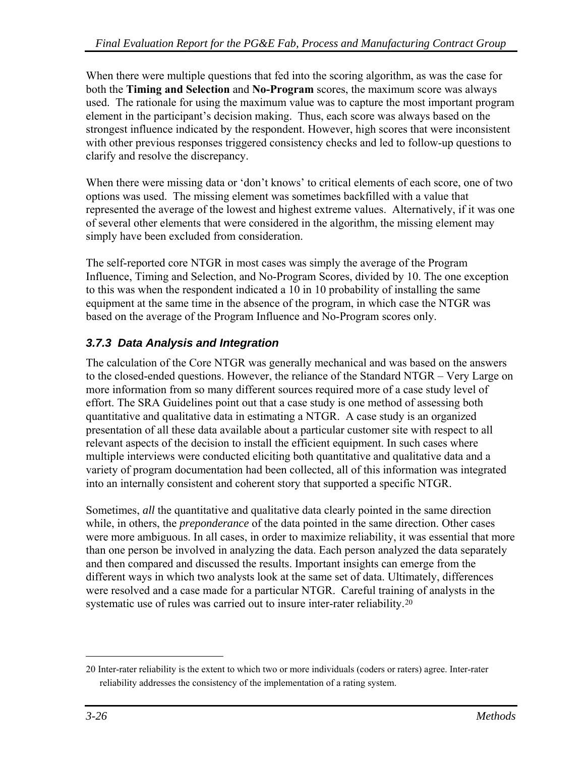<span id="page-61-0"></span>When there were multiple questions that fed into the scoring algorithm, as was the case for both the **Timing and Selection** and **No-Program** scores, the maximum score was always used. The rationale for using the maximum value was to capture the most important program element in the participant's decision making. Thus, each score was always based on the strongest influence indicated by the respondent. However, high scores that were inconsistent with other previous responses triggered consistency checks and led to follow-up questions to clarify and resolve the discrepancy.

When there were missing data or 'don't knows' to critical elements of each score, one of two options was used. The missing element was sometimes backfilled with a value that represented the average of the lowest and highest extreme values. Alternatively, if it was one of several other elements that were considered in the algorithm, the missing element may simply have been excluded from consideration.

The self-reported core NTGR in most cases was simply the average of the Program Influence, Timing and Selection, and No-Program Scores, divided by 10. The one exception to this was when the respondent indicated a 10 in 10 probability of installing the same equipment at the same time in the absence of the program, in which case the NTGR was based on the average of the Program Influence and No-Program scores only.

## *3.7.3 Data Analysis and Integration*

The calculation of the Core NTGR was generally mechanical and was based on the answers to the closed-ended questions. However, the reliance of the Standard NTGR – Very Large on more information from so many different sources required more of a case study level of effort. The SRA Guidelines point out that a case study is one method of assessing both quantitative and qualitative data in estimating a NTGR. A case study is an organized presentation of all these data available about a particular customer site with respect to all relevant aspects of the decision to install the efficient equipment. In such cases where multiple interviews were conducted eliciting both quantitative and qualitative data and a variety of program documentation had been collected, all of this information was integrated into an internally consistent and coherent story that supported a specific NTGR.

Sometimes, *all* the quantitative and qualitative data clearly pointed in the same direction while, in others, the *preponderance* of the data pointed in the same direction. Other cases were more ambiguous. In all cases, in order to maximize reliability, it was essential that more than one person be involved in analyzing the data. Each person analyzed the data separately and then compared and discussed the results. Important insights can emerge from the different ways in which two analysts look at the same set of data. Ultimately, differences were resolved and a case made for a particular NTGR. Careful training of analysts in the systematic use of rules was carried out to insure inter-rater reliability.<sup>[2](#page-61-0)0</sup>

 $\overline{a}$ 

<sup>20</sup> Inter-rater reliability is the extent to which two or more individuals (coders or raters) agree. Inter-rater reliability addresses the consistency of the implementation of a rating system.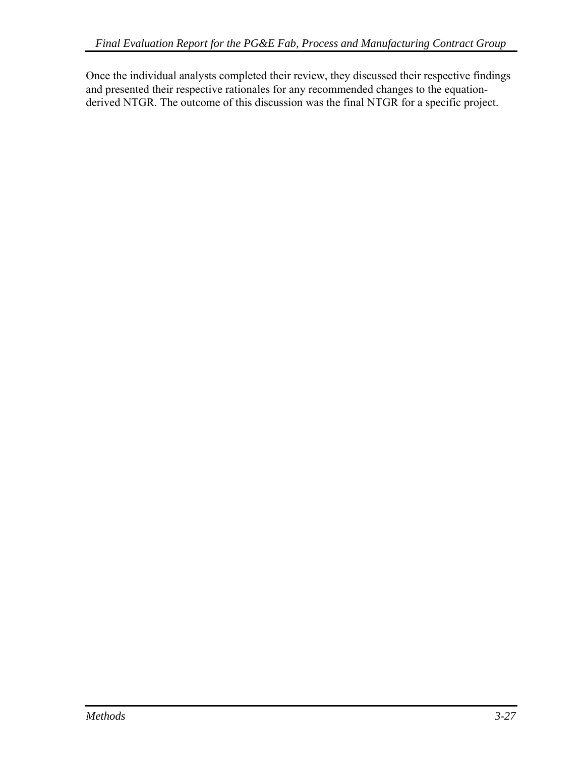Once the individual analysts completed their review, they discussed their respective findings and presented their respective rationales for any recommended changes to the equationderived NTGR. The outcome of this discussion was the final NTGR for a specific project.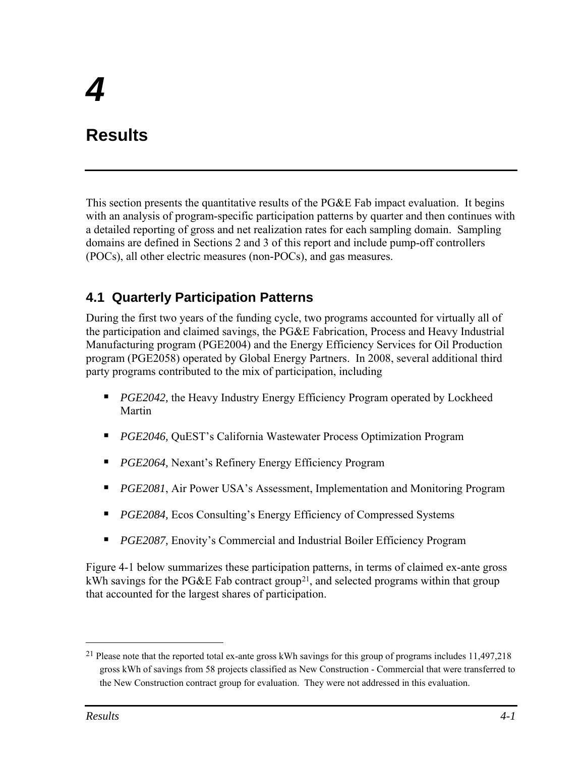# <span id="page-64-0"></span>**Results**

This section presents the quantitative results of the PG&E Fab impact evaluation. It begins with an analysis of program-specific participation patterns by quarter and then continues with a detailed reporting of gross and net realization rates for each sampling domain. Sampling domains are defined in Sections 2 and 3 of this report and include pump-off controllers (POCs), all other electric measures (non-POCs), and gas measures.

## **4.1 Quarterly Participation Patterns**

During the first two years of the funding cycle, two programs accounted for virtually all of the participation and claimed savings, the PG&E Fabrication, Process and Heavy Industrial Manufacturing program (PGE2004) and the Energy Efficiency Services for Oil Production program (PGE2058) operated by Global Energy Partners. In 2008, several additional third party programs contributed to the mix of participation, including

- **PGE2042, the Heavy Industry Energy Efficiency Program operated by Lockheed** Martin
- *PGE2046, QuEST's California Wastewater Process Optimization Program*
- *PGE2064*, Nexant's Refinery Energy Efficiency Program
- *PGE2081*, Air Power USA's Assessment, Implementation and Monitoring Program
- *PGE2084,* Ecos Consulting's Energy Efficiency of Compressed Systems
- *PGE2087*, Enovity's Commercial and Industrial Boiler Efficiency Program

[Figure 4-1](#page-65-0) below summarizes these participation patterns, in terms of claimed ex-ante gross kWh savings for the PG&E Fab contract group<sup>[2](#page-64-0)1</sup>, and selected programs within that group that accounted for the largest shares of participation.

<u>.</u>

<sup>&</sup>lt;sup>21</sup> Please note that the reported total ex-ante gross kWh savings for this group of programs includes 11,497,218 gross kWh of savings from 58 projects classified as New Construction - Commercial that were transferred to the New Construction contract group for evaluation. They were not addressed in this evaluation.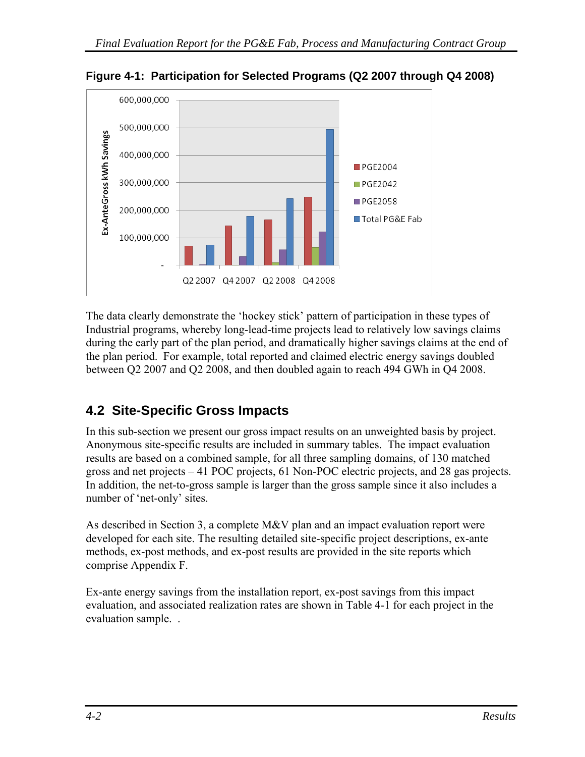

<span id="page-65-0"></span>**Figure 4-1: Participation for Selected Programs (Q2 2007 through Q4 2008)** 

The data clearly demonstrate the 'hockey stick' pattern of participation in these types of Industrial programs, whereby long-lead-time projects lead to relatively low savings claims during the early part of the plan period, and dramatically higher savings claims at the end of the plan period. For example, total reported and claimed electric energy savings doubled between Q2 2007 and Q2 2008, and then doubled again to reach 494 GWh in Q4 2008.

## **4.2 Site-Specific Gross Impacts**

In this sub-section we present our gross impact results on an unweighted basis by project. Anonymous site-specific results are included in summary tables. The impact evaluation results are based on a combined sample, for all three sampling domains, of 130 matched gross and net projects – 41 POC projects, 61 Non-POC electric projects, and 28 gas projects. In addition, the net-to-gross sample is larger than the gross sample since it also includes a number of 'net-only' sites.

As described in Section 3, a complete M&V plan and an impact evaluation report were developed for each site. The resulting detailed site-specific project descriptions, ex-ante methods, ex-post methods, and ex-post results are provided in the site reports which comprise Appendix F.

Ex-ante energy savings from the installation report, ex-post savings from this impact evaluation, and associated realization rates are shown in [Table 4-1](#page-66-0) for each project in the evaluation sample. .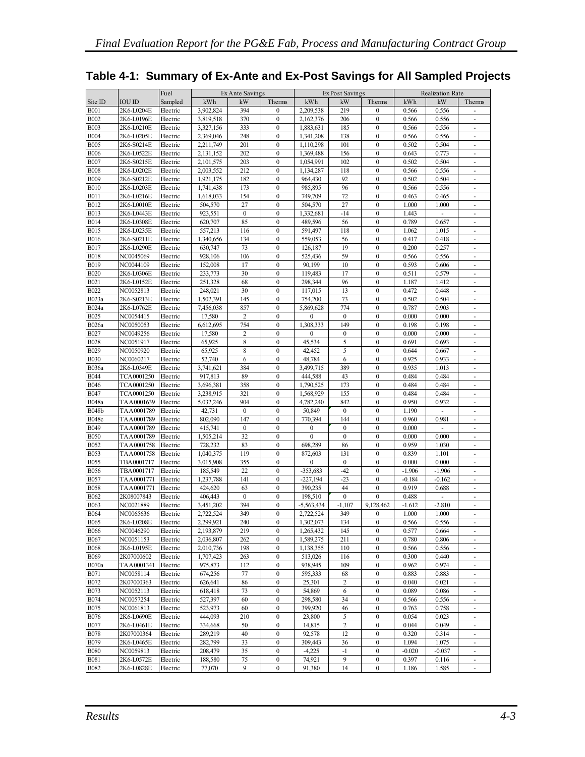|                            |                        | Fuel                 | Ex Ante Savings  |                     |                              | Ex Post Savings |                   | <b>Realization Rate</b>      |                   |                |                                    |
|----------------------------|------------------------|----------------------|------------------|---------------------|------------------------------|-----------------|-------------------|------------------------------|-------------------|----------------|------------------------------------|
| Site ID                    | <b>IOU ID</b>          | Sampled              | kWh              | kW                  | Therms                       | kWh             | kW                | Therms                       | kWh               | kW             | Therms                             |
| <b>B001</b>                | 2K6-L0204E             | Electric             | 3,902,824        | 394                 | $\mathbf{0}$                 | 2,209,538       | 219               | $\mathbf{0}$                 | 0.566             | 0.556          |                                    |
| <b>B002</b>                | 2K6-L0196E             | Electric             | 3,819,518        | 370                 | $\mathbf{0}$                 | 2,162,376       | 206               | $\mathbf{0}$                 | 0.566             | 0.556          | $\blacksquare$                     |
| <b>B003</b>                | 2K6-L0210E             | Electric             | 3,327,156        | 333                 | $\mathbf{0}$                 | 1,883,631       | 185               | $\mathbf{0}$                 | 0.566             | 0.556          |                                    |
| <b>B004</b>                | 2K6-L0205E             | Electric             | 2.369.046        | 248                 | $\mathbf{0}$                 | 1,341,208       | 138               | $\mathbf{0}$                 | 0.566             | 0.556          | $\overline{\phantom{a}}$           |
| <b>B005</b>                | 2K6-S0214E             | Electric             | 2,211,749        | 201                 | $\boldsymbol{0}$             | 1,110,298       | 101               | $\boldsymbol{0}$             | 0.502             | 0.504          | $\overline{\phantom{m}}$           |
| <b>B006</b>                | 2K6-L0522E             | Electric             | 2,131,152        | 202                 | $\boldsymbol{0}$             | 1,369,488       | 156               | $\mathbf{0}$                 | 0.643             | 0.773          | $\blacksquare$                     |
| <b>B007</b>                | 2K6-S0215E             | Electric             | 2,101,575        | 203                 | $\mathbf{0}$                 | 1,054,991       | 102               | $\mathbf{0}$                 | 0.502             | 0.504          |                                    |
| <b>B008</b>                | 2K6-L0202E             | Electric             | 2,003,552        | 212                 | $\mathbf{0}$                 | 1,134,287       | 118               | $\mathbf{0}$                 | 0.566             | 0.556          | $\sim$                             |
| <b>B009</b>                | 2K6-S0212E             | Electric             | 1,921,175        | 182                 | $\bf{0}$                     | 964,430         | 92                | $\mathbf{0}$                 | 0.502             | 0.504          | ÷.                                 |
| <b>B010</b>                | 2K6-L0203E             | Electric             | 1,741,438        | 173                 | $\mathbf{0}$                 | 985,895         | 96                | $\mathbf{0}$                 | 0.566             | 0.556          | $\sim$                             |
| <b>B011</b>                | 2K6-L0216E             | Electric             | 1,618,033        | 154                 | $\mathbf{0}$                 | 749,709         | 72                | $\mathbf{0}$                 | 0.463             | 0.465          | ÷.                                 |
| <b>B012</b>                | 2K6-L0010E             | Electric             | 504,570          | 27                  | $\mathbf{0}$                 | 504,570         | 27                | $\mathbf{0}$                 | 1.000             | 1.000          | $\sim$                             |
| <b>B013</b>                | 2K6-L0443E             | Electric             | 923,551          | $\mathbf{0}$        | $\mathbf{0}$                 | 1,332,681       | $-14$             | $\mathbf{0}$                 | 1.443             | ÷              | ÷.                                 |
| <b>B014</b>                | 2K6-L0308E             | Electric             | 620,707          | 85                  | $\mathbf{0}$                 | 489,596         | 56                | $\mathbf{0}$                 | 0.789             | 0.657          | $\blacksquare$                     |
| <b>B015</b>                | 2K6-L0235E             | Electric             | 557,213          | 116                 | $\bf{0}$                     | 591,497         | 118               | $\boldsymbol{0}$             | 1.062             | 1.015          | $\sim$                             |
| <b>B016</b>                | 2K6-S0211E             | Electric             | 1,340,656        | 134                 | $\boldsymbol{0}$             | 559,053         | 56                | $\mathbf{0}$                 | 0.417             | 0.418          | $\sim$                             |
| <b>B017</b>                | 2K6-L0290E             | Electric             | 630,747          | 73                  | $\bf{0}$                     | 126,187         | 19                | $\bf{0}$                     | 0.200             | 0.257          | $\sim$                             |
| <b>B018</b>                | NC0045069              | Electric             | 928,106          | 106                 | $\boldsymbol{0}$             | 525,436         | 59                | $\mathbf{0}$                 | 0.566             | 0.556          | $\blacksquare$                     |
| <b>B019</b>                | NC0044109              | Electric             | 152,008          | 17                  | $\bf{0}$                     | 90,199          | 10                | $\bf{0}$                     | 0.593             | 0.606          | $\sim$                             |
| <b>B020</b>                | 2K6-L0306E             | Electric             | 233,773          | 30                  | $\boldsymbol{0}$             | 119,483         | 17                | $\boldsymbol{0}$             | 0.511             | 0.579          | $\blacksquare$                     |
| B021                       | 2K6-L0152E             | Electric             | 251,328          | 68                  | $\boldsymbol{0}$             | 298.344         | 96                | $\boldsymbol{0}$             | 1.187             | 1.412          | $\sim$                             |
| <b>B022</b>                | NC0052813              | Electric             | 248,021          | 30                  | $\mathbf{0}$                 | 117,015         | 13                | $\mathbf{0}$                 | 0.472             | 0.448          | $\blacksquare$                     |
| B023a                      | 2K6-S0213E             | Electric             | 1,502,391        | 145                 | $\boldsymbol{0}$             | 754,200         | 73                | $\mathbf{0}$                 | 0.502             | 0.504          | $\sim$                             |
| B024a                      | 2K6-L0762E             | Electric             | 7,456,038        | 857                 | $\mathbf{0}$                 | 5.869.628       | 774               | $\mathbf{0}$                 | 0.787             | 0.903          | ÷.                                 |
| <b>B025</b>                | NC0054415              | Electric             | 17,580           | $\overline{c}$      | $\mathbf{0}$                 | $\mathbf{0}$    | $\mathbf{0}$      | $\mathbf{0}$                 | 0.000             | 0.000          | $\sim$                             |
| <b>B026a</b>               | NC0050053              | Electric             | 6,612,695        | 754                 | $\mathbf{0}$                 | 1,308,333       | 149               | $\mathbf{0}$                 | 0.198             | 0.198          | $\sim$                             |
| <b>B027</b><br><b>B028</b> | NC0049256<br>NC0051917 | Electric<br>Electric | 17,580<br>65,925 | $\overline{c}$<br>8 | $\mathbf{0}$<br>$\mathbf{0}$ | 0<br>45,534     | $\mathbf{0}$<br>5 | $\mathbf{0}$<br>$\mathbf{0}$ | 0.000<br>0.691    | 0.000<br>0.693 | $\sim$<br>$\overline{\phantom{a}}$ |
| <b>B029</b>                | NC0050920              | Electric             | 65.925           | 8                   | $\mathbf{0}$                 | 42,452          | 5                 | $\mathbf{0}$                 | 0.644             | 0.667          | $\sim$                             |
| <b>B030</b>                | NC0060217              | Electric             | 52,740           | 6                   | $\mathbf{0}$                 | 48,784          | 6                 | $\mathbf{0}$                 | 0.925             | 0.933          | $\overline{\phantom{a}}$           |
| <b>B036a</b>               | 2K6-L0349E             | Electric             | 3,741,621        | 384                 | $\mathbf{0}$                 | 3,499,715       | 389               | $\mathbf{0}$                 | 0.935             | 1.013          | $\sim$                             |
| <b>B044</b>                | TCA0001250             | Electric             | 917,813          | 89                  | $\mathbf{0}$                 | 444,588         | 43                | $\mathbf{0}$                 | 0.484             | 0.484          | $\overline{\phantom{a}}$           |
| <b>B046</b>                | TCA0001250             | Electric             | 3,696,381        | 358                 | $\mathbf{0}$                 | 1,790,525       | 173               | $\mathbf{0}$                 | 0.484             | 0.484          | $\sim$                             |
| B047                       | TCA0001250             | Electric             | 3,238,915        | 321                 | $\mathbf{0}$                 | 1,568,929       | 155               | $\mathbf{0}$                 | 0.484             | 0.484          | $\sim$                             |
| <b>B048a</b>               | TAA0001639             | Electric             | 5,032,246        | 904                 | $\mathbf{0}$                 | 4,782,240       | 842               | $\mathbf{0}$                 | 0.950             | 0.932          | $\overline{\phantom{a}}$           |
| <b>B048b</b>               | TAA0001789             | Electric             | 42,731           | $\boldsymbol{0}$    | $\boldsymbol{0}$             | 50,849          | $\mathbf{0}$      | $\mathbf{0}$                 | 1.190             | ÷,             | $\overline{\phantom{a}}$           |
| <b>B048c</b>               | TAA0001789             | Electric             | 802,090          | 147                 | $\mathbf{0}$                 | 770,394         | 144               | $\mathbf{0}$                 | 0.960             | 0.981          |                                    |
| <b>B049</b>                | TAA0001789             | Electric             | 415,741          | $\boldsymbol{0}$    | $\mathbf{0}$                 | 0               | $\mathbf{0}$      | $\mathbf{0}$                 | 0.000             |                | $\sim$                             |
| <b>B050</b>                | TAA0001789             | Electric             | 1,505,214        | 32                  | $\mathbf{0}$                 | $\mathbf{0}$    | $\mathbf{0}$      | $\mathbf{0}$                 | 0.000             | 0.000          |                                    |
| <b>B052</b>                | TAA0001758             | Electric             | 728,232          | 83                  | $\boldsymbol{0}$             | 698,289         | 86                | $\mathbf{0}$                 | 0.959             | 1.030          | $\overline{\phantom{a}}$           |
| <b>B053</b>                | TAA0001758             | Electric             | 1,040,375        | 119                 | $\bf{0}$                     | 872,603         | 131               | $\boldsymbol{0}$             | 0.839             | 1.101          | $\overline{\phantom{a}}$           |
| <b>B055</b>                | TBA0001717             | Electric             | 3,015,908        | 355                 | $\boldsymbol{0}$             | $\mathbf{0}$    | $\mathbf{0}$      | $\mathbf{0}$                 | 0.000             | 0.000          | $\overline{\phantom{a}}$           |
| <b>B056</b>                | TBA0001717             | Electric             | 185,549          | 22                  | $\mathbf{0}$                 | -353,683        | $-42$             | $\mathbf{0}$                 | $-1.906$          | $-1.906$       | $\overline{\phantom{a}}$           |
| <b>B057</b>                | TAA0001771             | Electric             | 1,237,788        | 141                 | $\boldsymbol{0}$             | $-227,194$      | $-23$             | $\boldsymbol{0}$             | $-0.184$          | $-0.162$       | $\overline{\phantom{a}}$           |
| <b>B058</b>                | TAA0001771             | Electric             | 424,620          | 63                  | $\mathbf{0}$                 | 390,235         | 44                | $\mathbf{0}$                 | 0.919             | 0.688          | $\overline{\phantom{a}}$           |
| <b>B062</b>                | 2K08007843             | Electric             | 406.443          | $\boldsymbol{0}$    | $\mathbf{0}$                 | 198,510         | $\mathbf{0}$      | $\mathbf{0}$                 | 0.488             |                | $\overline{\phantom{a}}$           |
| <b>B063</b>                | NC0021889              | Electric             | 3,451,202        | 394                 | $\mathbf{0}$                 | $-5,563,434$    | $-1,107$          | 9,128,462                    | $-1.612$          | $-2.810$       | $\overline{\phantom{a}}$           |
| <b>B064</b>                | NC0065636              | Electric             | 2,722,524        | 349                 | $\mathbf{0}$                 | 2,722,524       | 349               | $\mathbf{0}$                 | 1.000             | 1.000          |                                    |
| <b>B065</b>                | 2K6-L0208E             | Electric             | 2,299,921        | 240                 | $\boldsymbol{0}$             | 1,302,073       | 134               | $\boldsymbol{0}$             | 0.566             | 0.556          | $\overline{\phantom{a}}$           |
| <b>B066</b>                | NC0046290              | Electric             | 2,193,879        | 219                 | $\boldsymbol{0}$             | 1,265,432       | 145               | $\boldsymbol{0}$             | 0.577             | 0.664          | $\overline{\phantom{a}}$           |
| <b>B067</b>                | NC0051153              | Electric             | 2,036,807        | 262                 | $\bf{0}$                     | 1,589,275       | 211               | $\boldsymbol{0}$             | 0.780             | 0.806          | $\overline{\phantom{a}}$           |
| <b>B068</b>                | 2K6-L0195E             | Electric             | 2,010,736        | 198                 | $\boldsymbol{0}$             | 1,138,355       | 110               | $\boldsymbol{0}$             | 0.566             | 0.556          | $\overline{\phantom{a}}$           |
| <b>B069</b>                | 2K07000602             | Electric             | 1,707,423        | 263                 | $\bf{0}$                     | 513,026         | 116               | $\boldsymbol{0}$             | 0.300             | 0.440          | $\overline{\phantom{a}}$           |
| <b>B070a</b>               | TAA0001341             | Electric             | 975,873          | 112                 | $\boldsymbol{0}$             | 938,945         | 109               | $\boldsymbol{0}$             | 0.962             | 0.974          | $\overline{\phantom{a}}$           |
| <b>B071</b>                | NC0058114              | Electric             | 674,256          | 77                  | $\boldsymbol{0}$             | 595,333         | 68                | $\boldsymbol{0}$             | 0.883             | 0.883          |                                    |
| <b>B072</b>                | 2K07000363             | Electric             | 626,641          | 86                  | $\boldsymbol{0}$             | 25,301          | $\sqrt{2}$        | $\boldsymbol{0}$             | 0.040             | 0.021          | $\overline{\phantom{a}}$           |
| <b>B073</b>                | NC0052113              | Electric             | 618,418          | 73                  | $\boldsymbol{0}$             | 54.869          | 6                 | $\boldsymbol{0}$             | 0.089             | 0.086          |                                    |
| <b>B074</b>                | NC0057254              | Electric             | 527,397          | 60                  | $\boldsymbol{0}$             | 298,580         | 34                | $\boldsymbol{0}$             | 0.566             | 0.556          |                                    |
| <b>B075</b>                | NC0061813              | Electric             | 523,973          | 60                  | $\boldsymbol{0}$             | 399,920         | 46                | $\boldsymbol{0}$             | 0.763             | 0.758          |                                    |
| <b>B076</b>                | 2K6-L0690E             | Electric             | 444,093          | 210                 | $\boldsymbol{0}$             | 23,800          | 5                 | $\boldsymbol{0}$             | 0.054             | 0.023          |                                    |
| <b>B077</b>                | 2K6-L0461E             | Electric             | 334,668          | 50                  | $\boldsymbol{0}$             | 14,815          | $\sqrt{2}$        | $\boldsymbol{0}$             | 0.044             | 0.049          |                                    |
| <b>B078</b>                | 2K07000364             | Electric             | 289,219          | 40                  | $\boldsymbol{0}$             | 92,578          | 12                | $\boldsymbol{0}$             | 0.320             | 0.314          |                                    |
| <b>B079</b>                | 2K6-L0465E             | Electric             | 282,799          | 33                  | $\boldsymbol{0}$             | 309,443         | 36                | $\boldsymbol{0}$             | 1.094             | 1.075          |                                    |
| <b>B080</b>                | NC0059813              | Electric             | 208,479          | 35                  | $\boldsymbol{0}$             | $-4,225$        | $-1$<br>9         | $\boldsymbol{0}$             | $-0.020$<br>0.397 | $-0.037$       |                                    |
| <b>B081</b>                | 2K6-L0572E             | Electric             | 188,580          | 75                  | $\boldsymbol{0}$             | 74,921          |                   | $\boldsymbol{0}$             |                   | 0.116          |                                    |
| <b>B082</b>                | 2K6-L0828E             | Electric             | 77,070           | 9                   | $\boldsymbol{0}$             | 91,380          | 14                | $\boldsymbol{0}$             | 1.186             | 1.585          |                                    |

## <span id="page-66-0"></span>**Table 4-1: Summary of Ex-Ante and Ex-Post Savings for All Sampled Projects**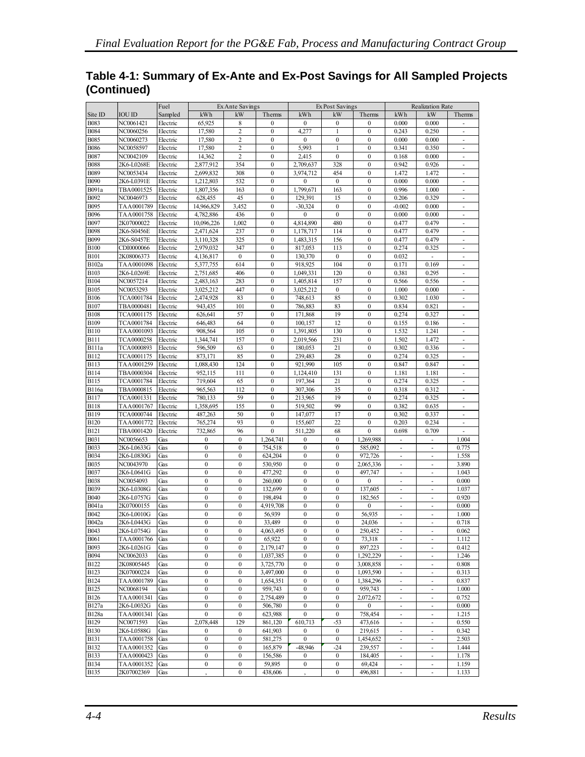|                            |                          | Fuel                 | Ex Ante Savings      |                  |                                  | Ex Post Savings        |                  | Realization Rate                 |                          |                             |                          |
|----------------------------|--------------------------|----------------------|----------------------|------------------|----------------------------------|------------------------|------------------|----------------------------------|--------------------------|-----------------------------|--------------------------|
| Site ID                    | <b>IOU ID</b>            | Sampled              | kWh                  | kW               | Therms                           | kWh                    | kW               | Therms                           | kWh                      | kW                          | Therms                   |
| <b>B083</b>                | NC0061421                | Electric             | 65,925               | 8                | $\mathbf{0}$                     | $\Omega$               | $\mathbf{0}$     | $\mathbf{0}$                     | 0.000                    | 0.000                       |                          |
| <b>B084</b>                | NC0060256                | Electric             | 17,580               | 2                | $\mathbf{0}$                     | 4,277                  | 1                | $\boldsymbol{0}$                 | 0.243                    | 0.250                       |                          |
| <b>B085</b>                | NC0060273                | Electric             | 17,580               | $\overline{c}$   | $\boldsymbol{0}$                 | $\mathbf{0}$           | $\boldsymbol{0}$ | $\boldsymbol{0}$                 | 0.000                    | 0.000                       | ÷.                       |
| <b>B086</b>                | NC0058597                | Electric             | 17,580               | 2                | $\boldsymbol{0}$                 | 5,993                  | 1                | $\boldsymbol{0}$                 | 0.341                    | 0.350                       |                          |
| <b>B087</b>                | NC0042109                | Electric             | 14,362               | $\overline{c}$   | $\mathbf{0}$                     | 2,415                  | $\mathbf{0}$     | $\mathbf{0}$                     | 0.168                    | 0.000                       | $\omega$                 |
| <b>B088</b>                | 2K6-L0268E               | Electric             | 2,877,912            | 354              | $\boldsymbol{0}$                 | 2,709,637              | 328              | $\boldsymbol{0}$                 | 0.942                    | 0.926                       | ٠                        |
| <b>B089</b>                | NC0053434                | Electric             | 2.699.832            | 308              | $\boldsymbol{0}$                 | 3,974,712              | 454              | $\boldsymbol{0}$                 | 1.472                    | 1.472                       | $\overline{\phantom{a}}$ |
| <b>B090</b>                | 2K6-L0391E               | Electric             | 1,212,803            | 532              | $\boldsymbol{0}$                 | $\mathbf{0}$           | $\mathbf{0}$     | $\mathbf{0}$                     | 0.000                    | 0.000                       |                          |
| B091a                      | TBA0001525               | Electric             | 1,807,356            | 163              | $\boldsymbol{0}$                 | 1,799,671              | 163              | $\boldsymbol{0}$                 | 0.996                    | 1.000                       | ×,                       |
| B092                       | NC0046973                | Electric             | 628.455              | 45               | $\mathbf{0}$                     | 129,391                | 15               | $\mathbf{0}$                     | 0.206                    | 0.329                       | ×.                       |
| B095                       | TAA0001789               | Electric             | 14,966,829           | 3,452            | $\boldsymbol{0}$                 | $-30,324$              | $\boldsymbol{0}$ | $\boldsymbol{0}$                 | $-0.002$                 | 0.000                       |                          |
| <b>B096</b>                | TAA0001758               | Electric             | 4,782,886            | 436              | $\mathbf{0}$                     | $\mathbf{0}$           | $\mathbf{0}$     | $\boldsymbol{0}$                 | 0.000                    | 0.000                       | ÷.                       |
| B097                       | 2K07000022               | Electric             | 10,096,226           | 1,002            | $\boldsymbol{0}$                 | 4,814,890              | 480              | $\boldsymbol{0}$                 | 0.477                    | 0.479                       |                          |
| <b>B098</b>                | 2K6-S0456E               | Electric             | 2,471,624            | 237              | $\overline{0}$                   | 1,178,717              | 114              | $\mathbf{0}$                     | 0.477                    | 0.479                       | ä,                       |
| <b>B099</b>                | 2K6-S0457E               | Electric             | 3,110,328            | 325              | $\boldsymbol{0}$                 | 1,483,315              | 156              | $\bf{0}$                         | 0.477                    | 0.479                       | ٠                        |
| <b>B100</b>                | CDI0000066               | Electric             | 2,979,032            | 347              | $\boldsymbol{0}$                 | 817,053                | 113              | $\boldsymbol{0}$                 | 0.274                    | 0.325                       | $\sim$                   |
| <b>B101</b>                | 2K08006373               | Electric             | 4,136,817            | $\mathbf{0}$     | $\boldsymbol{0}$                 | 130,370                | $\mathbf{0}$     | $\boldsymbol{0}$                 | 0.032                    | ÷,                          |                          |
| <b>B102a</b>               | TAA0001098               | Electric             | 5,377,755            | 614              | $\mathbf{0}$                     | 918,925                | 104              | $\boldsymbol{0}$                 | 0.171                    | 0.169                       | $\overline{\phantom{a}}$ |
| <b>B103</b>                | 2K6-L0269E               | Electric             | 2,751,685            | 406              | $\mathbf{0}$                     | 1,049,331              | 120              | $\mathbf{0}$                     | 0.381                    | 0.295                       |                          |
| <b>B104</b>                | NC0057214                | Electric             | 2,483,163            | 283              | $\boldsymbol{0}$                 | 1,405,814              | 157              | $\boldsymbol{0}$                 | 0.566                    | 0.556                       | ×.                       |
| <b>B105</b>                | NC0053293                | Electric             | 3,025,212            | 447              | $\mathbf{0}$                     | 3,025,212              | $\mathbf{0}$     | $\mathbf{0}$                     | 1.000                    | 0.000                       | ÷.                       |
| <b>B106</b>                | TCA0001784               | Electric             | 2,474,928            | 83               | $\boldsymbol{0}$                 | 748,613                | 85               | $\boldsymbol{0}$                 | 0.302                    | 1.030                       |                          |
| <b>B107</b>                | TBA0000481               | Electric             | 943,435              | 101              | $\boldsymbol{0}$                 | 786,883                | 83               | $\boldsymbol{0}$                 | 0.834                    | 0.821                       | $\overline{\phantom{a}}$ |
| <b>B108</b>                | TCA0001175               | Electric             | 626,641              | 57               | $\boldsymbol{0}$                 | 171,868<br>100.157     | 19               | $\boldsymbol{0}$<br>$\mathbf{0}$ | 0.274                    | 0.327                       |                          |
| <b>B109</b>                | TCA0001784               | Electric             | 646,483              | 64<br>105        | $\boldsymbol{0}$<br>$\mathbf{0}$ |                        | 12               | $\mathbf{0}$                     | 0.155<br>1.532           | 0.186<br>1.241              | ÷                        |
| <b>B110</b><br><b>B111</b> | TAA0001093<br>TCA0000258 | Electric<br>Electric | 908,564<br>1,344,741 | 157              | $\boldsymbol{0}$                 | 1,391,805<br>2,019,566 | 130<br>231       | $\boldsymbol{0}$                 | 1.502                    | 1.472                       |                          |
| <b>B111a</b>               | TCA0000893               | Electric             | 596,509              | 63               | $\boldsymbol{0}$                 | 180,053                | 21               | $\boldsymbol{0}$                 | 0.302                    | 0.336                       | $\overline{\phantom{a}}$ |
| <b>B112</b>                | TCA0001175               | Electric             | 873,171              | 85               | $\mathbf{0}$                     | 239,483                | 28               | $\mathbf{0}$                     | 0.274                    | 0.325                       |                          |
| <b>B113</b>                | TAA0001259               | Electric             | 1,088,430            | 124              | $\mathbf{0}$                     | 921,990                | 105              | $\mathbf{0}$                     | 0.847                    | 0.847                       | ×.                       |
| <b>B114</b>                | TBA0000304               | Electric             | 952.115              | 111              | $\boldsymbol{0}$                 | 1,124,410              | 131              | $\boldsymbol{0}$                 | 1.181                    | 1.181                       | ÷.                       |
| <b>B115</b>                | TCA0001784               | Electric             | 719,604              | 65               | $\boldsymbol{0}$                 | 197,364                | 21               | $\mathbf{0}$                     | 0.274                    | 0.325                       |                          |
| <b>B116a</b>               | TBA0000815               | Electric             | 965,563              | 112              | $\mathbf{0}$                     | 307,306                | 35               | $\boldsymbol{0}$                 | 0.318                    | 0.312                       | ٠                        |
| <b>B117</b>                | TCA0001331               | Electric             | 780,133              | 59               | $\overline{0}$                   | 213,965                | 19               | $\mathbf{0}$                     | 0.274                    | 0.325                       | ä,                       |
| <b>B118</b>                | TAA0001767               | Electric             | 1,358,695            | 155              | $\boldsymbol{0}$                 | 519,502                | 99               | $\boldsymbol{0}$                 | 0.382                    | 0.635                       | $\sim$                   |
| <b>B119</b>                | TCA0000744               | Electric             | 487,263              | 50               | $\mathbf{0}$                     | 147,077                | 17               | $\mathbf{0}$                     | 0.302                    | 0.337                       | ٠                        |
| <b>B120</b>                | TAA0001772               | Electric             | 765,274              | 93               | $\mathbf{0}$                     | 155,607                | 22               | $\boldsymbol{0}$                 | 0.203                    | 0.234                       |                          |
| <b>B121</b>                | TBA0001420               | Electric             | 732,865              | 96               | $\mathbf{0}$                     | 511,220                | 68               | $\mathbf{0}$                     | 0.698                    | 0.709                       |                          |
| <b>B031</b>                | NC0056653                | Gas                  | $\boldsymbol{0}$     | $\boldsymbol{0}$ | 1,264,741                        | $\bf{0}$               | $\mathbf{0}$     | 1,269,988                        |                          |                             | 1.004                    |
| <b>B033</b>                | 2K6-L0633G               | Gas                  | $\boldsymbol{0}$     | $\boldsymbol{0}$ | 754,518                          | $\boldsymbol{0}$       | $\boldsymbol{0}$ | 585,092                          | ×,                       | L,                          | 0.775                    |
| <b>B034</b>                | 2K6-L0830G               | Gas                  | $\mathbf{0}$         | $\mathbf{0}$     | 624,204                          | $\Omega$               | $\mathbf{0}$     | 972,726                          | $\omega$                 | $\mathbf{r}$                | 1.558                    |
| B035                       | NC0043970                | Gas                  | $\boldsymbol{0}$     | $\bf{0}$         | 530,950                          | $\boldsymbol{0}$       | $\boldsymbol{0}$ | 2,065,336                        | ×,                       | L,                          | 3.890                    |
| B037                       | 2K6-L0641G               | Gas                  | $\mathbf{0}$         | $\mathbf{0}$     | 477,292                          | $\mathbf{0}$           | $\mathbf{0}$     | 497,747                          | $\bar{a}$                | $\overline{\phantom{a}}$    | 1.043                    |
| <b>B038</b>                | NC0054093                | Gas                  | $\boldsymbol{0}$     | $\boldsymbol{0}$ | 260,000                          | $\boldsymbol{0}$       | $\boldsymbol{0}$ | $\bf{0}$                         | ÷,                       | ÷,                          | 0.000                    |
| B039                       | 2K6-L0308G               | Gas                  | $\boldsymbol{0}$     | $\boldsymbol{0}$ | 132.699                          | $\mathbf{0}$           | $\mathbf{0}$     | 137,605                          | $\bar{a}$                | $\blacksquare$              | 1.037                    |
| <b>B040</b>                | 2K6-L0757G               | Gas                  | $\mathbf{0}$         | $\mathbf{0}$     | 198.494                          | $\mathbf{0}$           | $\boldsymbol{0}$ | 182,565                          | ÷.                       | ä,                          | 0.920                    |
| B041a                      | 2K07000155               | Gas                  | $\overline{0}$       | $\boldsymbol{0}$ | 4,919,708                        | $\mathbf{0}$           | $\mathbf{0}$     | $\mathbf{0}$                     | $\overline{\phantom{a}}$ | $\frac{1}{2}$               | 0.000                    |
| B042                       | 2K6-L0010G               | Gas                  | $\mathbf{0}$         | $\mathbf{0}$     | 56,939                           | $\mathbf{0}$           | $\mathbf{0}$     | 56,935                           |                          |                             | 1.000                    |
| B042a                      | 2K6-L0443G               | Gas                  | $\mathbf{0}$         | $\mathbf{0}$     | 33,489                           | $\mathbf{0}$           | $\boldsymbol{0}$ | 24,036                           |                          | i,                          | 0.718                    |
| B043                       | 2K6-L0754G               | Gas                  | $\boldsymbol{0}$     | $\boldsymbol{0}$ | 4,063,495                        | $\boldsymbol{0}$       | $\boldsymbol{0}$ | 250,452                          |                          |                             | 0.062                    |
| <b>B061</b>                | TAA0001766               | Gas                  | $\boldsymbol{0}$     | $\boldsymbol{0}$ | 65,922                           | $\bf{0}$               | $\boldsymbol{0}$ | 73,318                           | ×.                       | ä,                          | 1.112                    |
| <b>B093</b>                | 2K6-L0261G               | Gas                  | $\boldsymbol{0}$     | $\bf{0}$         | 2,179,147                        | $\mathbf{0}$           | $\mathbf{0}$     | 897,223                          |                          |                             | 0.412                    |
| <b>B094</b>                | NC0062033                | Gas                  | $\bf{0}$             | $\bf{0}$         | 1,037,385                        | $\bf{0}$               | $\boldsymbol{0}$ | 1,292,229                        | $\sim$                   | ä,                          | 1.246                    |
| <b>B122</b>                | 2K08005445               | Gas                  | $\boldsymbol{0}$     | $\bf{0}$         | 3,725,770                        | $\bf{0}$               | $\boldsymbol{0}$ | 3,008,858                        | $\blacksquare$           | ÷,                          | 0.808                    |
| <b>B123</b>                | 2K07000224               | Gas                  | $\boldsymbol{0}$     | $\bf{0}$         | 3,497,000                        | $\bf{0}$               | $\boldsymbol{0}$ | 1,093,590                        | ٠                        | ÷,                          | 0.313                    |
| <b>B124</b>                | TAA0001789               | Gas                  | $\bf{0}$             | $\bf{0}$         | 1,654,351                        | $\mathbf{0}$           | $\mathbf{0}$     | 1,384,296                        | ÷.                       | $\blacksquare$              | 0.837                    |
| <b>B125</b>                | NC0068194                | Gas                  | $\mathbf{0}$         | $\boldsymbol{0}$ | 959.743                          | $\mathbf{0}$           | $\mathbf{0}$     | 959,743                          | $\sim$                   | $\overline{\phantom{m}}$    | 1.000                    |
| <b>B126</b>                | TAA0001341               | Gas                  | $\boldsymbol{0}$     | $\boldsymbol{0}$ | 2,754,489                        | $\mathbf{0}$           | $\boldsymbol{0}$ | 2,072,672                        | $\blacksquare$           | ÷,                          | 0.752                    |
| B127a                      | 2K6-L0032G               | Gas                  | $\boldsymbol{0}$     | $\bf{0}$         | 506,780                          | $\mathbf{0}$           | $\mathbf{0}$     | $\bf{0}$                         |                          |                             | 0.000                    |
| <b>B128a</b>               | TAA0001341               | Gas                  | $\boldsymbol{0}$     | $\boldsymbol{0}$ | 623,988                          | $\boldsymbol{0}$       | $\boldsymbol{0}$ | 758,454                          | $\bar{a}$                | $\blacksquare$              | 1.215                    |
| <b>B129</b>                | NC0071593                | Gas                  | 2,078,448            | 129              | 861,120                          | 610,713                | $-53$            | 473,616                          | $\omega$                 | ä,                          | 0.550                    |
| <b>B130</b>                | 2K6-L0588G               | Gas                  | $\boldsymbol{0}$     | $\bf{0}$         | 641,903                          | $\mathbf{0}$           | $\mathbf{0}$     | 219,615                          | ÷.                       | ä,                          | 0.342                    |
| <b>B131</b>                | TAA0001758               | Gas                  | $\boldsymbol{0}$     | $\bf{0}$         | 581.275                          | $\mathbf{0}$           | $\boldsymbol{0}$ | 1,454,652                        |                          | ä,                          | 2.503                    |
| <b>B132</b>                | TAA0001352               | Gas                  | $\bf{0}$             | $\bf{0}$         | 165,879                          | -48,946                | $-24$            | 239,557                          | $\sim$                   | ÷,                          | 1.444                    |
| <b>B133</b>                | TAA0000423               | Gas                  | $\boldsymbol{0}$     | $\bf{0}$         | 156,586                          | $\boldsymbol{0}$       | $\boldsymbol{0}$ | 184,405                          | $\overline{\phantom{a}}$ | $\frac{1}{2}$               | 1.178                    |
| <b>B134</b>                | TAA0001352               | Gas                  | $\mathbf{0}$         | $\boldsymbol{0}$ | 59,895                           | $\bf{0}$               | $\boldsymbol{0}$ | 69,424                           | $\overline{\phantom{a}}$ | $\overline{\phantom{a}}$    | 1.159                    |
| B135                       | 2K07002369               | Gas                  |                      | $\mathbf{0}$     | 438,606                          |                        | $\overline{0}$   | 496,881                          | $\omega$                 | $\mathcal{L}_{\mathcal{A}}$ | 1.133                    |

### **Table 4-1: Summary of Ex-Ante and Ex-Post Savings for All Sampled Projects (Continued)**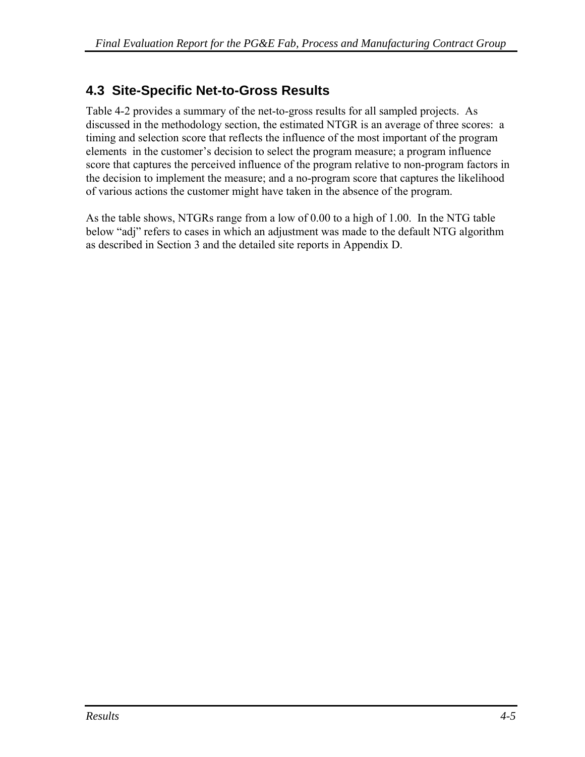## **4.3 Site-Specific Net-to-Gross Results**

[Table 4-2](#page-69-0) provides a summary of the net-to-gross results for all sampled projects. As discussed in the methodology section, the estimated NTGR is an average of three scores: a timing and selection score that reflects the influence of the most important of the program elements in the customer's decision to select the program measure; a program influence score that captures the perceived influence of the program relative to non-program factors in the decision to implement the measure; and a no-program score that captures the likelihood of various actions the customer might have taken in the absence of the program.

As the table shows, NTGRs range from a low of 0.00 to a high of 1.00. In the NTG table below "adj" refers to cases in which an adjustment was made to the default NTG algorithm as described in Section 3 and the detailed site reports in Appendix D.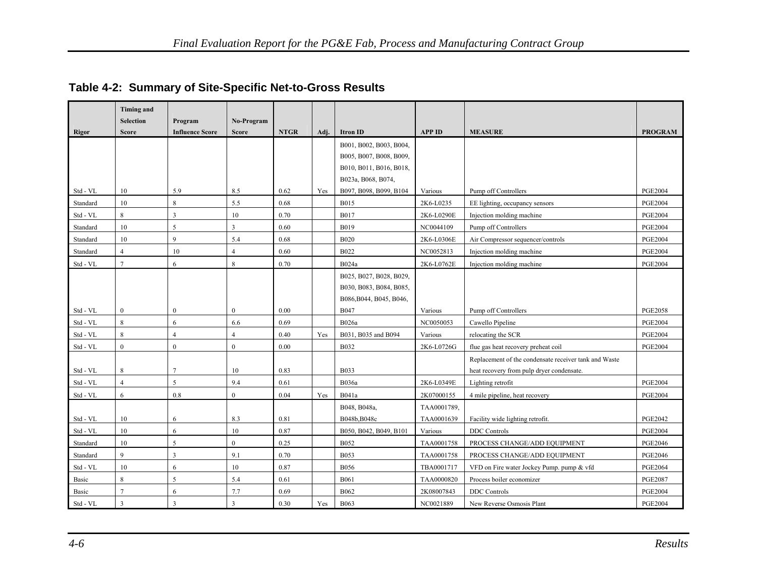<span id="page-69-0"></span>

|              | <b>Timing and</b>       |                        |                |             |      |                         |               |                                                       |                |
|--------------|-------------------------|------------------------|----------------|-------------|------|-------------------------|---------------|-------------------------------------------------------|----------------|
|              | <b>Selection</b>        | Program                | No-Program     |             |      |                         |               |                                                       |                |
| <b>Rigor</b> | <b>Score</b>            | <b>Influence Score</b> | <b>Score</b>   | <b>NTGR</b> | Adj. | <b>Itron ID</b>         | <b>APP ID</b> | <b>MEASURE</b>                                        | <b>PROGRAM</b> |
|              |                         |                        |                |             |      | B001, B002, B003, B004, |               |                                                       |                |
|              |                         |                        |                |             |      | B005, B007, B008, B009, |               |                                                       |                |
|              |                         |                        |                |             |      | B010, B011, B016, B018, |               |                                                       |                |
|              |                         |                        |                |             |      | B023a, B068, B074,      |               |                                                       |                |
| Std - VL     | 10                      | 5.9                    | 8.5            | 0.62        | Yes  | B097, B098, B099, B104  | Various       | Pump off Controllers                                  | <b>PGE2004</b> |
| Standard     | 10                      | 8                      | 5.5            | 0.68        |      | <b>B015</b>             | 2K6-L0235     | EE lighting, occupancy sensors                        | <b>PGE2004</b> |
| Std - VL     | 8                       | 3                      | 10             | 0.70        |      | <b>B017</b>             | 2K6-L0290E    | Injection molding machine                             | <b>PGE2004</b> |
| Standard     | 10                      | 5                      | $\overline{3}$ | 0.60        |      | <b>B019</b>             | NC0044109     | Pump off Controllers                                  | <b>PGE2004</b> |
| Standard     | 10                      | 9                      | 5.4            | 0.68        |      | <b>B020</b>             | 2K6-L0306E    | Air Compressor sequencer/controls                     | <b>PGE2004</b> |
| Standard     | $\overline{4}$          | 10                     | $\overline{4}$ | 0.60        |      | <b>B022</b>             | NC0052813     | Injection molding machine                             | <b>PGE2004</b> |
| Std - VL     | $\overline{7}$          | 6                      | $\,8\,$        | 0.70        |      | B024a                   | 2K6-L0762E    | Injection molding machine                             | <b>PGE2004</b> |
|              |                         |                        |                |             |      | B025, B027, B028, B029, |               |                                                       |                |
|              |                         |                        |                |             |      | B030, B083, B084, B085, |               |                                                       |                |
|              |                         |                        |                |             |      | B086, B044, B045, B046, |               |                                                       |                |
| Std - VL     | $\bf{0}$                | $\mathbf{0}$           | $\bf{0}$       | 0.00        |      | <b>B047</b>             | Various       | Pump off Controllers                                  | <b>PGE2058</b> |
| Std - VL     | $\,8\,$                 | 6                      | 6.6            | 0.69        |      | B026a                   | NC0050053     | Cawello Pipeline                                      | <b>PGE2004</b> |
| Std - VL     | 8                       | $\overline{4}$         | $\overline{4}$ | 0.40        | Yes  | B031, B035 and B094     | Various       | relocating the SCR                                    | <b>PGE2004</b> |
| Std - VL     | $\mathbf{0}$            | $\mathbf{0}$           | $\mathbf{0}$   | 0.00        |      | <b>B032</b>             | 2K6-L0726G    | flue gas heat recovery preheat coil                   | <b>PGE2004</b> |
|              |                         |                        |                |             |      |                         |               | Replacement of the condensate receiver tank and Waste |                |
| Std - VL     | 8                       | 7                      | 10             | 0.83        |      | <b>B033</b>             |               | heat recovery from pulp dryer condensate.             |                |
| Std - VL     | $\overline{4}$          | 5                      | 9.4            | 0.61        |      | B036a                   | 2K6-L0349E    | Lighting retrofit                                     | <b>PGE2004</b> |
| Std - VL     | 6                       | 0.8                    | $\mathbf{0}$   | 0.04        | Yes  | B041a                   | 2K07000155    | 4 mile pipeline, heat recovery                        | <b>PGE2004</b> |
|              |                         |                        |                |             |      | B048, B048a,            | TAA0001789,   |                                                       |                |
| Std - VL     | 10                      | 6                      | 8.3            | 0.81        |      | B048b, B048c            | TAA0001639    | Facility wide lighting retrofit.                      | <b>PGE2042</b> |
| Std - VL     | 10                      | 6                      | 10             | 0.87        |      | B050, B042, B049, B101  | Various       | <b>DDC</b> Controls                                   | <b>PGE2004</b> |
| Standard     | 10                      | 5                      | $\mathbf{0}$   | 0.25        |      | <b>B052</b>             | TAA0001758    | PROCESS CHANGE/ADD EQUIPMENT                          | <b>PGE2046</b> |
| Standard     | 9                       | 3                      | 9.1            | 0.70        |      | <b>B053</b>             | TAA0001758    | PROCESS CHANGE/ADD EQUIPMENT                          | <b>PGE2046</b> |
| Std - VL     | 10                      | 6                      | 10             | 0.87        |      | <b>B056</b>             | TBA0001717    | VFD on Fire water Jockey Pump. pump & vfd             | <b>PGE2064</b> |
| Basic        | 8                       | 5                      | 5.4            | 0.61        |      | <b>B061</b>             | TAA0000820    | Process boiler economizer                             | <b>PGE2087</b> |
| Basic        | $\overline{7}$          | 6                      | 7.7            | 0.69        |      | <b>B062</b>             | 2K08007843    | <b>DDC</b> Controls                                   | <b>PGE2004</b> |
| Std - VL     | $\overline{\mathbf{3}}$ |                        | $\overline{3}$ | 0.30        | Yes  | <b>B063</b>             | NC0021889     | New Reverse Osmosis Plant                             | <b>PGE2004</b> |

## **Table 4-2: Summary of Site-Specific Net-to-Gross Results**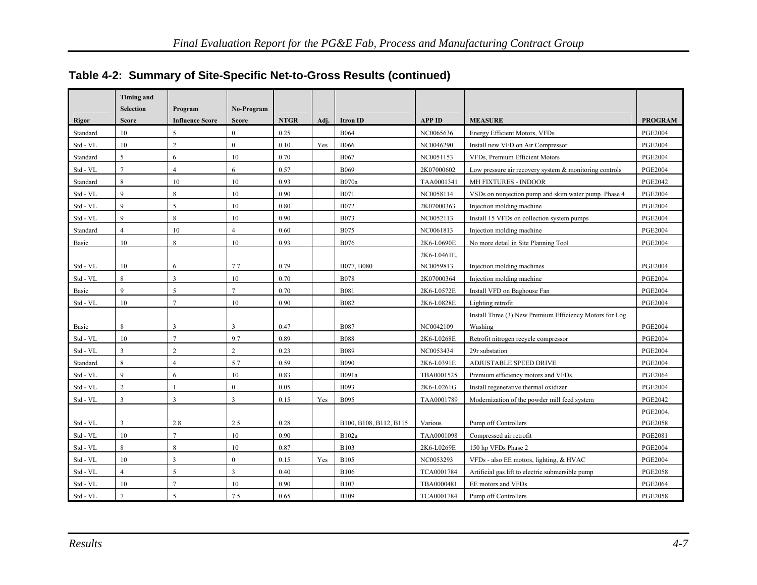|                          | <b>Timing and</b>       |                        |                         |             |      |                        |               |                                                           |                |
|--------------------------|-------------------------|------------------------|-------------------------|-------------|------|------------------------|---------------|-----------------------------------------------------------|----------------|
|                          | <b>Selection</b>        | Program                | No-Program              |             |      |                        |               |                                                           |                |
| <b>Rigor</b>             | <b>Score</b>            | <b>Influence Score</b> | <b>Score</b>            | <b>NTGR</b> | Adj. | <b>Itron ID</b>        | <b>APP ID</b> | <b>MEASURE</b>                                            | <b>PROGRAM</b> |
| Standard                 | 10                      | $\varsigma$            | $\theta$                | 0.25        |      | <b>B064</b>            | NC0065636     | Energy Efficient Motors, VFDs                             | <b>PGE2004</b> |
| Std - VL                 | 10                      | $\overline{2}$         | $\mathbf{0}$            | 0.10        | Yes  | <b>B066</b>            | NC0046290     | Install new VFD on Air Compressor                         | <b>PGE2004</b> |
| Standard                 | 5                       | 6                      | 10                      | 0.70        |      | <b>B067</b>            | NC0051153     | VFDs, Premium Efficient Motors                            | <b>PGE2004</b> |
| Std - VL                 | $\overline{7}$          | $\overline{4}$         | 6                       | 0.57        |      | <b>B069</b>            | 2K07000602    | Low pressure air recovery system $\&$ monitoring controls | <b>PGE2004</b> |
| Standard                 | 8                       | 10                     | 10                      | 0.93        |      | <b>B070a</b>           | TAA0001341    | MH FIXTURES - INDOOR                                      | <b>PGE2042</b> |
| Std - VL                 | 9                       | 8                      | 10                      | 0.90        |      | B071                   | NC0058114     | VSDs on reinjection pump and skim water pump. Phase 4     | <b>PGE2004</b> |
| Std - VL                 | $\overline{9}$          | 5                      | 10                      | 0.80        |      | B072                   | 2K07000363    | Injection molding machine                                 | <b>PGE2004</b> |
| Std - VL                 | $\mathbf{Q}$            | 8                      | 10                      | 0.90        |      | B073                   | NC0052113     | Install 15 VFDs on collection system pumps                | <b>PGE2004</b> |
| Standard                 | $\overline{4}$          | 10                     | $\overline{4}$          | 0.60        |      | <b>B075</b>            | NC0061813     | Injection molding machine                                 | <b>PGE2004</b> |
| Basic                    | 10                      | 8                      | 10                      | 0.93        |      | <b>B076</b>            | 2K6-L0690E    | No more detail in Site Planning Tool                      | <b>PGE2004</b> |
|                          |                         |                        |                         |             |      |                        | 2K6-L0461E,   |                                                           |                |
| Std - VL                 | 10                      | 6                      | 7.7                     | 0.79        |      | B077, B080             | NC0059813     | Injection molding machines                                | <b>PGE2004</b> |
| Std - VL                 | 8                       | 3                      | 10                      | 0.70        |      | <b>B078</b>            | 2K07000364    | Injection molding machine                                 | <b>PGE2004</b> |
| Basic                    | $\overline{9}$          | 5                      | $\overline{7}$          | 0.70        |      | <b>B081</b>            | 2K6-L0572E    | Install VFD on Baghouse Fan                               | <b>PGE2004</b> |
| Std - VL                 | 10                      | $\overline{7}$         | 10                      | 0.90        |      | <b>B082</b>            | 2K6-L0828E    | Lighting retrofit                                         | <b>PGE2004</b> |
|                          |                         |                        |                         |             |      |                        |               | Install Three (3) New Premium Efficiency Motors for Log   |                |
| Basic                    | 8                       | 3                      | $\overline{3}$          | 0.47        |      | <b>B087</b>            | NC0042109     | Washing                                                   | <b>PGE2004</b> |
| Std - VL                 | 10                      | $\overline{7}$         | 9.7                     | 0.89        |      | <b>B088</b>            | 2K6-L0268E    | Retrofit nitrogen recycle compressor                      | <b>PGE2004</b> |
| ${\rm Std}$ - ${\rm VL}$ | $\overline{\mathbf{3}}$ | $\overline{c}$         | $\overline{2}$          | 0.23        |      | <b>B089</b>            | NC0053434     | 29r substation                                            | <b>PGE2004</b> |
| Standard                 | $\,8\,$                 | 4                      | 5.7                     | 0.59        |      | <b>B090</b>            | 2K6-L0391E    | ADJUSTABLE SPEED DRIVE                                    | <b>PGE2004</b> |
| Std - VL                 | 9                       | 6                      | 10                      | 0.83        |      | B091a                  | TBA0001525    | Premium efficiency motors and VFDs.                       | <b>PGE2064</b> |
| Std - VL                 | $\overline{2}$          |                        | $\mathbf{0}$            | 0.05        |      | <b>B093</b>            | 2K6-L0261G    | Install regenerative thermal oxidizer                     | <b>PGE2004</b> |
| Std - VL                 | $\overline{3}$          | $\overline{3}$         | 3                       | 0.15        | Yes  | B095                   | TAA0001789    | Modernization of the powder mill feed system              | <b>PGE2042</b> |
|                          |                         |                        |                         |             |      |                        |               |                                                           | PGE2004,       |
| Std - VL                 | $\overline{3}$          | 2.8                    | 2.5                     | 0.28        |      | B100, B108, B112, B115 | Various       | Pump off Controllers                                      | <b>PGE2058</b> |
| Std - VL                 | 10                      | $\overline{7}$         | 10                      | 0.90        |      | B102a                  | TAA0001098    | Compressed air retrofit                                   | <b>PGE2081</b> |
| Std - VL                 | 8                       | 8                      | 10                      | 0.87        |      | <b>B103</b>            | 2K6-L0269E    | 150 hp VFDs Phase 2                                       | <b>PGE2004</b> |
| Std - VL                 | 10                      | 3                      | $\mathbf{0}$            | 0.15        | Yes  | <b>B105</b>            | NC0053293     | VFDs - also EE motors, lighting, & HVAC                   | <b>PGE2004</b> |
| Std - VL                 | $\overline{4}$          | 5                      | $\overline{\mathbf{3}}$ | 0.40        |      | <b>B106</b>            | TCA0001784    | Artificial gas lift to electric submersible pump          | <b>PGE2058</b> |
| Std - VL                 | 10                      | $\overline{7}$         | 10                      | 0.90        |      | <b>B107</b>            | TBA0000481    | EE motors and VFDs                                        | <b>PGE2064</b> |
| Std - VL                 | $\overline{7}$          | $\varsigma$            | 7.5                     | 0.65        |      | <b>B109</b>            | TCA0001784    | Pump off Controllers                                      | <b>PGE2058</b> |

## **Table 4-2: Summary of Site-Specific Net-to-Gross Results (continued)**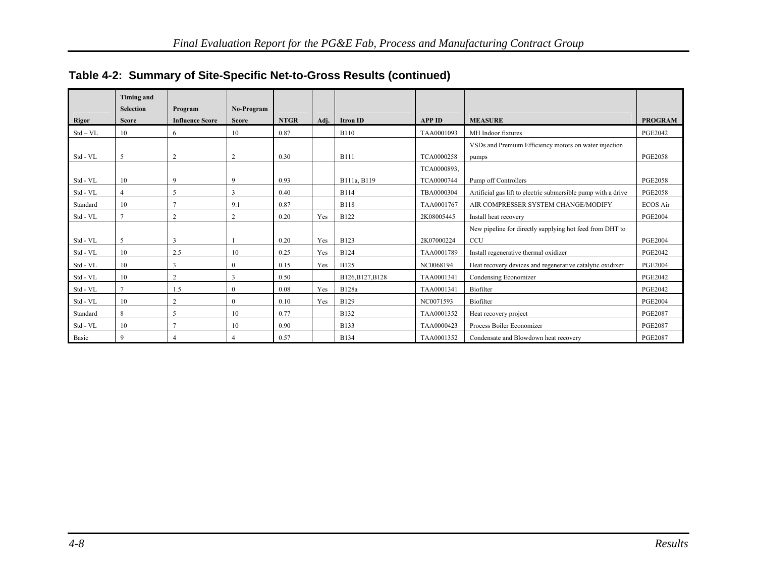|              | <b>Timing and</b>                |                                   |                            |             |      |                  |               |                                                               |                 |
|--------------|----------------------------------|-----------------------------------|----------------------------|-------------|------|------------------|---------------|---------------------------------------------------------------|-----------------|
| <b>Rigor</b> | <b>Selection</b><br><b>Score</b> | Program<br><b>Influence Score</b> | No-Program<br><b>Score</b> | <b>NTGR</b> | Adi. | <b>Itron ID</b>  | <b>APP ID</b> | <b>MEASURE</b>                                                | <b>PROGRAM</b>  |
| $Std - VL$   | 10                               | 6                                 | 10                         | 0.87        |      | <b>B110</b>      | TAA0001093    | MH Indoor fixtures                                            | <b>PGE2042</b>  |
|              |                                  |                                   |                            |             |      |                  |               | VSDs and Premium Efficiency motors on water injection         |                 |
| Std - VL     | 5                                |                                   | $\overline{2}$             | 0.30        |      | <b>B111</b>      | TCA0000258    | pumps                                                         | <b>PGE2058</b>  |
|              |                                  |                                   |                            |             |      |                  | TCA0000893,   |                                                               |                 |
| Std - VL     | 10                               | $\mathbf Q$                       | 9                          | 0.93        |      | B111a, B119      | TCA0000744    | Pump off Controllers                                          | <b>PGE2058</b>  |
| Std - VL     | $\overline{4}$                   | 5                                 | 3                          | 0.40        |      | <b>B114</b>      | TBA0000304    | Artificial gas lift to electric submersible pump with a drive | <b>PGE2058</b>  |
| Standard     | 10                               |                                   | 9.1                        | 0.87        |      | <b>B118</b>      | TAA0001767    | AIR COMPRESSER SYSTEM CHANGE/MODIFY                           | <b>ECOS Air</b> |
| Std - VL     | $\mathcal{I}$                    | $\overline{c}$                    | $\overline{2}$             | 0.20        | Yes  | <b>B122</b>      | 2K08005445    | Install heat recovery                                         | <b>PGE2004</b>  |
|              |                                  |                                   |                            |             |      |                  |               | New pipeline for directly supplying hot feed from DHT to      |                 |
| Std - VL     | 5                                | 3                                 |                            | 0.20        | Yes  | <b>B123</b>      | 2K07000224    | CCU                                                           | <b>PGE2004</b>  |
| Std - VL     | 10                               | 2.5                               | 10                         | 0.25        | Yes  | <b>B124</b>      | TAA0001789    | Install regenerative thermal oxidizer                         | <b>PGE2042</b>  |
| Std - VL     | 10                               | 3                                 | $\overline{0}$             | 0.15        | Yes  | <b>B125</b>      | NC0068194     | Heat recovery devices and regenerative catalytic oxidixer     | <b>PGE2004</b>  |
| Std - VL     | 10                               | 2                                 | 3                          | 0.50        |      | B126, B127, B128 | TAA0001341    | Condensing Economizer                                         | <b>PGE2042</b>  |
| Std - VL     | $\mathcal{I}$                    | 1.5                               | $\mathbf{0}$               | 0.08        | Yes  | <b>B128a</b>     | TAA0001341    | Biofilter                                                     | <b>PGE2042</b>  |
| Std - VL     | 10                               | 2                                 | $\overline{0}$             | 0.10        | Yes  | <b>B129</b>      | NC0071593     | Biofilter                                                     | <b>PGE2004</b>  |
| Standard     | 8                                | 5                                 | 10                         | 0.77        |      | <b>B132</b>      | TAA0001352    | Heat recovery project                                         | <b>PGE2087</b>  |
| Std - VL     | 10                               |                                   | 10                         | 0.90        |      | <b>B133</b>      | TAA0000423    | Process Boiler Economizer                                     | <b>PGE2087</b>  |
| Basic        | 9                                |                                   |                            | 0.57        |      | <b>B134</b>      | TAA0001352    | Condensate and Blowdown heat recovery                         | <b>PGE2087</b>  |

## **Table 4-2: Summary of Site-Specific Net-to-Gross Results (continued)**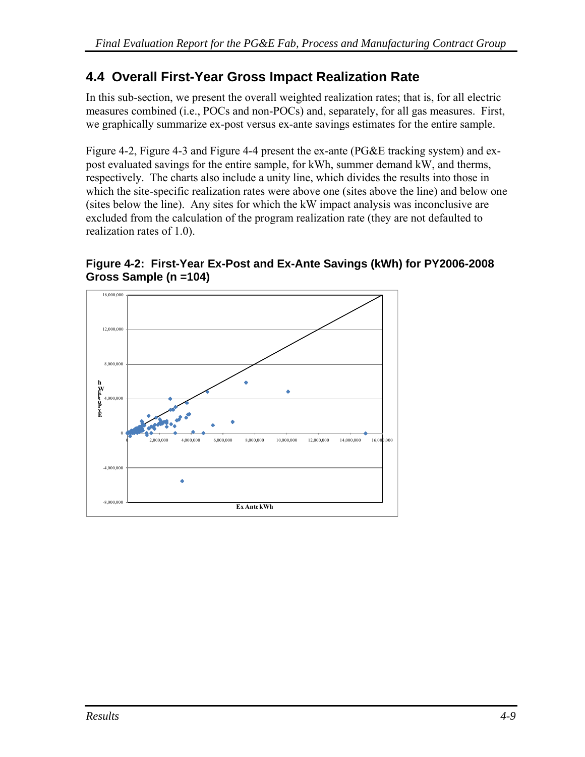# <span id="page-72-0"></span>**4.4 Overall First-Year Gross Impact Realization Rate**

In this sub-section, we present the overall weighted realization rates; that is, for all electric measures combined (i.e., POCs and non-POCs) and, separately, for all gas measures. First, we graphically summarize ex-post versus ex-ante savings estimates for the entire sample.

[Figure 4-2](#page-72-0), [Figure 4-3](#page-73-0) and [Figure 4-4](#page-73-0) present the ex-ante (PG&E tracking system) and expost evaluated savings for the entire sample, for kWh, summer demand kW, and therms, respectively. The charts also include a unity line, which divides the results into those in which the site-specific realization rates were above one (sites above the line) and below one (sites below the line). Any sites for which the kW impact analysis was inconclusive are excluded from the calculation of the program realization rate (they are not defaulted to realization rates of 1.0).

#### **Figure 4-2: First-Year Ex-Post and Ex-Ante Savings (kWh) for PY2006-2008 Gross Sample (n =104)**

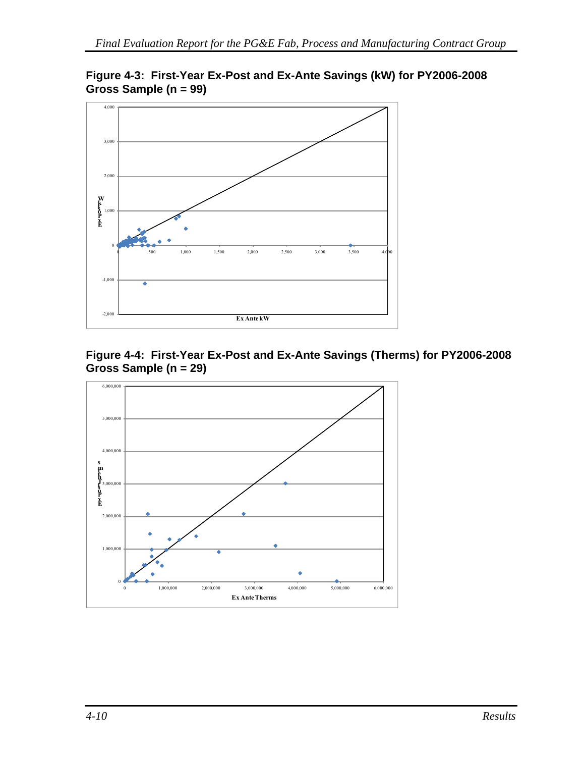

<span id="page-73-0"></span>**Figure 4-3: First-Year Ex-Post and Ex-Ante Savings (kW) for PY2006-2008 Gross Sample (n = 99)** 



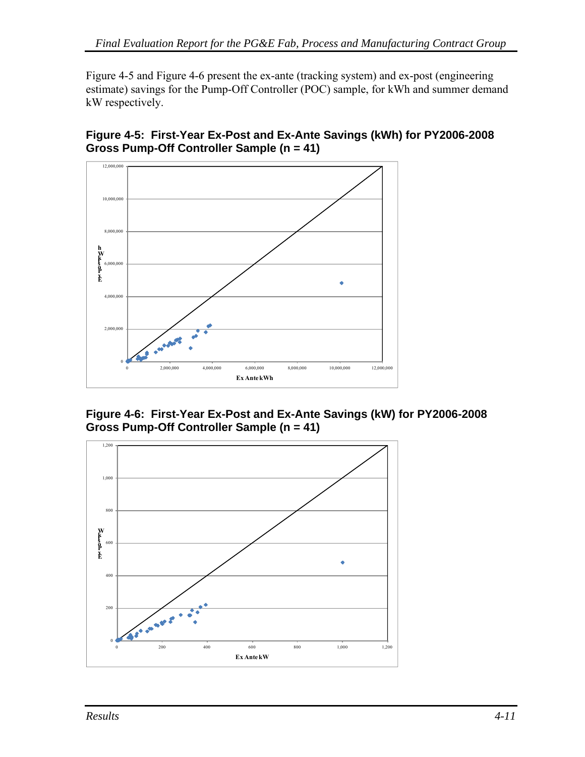<span id="page-74-0"></span>[Figure 4-5](#page-74-0) and [Figure 4-6](#page-74-0) present the ex-ante (tracking system) and ex-post (engineering estimate) savings for the Pump-Off Controller (POC) sample, for kWh and summer demand kW respectively.

**Figure 4-5: First-Year Ex-Post and Ex-Ante Savings (kWh) for PY2006-2008 Gross Pump-Off Controller Sample (n = 41)** 



**Figure 4-6: First-Year Ex-Post and Ex-Ante Savings (kW) for PY2006-2008 Gross Pump-Off Controller Sample (n = 41)** 

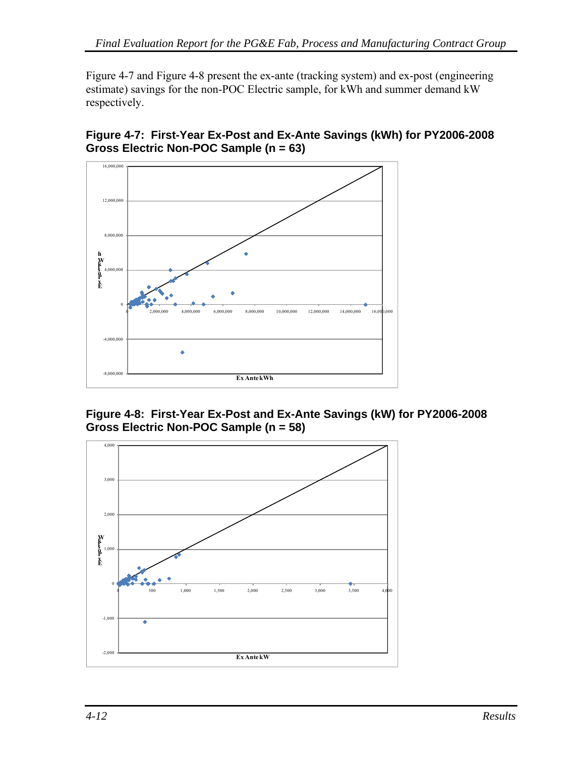<span id="page-75-0"></span>[Figure 4-7](#page-75-0) and [Figure 4-8](#page-75-0) present the ex-ante (tracking system) and ex-post (engineering estimate) savings for the non-POC Electric sample, for kWh and summer demand kW respectively.

**Figure 4-7: First-Year Ex-Post and Ex-Ante Savings (kWh) for PY2006-2008 Gross Electric Non-POC Sample (n = 63)** 



**Figure 4-8: First-Year Ex-Post and Ex-Ante Savings (kW) for PY2006-2008 Gross Electric Non-POC Sample (n = 58)** 

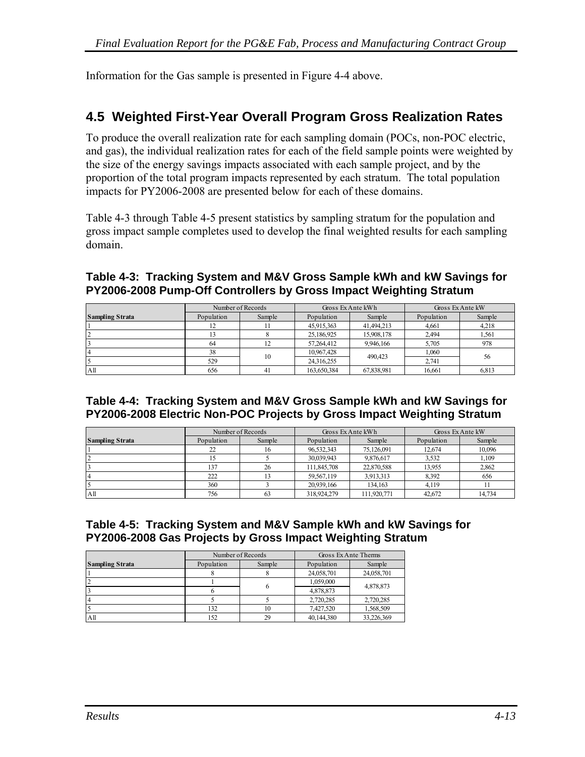<span id="page-76-0"></span>Information for the Gas sample is presented in [Figure 4-4](#page-73-0) above.

# **4.5 Weighted First-Year Overall Program Gross Realization Rates**

To produce the overall realization rate for each sampling domain (POCs, non-POC electric, and gas), the individual realization rates for each of the field sample points were weighted by the size of the energy savings impacts associated with each sample project, and by the proportion of the total program impacts represented by each stratum. The total population impacts for PY2006-2008 are presented below for each of these domains.

[Table 4-3](#page-76-0) through [Table 4-5](#page-76-0) present statistics by sampling stratum for the population and gross impact sample completes used to develop the final weighted results for each sampling domain.

#### **Table 4-3: Tracking System and M&V Gross Sample kWh and kW Savings for PY2006-2008 Pump-Off Controllers by Gross Impact Weighting Stratum**

|                        | Number of Records |        | Gross Ex Ante kWh |            | Gross Ex Ante kW |        |
|------------------------|-------------------|--------|-------------------|------------|------------------|--------|
| <b>Sampling Strata</b> | Population        | Sample | Population        | Sample     | Population       | Sample |
|                        | 12                |        | 45,915,363        | 41,494,213 | 4.661            | 4,218  |
|                        |                   |        | 25,186,925        | 15,908,178 | 2,494            | 1,561  |
|                        | 64                |        | 57.264.412        | 9,946,166  | 5,705            | 978    |
|                        | 38                | 10     | 10,967,428        | 490.423    | 1,060            | 56     |
|                        | 529               |        | 24,316,255        |            | 2.741            |        |
| A <sub>II</sub>        | 656               | 41     | 163,650,384       | 67,838,981 | 16.661           | 6,813  |

#### **Table 4-4: Tracking System and M&V Gross Sample kWh and kW Savings for PY2006-2008 Electric Non-POC Projects by Gross Impact Weighting Stratum**

|                        | Number of Records |        | Gross Ex Ante kWh |             | Gross Ex Ante kW |        |
|------------------------|-------------------|--------|-------------------|-------------|------------------|--------|
| <b>Sampling Strata</b> | Population        | Sample | Population        | Sample      | Population       | Sample |
|                        | 22                | 16     | 96,532,343        | 75,126,091  | 12,674           | 10,096 |
|                        | 15                |        | 30,039,943        | 9,876,617   | 3,532            | 1,109  |
|                        | 137               | 26     | 111,845,708       | 22,870,588  | 13.955           | 2,862  |
|                        | 222               |        | 59,567,119        | 3,913,313   | 8,392            | 656    |
|                        | 360               |        | 20.939.166        | 134.163     | 4.119            |        |
| Αll                    | 756               | 63     | 318,924,279       | 111.920.771 | 42,672           | 14,734 |

#### **Table 4-5: Tracking System and M&V Sample kWh and kW Savings for PY2006-2008 Gas Projects by Gross Impact Weighting Stratum**

|                        | Number of Records |        | Gross Ex Ante Therms |            |  |
|------------------------|-------------------|--------|----------------------|------------|--|
| <b>Sampling Strata</b> | Population        | Sample | Population           | Sample     |  |
|                        |                   |        | 24,058,701           | 24,058,701 |  |
|                        |                   |        | 1,059,000            |            |  |
|                        |                   | 6      | 4,878,873            | 4,878,873  |  |
|                        |                   |        | 2,720,285            | 2,720,285  |  |
|                        | 132               | 10     | 7.427.520            | 1,568,509  |  |
| A <sub>II</sub>        | 152               | 29     | 40,144,380           | 33,226,369 |  |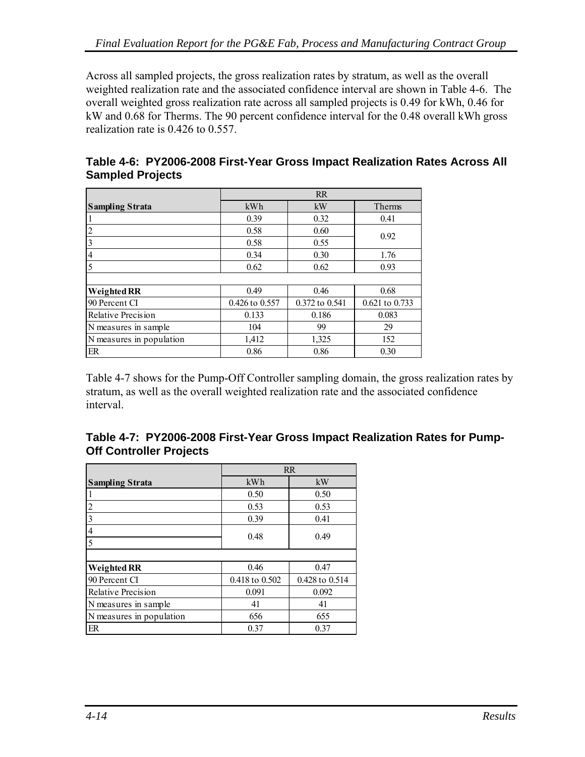<span id="page-77-0"></span>Across all sampled projects, the gross realization rates by stratum, as well as the overall weighted realization rate and the associated confidence interval are shown in [Table 4-6.](#page-77-0) The overall weighted gross realization rate across all sampled projects is 0.49 for kWh, 0.46 for kW and 0.68 for Therms. The 90 percent confidence interval for the 0.48 overall kWh gross realization rate is 0.426 to 0.557.

|                          |                    | RR             |                |
|--------------------------|--------------------|----------------|----------------|
| <b>Sampling Strata</b>   | kWh                | kW             | Therms         |
|                          | 0.39               | 0.32           | 0.41           |
| 2                        | 0.58               | 0.60           | 0.92           |
| $\overline{3}$           | 0.58               | 0.55           |                |
| $\overline{4}$           | 0.34               | 0.30           | 1.76           |
| $\overline{5}$           | 0.62               | 0.62           | 0.93           |
|                          |                    |                |                |
| <b>Weighted RR</b>       | 0.49               | 0.46           | 0.68           |
| 90 Percent CI            | $0.426$ to $0.557$ | 0.372 to 0.541 | 0.621 to 0.733 |
| Relative Precision       | 0.133              | 0.186          | 0.083          |
| N measures in sample     | 104                | 99             | 29             |
| N measures in population | 1,412              | 1,325          | 152            |
| ER                       | 0.86               | 0.86           | 0.30           |

|                         | Table 4-6: PY2006-2008 First-Year Gross Impact Realization Rates Across All |  |  |  |
|-------------------------|-----------------------------------------------------------------------------|--|--|--|
| <b>Sampled Projects</b> |                                                                             |  |  |  |

[Table 4-7](#page-77-0) shows for the Pump-Off Controller sampling domain, the gross realization rates by stratum, as well as the overall weighted realization rate and the associated confidence interval.

|                                | Table 4-7: PY2006-2008 First-Year Gross Impact Realization Rates for Pump- |  |
|--------------------------------|----------------------------------------------------------------------------|--|
| <b>Off Controller Projects</b> |                                                                            |  |

|                          | <b>RR</b>      |                |  |
|--------------------------|----------------|----------------|--|
| <b>Sampling Strata</b>   | kWh            | kW             |  |
|                          | 0.50           | 0.50           |  |
| 2                        | 0.53           | 0.53           |  |
| 3                        | 0.39           | 0.41           |  |
| 4                        | 0.48           | 0.49           |  |
| 5                        |                |                |  |
|                          |                |                |  |
| <b>Weighted RR</b>       | 0.46           | 0.47           |  |
| 90 Percent CI            | 0.418 to 0.502 | 0.428 to 0.514 |  |
| Relative Precision       | 0.091          | 0.092          |  |
| N measures in sample     | 41             | 41             |  |
| N measures in population | 656            | 655            |  |
| ER                       | 0.37           | 0.37           |  |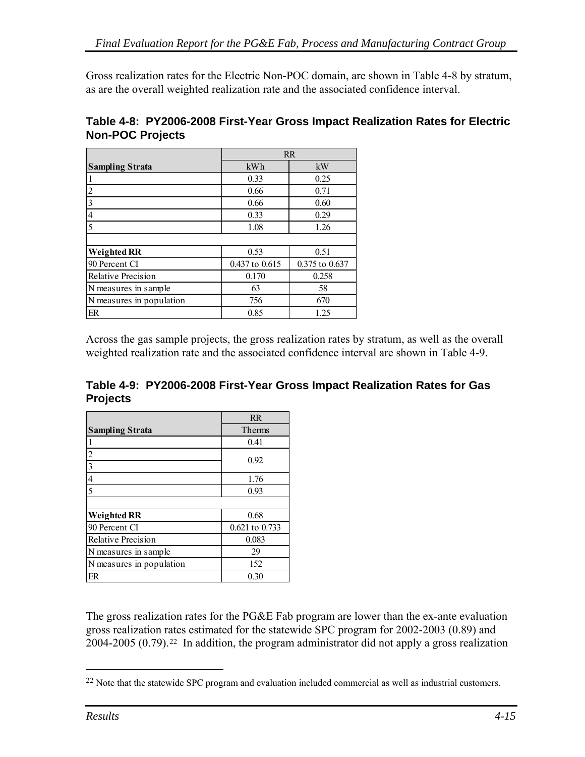<span id="page-78-0"></span>Gross realization rates for the Electric Non-POC domain, are shown in [Table 4-8](#page-78-0) by stratum, as are the overall weighted realization rate and the associated confidence interval.

| Table 4-8: PY2006-2008 First-Year Gross Impact Realization Rates for Electric |  |  |
|-------------------------------------------------------------------------------|--|--|
| <b>Non-POC Projects</b>                                                       |  |  |

|                          | <b>RR</b>      |                |  |
|--------------------------|----------------|----------------|--|
| <b>Sampling Strata</b>   | kWh            | kW             |  |
|                          | 0.33           | 0.25           |  |
| $\overline{c}$           | 0.66           | 0.71           |  |
| 3                        | 0.66           | 0.60           |  |
|                          | 0.33           | 0.29           |  |
| 5                        | 1.08           | 1.26           |  |
|                          |                |                |  |
| <b>Weighted RR</b>       | 0.53           | 0.51           |  |
| 90 Percent CI            | 0.437 to 0.615 | 0.375 to 0.637 |  |
| Relative Precision       | 0.170          | 0.258          |  |
| N measures in sample     | 63             | 58             |  |
| N measures in population | 756            | 670            |  |
| ER                       | 0.85           | 1.25           |  |

Across the gas sample projects, the gross realization rates by stratum, as well as the overall weighted realization rate and the associated confidence interval are shown in [Table 4-9.](#page-78-0)

**Table 4-9: PY2006-2008 First-Year Gross Impact Realization Rates for Gas Projects** 

|                          | RR             |
|--------------------------|----------------|
| <b>Sampling Strata</b>   | Therms         |
|                          | 0.41           |
| $\overline{2}$           | 0.92           |
| $\overline{\mathbf{3}}$  |                |
| $\overline{4}$           | 1.76           |
| $\overline{5}$           | 0.93           |
|                          |                |
| <b>Weighted RR</b>       | 0.68           |
| 90 Percent CI            | 0.621 to 0.733 |
| Relative Precision       | 0.083          |
| N measures in sample.    | 29             |
| N measures in population | 152            |
| ER                       | 0.30           |

The gross realization rates for the PG&E Fab program are lower than the ex-ante evaluation gross realization rates estimated for the statewide SPC program for 2002-2003 (0.89) and 2004-2005 (0.79)[.22](#page-78-0) In addition, the program administrator did not apply a gross realization

 $\overline{a}$ 

<sup>&</sup>lt;sup>22</sup> Note that the statewide SPC program and evaluation included commercial as well as industrial customers.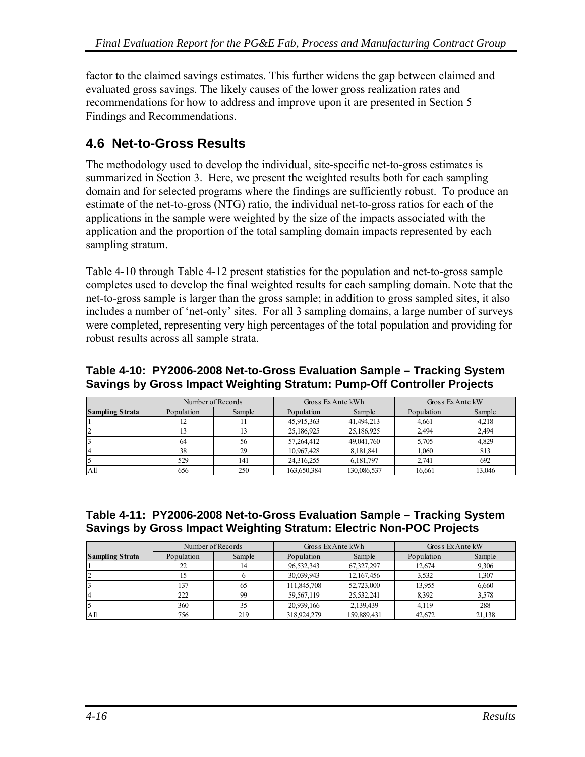<span id="page-79-0"></span>factor to the claimed savings estimates. This further widens the gap between claimed and evaluated gross savings. The likely causes of the lower gross realization rates and recommendations for how to address and improve upon it are presented in Section 5 – Findings and Recommendations.

# **4.6 Net-to-Gross Results**

The methodology used to develop the individual, site-specific net-to-gross estimates is summarized in Section 3. Here, we present the weighted results both for each sampling domain and for selected programs where the findings are sufficiently robust. To produce an estimate of the net-to-gross (NTG) ratio, the individual net-to-gross ratios for each of the applications in the sample were weighted by the size of the impacts associated with the application and the proportion of the total sampling domain impacts represented by each sampling stratum.

[Table 4-10](#page-79-0) through [Table 4-12](#page-80-0) present statistics for the population and net-to-gross sample completes used to develop the final weighted results for each sampling domain. Note that the net-to-gross sample is larger than the gross sample; in addition to gross sampled sites, it also includes a number of 'net-only' sites. For all 3 sampling domains, a large number of surveys were completed, representing very high percentages of the total population and providing for robust results across all sample strata.

#### **Table 4-10: PY2006-2008 Net-to-Gross Evaluation Sample – Tracking System Savings by Gross Impact Weighting Stratum: Pump-Off Controller Projects**

|                        |            | Number of Records | Gross Ex Ante kWh |             | Gross Ex Ante kW |        |
|------------------------|------------|-------------------|-------------------|-------------|------------------|--------|
| <b>Sampling Strata</b> | Population | Sample            | Population        | Sample      | Population       | Sample |
|                        |            |                   | 45,915,363        | 41,494,213  | 4.661            | 4,218  |
|                        |            |                   | 25,186,925        | 25,186,925  | 2.494            | 2,494  |
|                        | 64         | 56                | 57,264,412        | 49,041,760  | 5.705            | 4,829  |
|                        | 38         | 29                | 10,967,428        | 8,181,841   | 1.060            | 813    |
|                        | 529        | 141               | 24.316.255        | 6.181.797   | 2.741            | 692    |
| A <sub>11</sub>        | 656        | 250               | 163,650,384       | 130,086,537 | 16.661           | 13.046 |

#### **Table 4-11: PY2006-2008 Net-to-Gross Evaluation Sample – Tracking System Savings by Gross Impact Weighting Stratum: Electric Non-POC Projects**

|                        |            | Number of Records | Gross Ex Ante kWh |             | Gross Ex Ante kW |        |
|------------------------|------------|-------------------|-------------------|-------------|------------------|--------|
| <b>Sampling Strata</b> | Population | Sample            | Population        | Sample      | Population       | Sample |
|                        | 22         |                   | 96,532,343        | 67,327,297  | 12,674           | 9,306  |
|                        |            |                   | 30,039,943        | 12,167,456  | 3,532            | 1,307  |
|                        | 137        | 65                | 111,845,708       | 52,723,000  | 13.955           | 6,660  |
|                        | 222        | 99                | 59.567.119        | 25,532,241  | 8.392            | 3.578  |
|                        | 360        | 35                | 20.939.166        | 2.139.439   | 4.119            | 288    |
| A <sub>11</sub>        | 756        | 219               | 318,924,279       | 159,889,431 | 42,672           | 21,138 |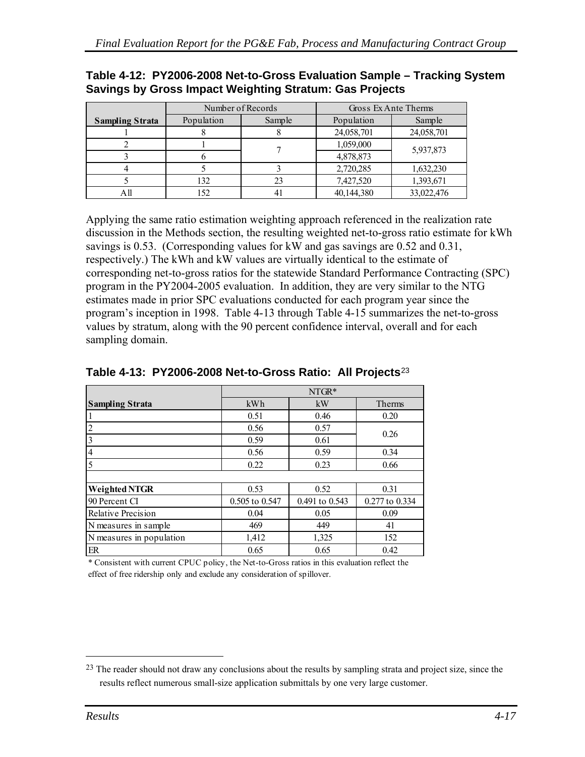|                        |            | Number of Records |            | Gross Ex Ante Therms |
|------------------------|------------|-------------------|------------|----------------------|
| <b>Sampling Strata</b> | Population | Sample            | Population | Sample               |
|                        |            |                   | 24,058,701 | 24,058,701           |
|                        |            |                   | 1,059,000  | 5,937,873            |
|                        |            |                   | 4,878,873  |                      |
|                        |            |                   | 2,720,285  | 1,632,230            |
|                        | 132        | 23                | 7,427,520  | 1,393,671            |
|                        | 152        |                   | 40,144,380 | 33,022,476           |

#### <span id="page-80-0"></span>**Table 4-12: PY2006-2008 Net-to-Gross Evaluation Sample – Tracking System Savings by Gross Impact Weighting Stratum: Gas Projects**

Applying the same ratio estimation weighting approach referenced in the realization rate discussion in the Methods section, the resulting weighted net-to-gross ratio estimate for kWh savings is 0.53. (Corresponding values for kW and gas savings are 0.52 and 0.31, respectively.) The kWh and kW values are virtually identical to the estimate of corresponding net-to-gross ratios for the statewide Standard Performance Contracting (SPC) program in the PY2004-2005 evaluation. In addition, they are very similar to the NTG estimates made in prior SPC evaluations conducted for each program year since the program's inception in 1998. [Table 4-13](#page-80-0) through [Table 4-15](#page-81-0) summarizes the net-to-gross values by stratum, along with the 90 percent confidence interval, overall and for each sampling domain.

|                          | NTGR*          |                |                |  |  |
|--------------------------|----------------|----------------|----------------|--|--|
| <b>Sampling Strata</b>   | kWh            | kW             | Therms         |  |  |
|                          | 0.51           | 0.46           | 0.20           |  |  |
| $\overline{c}$           | 0.56           | 0.57           | 0.26           |  |  |
| 3                        | 0.59           | 0.61           |                |  |  |
| $\overline{4}$           | 0.56           | 0.59           | 0.34           |  |  |
| 5                        | 0.22           | 0.23           | 0.66           |  |  |
|                          |                |                |                |  |  |
| <b>Weighted NTGR</b>     | 0.53           | 0.52           | 0.31           |  |  |
| 90 Percent CI            | 0.505 to 0.547 | 0.491 to 0.543 | 0.277 to 0.334 |  |  |
| Relative Precision       | 0.04           | 0.05           | 0.09           |  |  |
| N measures in sample     | 469            | 449            | 41             |  |  |
| N measures in population | 1,412          | 1,325          | 152            |  |  |
| ER                       | 0.65           | 0.65           | 0.42           |  |  |

#### **Table 4-13: PY2006-2008 Net-to-Gross Ratio: All Projects**[2](#page-80-0)3

\* Consistent with current CPUC policy, the Net-to-Gross ratios in this evaluation reflect the effect of free ridership only and exclude any consideration of spillover.

 $\overline{a}$ 

 $^{23}$  The reader should not draw any conclusions about the results by sampling strata and project size, since the results reflect numerous small-size application submittals by one very large customer.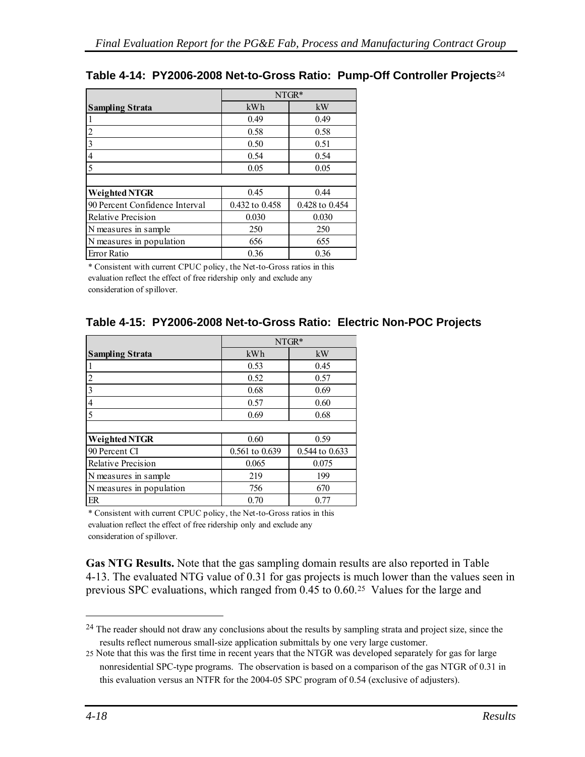|                                | $NTGR*$        |                |  |
|--------------------------------|----------------|----------------|--|
| <b>Sampling Strata</b>         | kWh            | kW             |  |
|                                | 0.49           | 0.49           |  |
| 2                              | 0.58           | 0.58           |  |
| 3                              | 0.50           | 0.51           |  |
| 4                              | 0.54           | 0.54           |  |
| 5                              | 0.05           | 0.05           |  |
|                                |                |                |  |
| <b>Weighted NTGR</b>           | 0.45           | 0.44           |  |
| 90 Percent Confidence Interval | 0.432 to 0.458 | 0.428 to 0.454 |  |
| <b>Relative Precision</b>      | 0.030          | 0.030          |  |
| N measures in sample           | 250            | 250            |  |
| N measures in population       | 656            | 655            |  |
| <b>Error Ratio</b>             | 0.36           | 0.36           |  |

#### <span id="page-81-0"></span>**Table 4-14: PY2006-2008 Net-to-Gross Ratio: Pump-Off Controller Projects**[2](#page-81-0)4

\* Consistent with current CPUC policy, the Net-to-Gross ratios in this evaluation reflect the effect of free ridership only and exclude any consideration of spillover.

#### **Table 4-15: PY2006-2008 Net-to-Gross Ratio: Electric Non-POC Projects**

|                          | NTGR*          |                |  |  |
|--------------------------|----------------|----------------|--|--|
| <b>Sampling Strata</b>   | kWh            | kW             |  |  |
|                          | 0.53           | 0.45           |  |  |
|                          | 0.52           | 0.57           |  |  |
|                          | 0.68           | 0.69           |  |  |
| 4                        | 0.57           | 0.60           |  |  |
| 5                        | 0.69           | 0.68           |  |  |
|                          |                |                |  |  |
| <b>Weighted NTGR</b>     | 0.60           | 0.59           |  |  |
| 90 Percent CI            | 0.561 to 0.639 | 0.544 to 0.633 |  |  |
| Relative Precision       | 0.065          | 0.075          |  |  |
| N measures in sample     | 219            | 199            |  |  |
| N measures in population | 756            | 670            |  |  |
| ER                       | 0.70           | 0.77           |  |  |

\* Consistent with current CPUC policy, the Net-to-Gross ratios in this evaluation reflect the effect of free ridership only and exclude any consideration of spillover.

**Gas NTG Results.** Note that the gas sampling domain results are also reported in [Table](#page-80-0)  [4-13.](#page-80-0) The evaluated NTG value of 0.31 for gas projects is much lower than the values seen in previous SPC evaluations, which ranged from 0.45 to 0.60.[2](#page-81-0)5 Values for the large and

1

<sup>&</sup>lt;sup>24</sup> The reader should not draw any conclusions about the results by sampling strata and project size, since the results reflect numerous small-size application submittals by one very large customer.

<sup>25</sup> Note that this was the first time in recent years that the NTGR was developed separately for gas for large nonresidential SPC-type programs. The observation is based on a comparison of the gas NTGR of 0.31 in this evaluation versus an NTFR for the 2004-05 SPC program of 0.54 (exclusive of adjusters).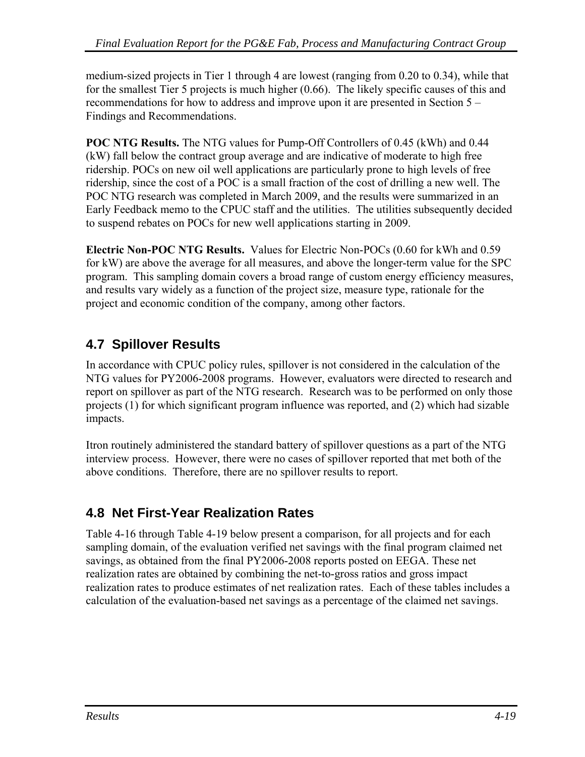medium-sized projects in Tier 1 through 4 are lowest (ranging from 0.20 to 0.34), while that for the smallest Tier 5 projects is much higher (0.66). The likely specific causes of this and recommendations for how to address and improve upon it are presented in Section 5 – Findings and Recommendations.

**POC NTG Results.** The NTG values for Pump-Off Controllers of 0.45 (kWh) and 0.44 (kW) fall below the contract group average and are indicative of moderate to high free ridership. POCs on new oil well applications are particularly prone to high levels of free ridership, since the cost of a POC is a small fraction of the cost of drilling a new well. The POC NTG research was completed in March 2009, and the results were summarized in an Early Feedback memo to the CPUC staff and the utilities. The utilities subsequently decided to suspend rebates on POCs for new well applications starting in 2009.

**Electric Non-POC NTG Results.** Values for Electric Non-POCs (0.60 for kWh and 0.59 for kW) are above the average for all measures, and above the longer-term value for the SPC program. This sampling domain covers a broad range of custom energy efficiency measures, and results vary widely as a function of the project size, measure type, rationale for the project and economic condition of the company, among other factors.

# **4.7 Spillover Results**

In accordance with CPUC policy rules, spillover is not considered in the calculation of the NTG values for PY2006-2008 programs. However, evaluators were directed to research and report on spillover as part of the NTG research. Research was to be performed on only those projects (1) for which significant program influence was reported, and (2) which had sizable impacts.

Itron routinely administered the standard battery of spillover questions as a part of the NTG interview process. However, there were no cases of spillover reported that met both of the above conditions. Therefore, there are no spillover results to report.

# **4.8 Net First-Year Realization Rates**

[Table 4-16](#page-83-0) through [Table 4-19](#page-84-0) below present a comparison, for all projects and for each sampling domain, of the evaluation verified net savings with the final program claimed net savings, as obtained from the final PY2006-2008 reports posted on EEGA. These net realization rates are obtained by combining the net-to-gross ratios and gross impact realization rates to produce estimates of net realization rates. Each of these tables includes a calculation of the evaluation-based net savings as a percentage of the claimed net savings.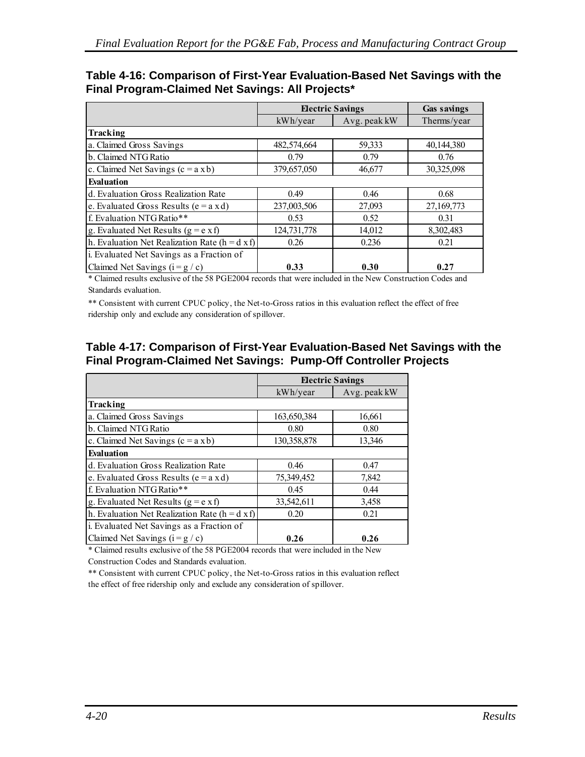<span id="page-83-0"></span>

| Table 4-16: Comparison of First-Year Evaluation-Based Net Savings with the |  |  |
|----------------------------------------------------------------------------|--|--|
| Final Program-Claimed Net Savings: All Projects*                           |  |  |

|                                                |             | <b>Electric Savings</b> | <b>Gas savings</b> |
|------------------------------------------------|-------------|-------------------------|--------------------|
|                                                | kWh/year    | Avg. peak kW            | Therms/year        |
| Tracking                                       |             |                         |                    |
| a. Claimed Gross Savings                       | 482,574,664 | 59,333                  | 40,144,380         |
| b. Claimed NTG Ratio                           | 0.79        | 0.79                    | 0.76               |
| c. Claimed Net Savings $(c = a x b)$           | 379,657,050 | 46,677                  | 30,325,098         |
| <b>Evaluation</b>                              |             |                         |                    |
| d. Evaluation Gross Realization Rate           | 0.49        | 0.46                    | 0.68               |
| e. Evaluated Gross Results ( $e = a x d$ )     | 237,003,506 | 27,093                  | 27,169,773         |
| f. Evaluation NTG Ratio**                      | 0.53        | 0.52                    | 0.31               |
| g. Evaluated Net Results ( $g = e \times f$ )  | 124,731,778 | 14,012                  | 8,302,483          |
| h. Evaluation Net Realization Rate (h = d x f) | 0.26        | 0.236                   | 0.21               |
| i. Evaluated Net Savings as a Fraction of      |             |                         |                    |
| Claimed Net Savings $(i = g / c)$              | 0.33        | 0.30                    | 0.27               |

\* Claimed results exclusive of the 58 PGE2004 records that were included in the New Construction Codes and Standards evaluation.

\*\* Consistent with current CPUC policy, the Net-to-Gross ratios in this evaluation reflect the effect of free ridership only and exclude any consideration of spillover.

#### **Table 4-17: Comparison of First-Year Evaluation-Based Net Savings with the Final Program-Claimed Net Savings: Pump-Off Controller Projects**

|                                                         | <b>Electric Savings</b> |              |  |  |
|---------------------------------------------------------|-------------------------|--------------|--|--|
|                                                         | kWh/year                | Avg. peak kW |  |  |
| Tracking                                                |                         |              |  |  |
| a. Claimed Gross Savings                                | 163,650,384             | 16,661       |  |  |
| b. Claimed NTG Ratio                                    | 0.80                    | 0.80         |  |  |
| c. Claimed Net Savings $(c = a x b)$                    | 130,358,878             | 13,346       |  |  |
| Evaluation                                              |                         |              |  |  |
| d. Evaluation Gross Realization Rate                    | 0.46                    | 0.47         |  |  |
| e. Evaluated Gross Results ( $e = a x d$ )              | 75,349,452              | 7,842        |  |  |
| f. Evaluation NTG Ratio**                               | 0.45                    | 0.44         |  |  |
| g. Evaluated Net Results $(g = e \times f)$             | 33,542,611              | 3,458        |  |  |
| h. Evaluation Net Realization Rate ( $h = d \times f$ ) | 0.20                    | 0.21         |  |  |
| i. Evaluated Net Savings as a Fraction of               |                         |              |  |  |
| Claimed Net Savings $(i = g / c)$                       | 0.26                    | 0.26         |  |  |

\* Claimed results exclusive of the 58 PGE2004 records that were included in the New

Construction Codes and Standards evaluation.

\*\* Consistent with current CPUC policy, the Net-to-Gross ratios in this evaluation reflect the effect of free ridership only and exclude any consideration of spillover.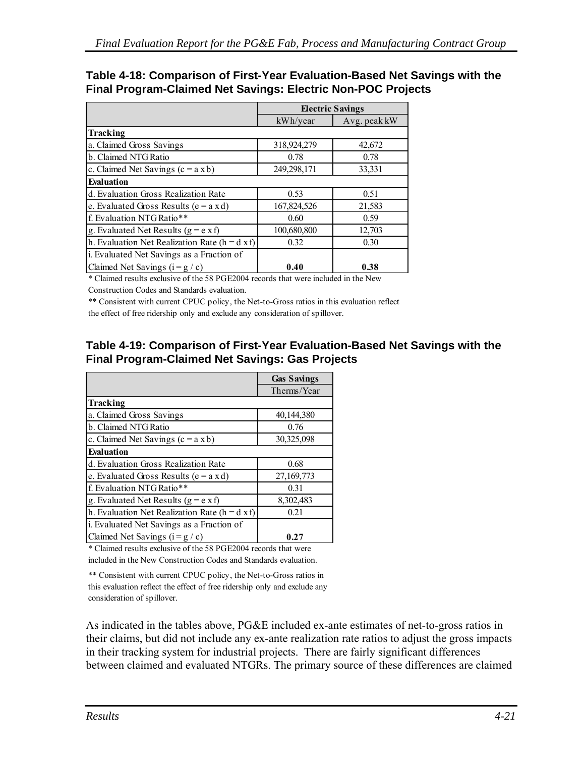#### <span id="page-84-0"></span>**Table 4-18: Comparison of First-Year Evaluation-Based Net Savings with the Final Program-Claimed Net Savings: Electric Non-POC Projects**

|                                                         | <b>Electric Savings</b> |              |  |  |
|---------------------------------------------------------|-------------------------|--------------|--|--|
|                                                         | kWh/year                | Avg. peak kW |  |  |
| Tracking                                                |                         |              |  |  |
| a. Claimed Gross Savings                                | 318,924,279             | 42,672       |  |  |
| b. Claimed NTG Ratio                                    | 0.78                    | 0.78         |  |  |
| c. Claimed Net Savings $(c = a x b)$                    | 249,298,171             | 33,331       |  |  |
| <b>Evaluation</b>                                       |                         |              |  |  |
| d. Evaluation Gross Realization Rate                    | 0.53                    | 0.51         |  |  |
| e. Evaluated Gross Results ( $e = a x d$ )              | 167,824,526             | 21,583       |  |  |
| f. Evaluation NTG Ratio**                               | 0.60                    | 0.59         |  |  |
| g. Evaluated Net Results ( $g = e \times f$ )           | 100,680,800             | 12,703       |  |  |
| h. Evaluation Net Realization Rate ( $h = d \times f$ ) | 0.32                    | 0.30         |  |  |
| i. Evaluated Net Savings as a Fraction of               |                         |              |  |  |
| Claimed Net Savings $(i = g / c)$                       | 0.40                    | 0.38         |  |  |

\* Claimed results exclusive of the 58 PGE2004 records that were included in the New Construction Codes and Standards evaluation.

\*\* Consistent with current CPUC policy, the Net-to-Gross ratios in this evaluation reflect the effect of free ridership only and exclude any consideration of spillover.

### **Table 4-19: Comparison of First-Year Evaluation-Based Net Savings with the Final Program-Claimed Net Savings: Gas Projects**

|                                                         | <b>Gas Savings</b> |
|---------------------------------------------------------|--------------------|
|                                                         | Therms/Year        |
| Tracking                                                |                    |
| a. Claimed Gross Savings                                | 40,144,380         |
| b. Claimed NTG Ratio                                    | 0.76               |
| c. Claimed Net Savings $(c = a x b)$                    | 30,325,098         |
| Evaluation                                              |                    |
| d. Evaluation Gross Realization Rate                    | 0.68               |
| e. Evaluated Gross Results ( $e = a x d$ )              | 27,169,773         |
| f. Evaluation NTG Ratio**                               | 0.31               |
| g. Evaluated Net Results $(g = e \times f)$             | 8,302,483          |
| h. Evaluation Net Realization Rate ( $h = d \times f$ ) | 0.21               |
| i. Evaluated Net Savings as a Fraction of               |                    |
| Claimed Net Savings $(i = g / c)$                       | 0.27               |

\* Claimed results exclusive of the 58 PGE2004 records that were included in the New Construction Codes and Standards evaluation.

\*\* Consistent with current CPUC policy, the Net-to-Gross ratios in this evaluation reflect the effect of free ridership only and exclude any consideration of spillover.

As indicated in the tables above, PG&E included ex-ante estimates of net-to-gross ratios in their claims, but did not include any ex-ante realization rate ratios to adjust the gross impacts in their tracking system for industrial projects. There are fairly significant differences between claimed and evaluated NTGRs. The primary source of these differences are claimed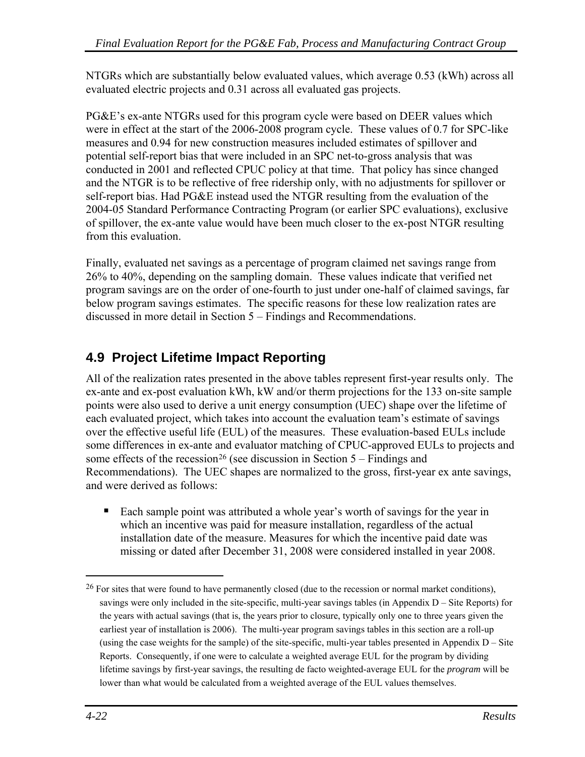<span id="page-85-0"></span>NTGRs which are substantially below evaluated values, which average 0.53 (kWh) across all evaluated electric projects and 0.31 across all evaluated gas projects.

PG&E's ex-ante NTGRs used for this program cycle were based on DEER values which were in effect at the start of the 2006-2008 program cycle. These values of 0.7 for SPC-like measures and 0.94 for new construction measures included estimates of spillover and potential self-report bias that were included in an SPC net-to-gross analysis that was conducted in 2001 and reflected CPUC policy at that time. That policy has since changed and the NTGR is to be reflective of free ridership only, with no adjustments for spillover or self-report bias. Had PG&E instead used the NTGR resulting from the evaluation of the 2004-05 Standard Performance Contracting Program (or earlier SPC evaluations), exclusive of spillover, the ex-ante value would have been much closer to the ex-post NTGR resulting from this evaluation.

Finally, evaluated net savings as a percentage of program claimed net savings range from 26% to 40%, depending on the sampling domain. These values indicate that verified net program savings are on the order of one-fourth to just under one-half of claimed savings, far below program savings estimates. The specific reasons for these low realization rates are discussed in more detail in Section 5 – Findings and Recommendations.

# **4.9 Project Lifetime Impact Reporting**

All of the realization rates presented in the above tables represent first-year results only. The ex-ante and ex-post evaluation kWh, kW and/or therm projections for the 133 on-site sample points were also used to derive a unit energy consumption (UEC) shape over the lifetime of each evaluated project, which takes into account the evaluation team's estimate of savings over the effective useful life (EUL) of the measures. These evaluation-based EULs include some differences in ex-ante and evaluator matching of CPUC-approved EULs to projects and some effects of the recession<sup>[2](#page-85-0)6</sup> (see discussion in Section  $5 -$  Findings and Recommendations). The UEC shapes are normalized to the gross, first-year ex ante savings, and were derived as follows:

■ Each sample point was attributed a whole year's worth of savings for the year in which an incentive was paid for measure installation, regardless of the actual installation date of the measure. Measures for which the incentive paid date was missing or dated after December 31, 2008 were considered installed in year 2008.

 $\overline{a}$ 

<sup>&</sup>lt;sup>26</sup> For sites that were found to have permanently closed (due to the recession or normal market conditions), savings were only included in the site-specific, multi-year savings tables (in Appendix  $D -$  Site Reports) for the years with actual savings (that is, the years prior to closure, typically only one to three years given the earliest year of installation is 2006). The multi-year program savings tables in this section are a roll-up (using the case weights for the sample) of the site-specific, multi-year tables presented in Appendix  $D -$  Site Reports. Consequently, if one were to calculate a weighted average EUL for the program by dividing lifetime savings by first-year savings, the resulting de facto weighted-average EUL for the *program* will be lower than what would be calculated from a weighted average of the EUL values themselves.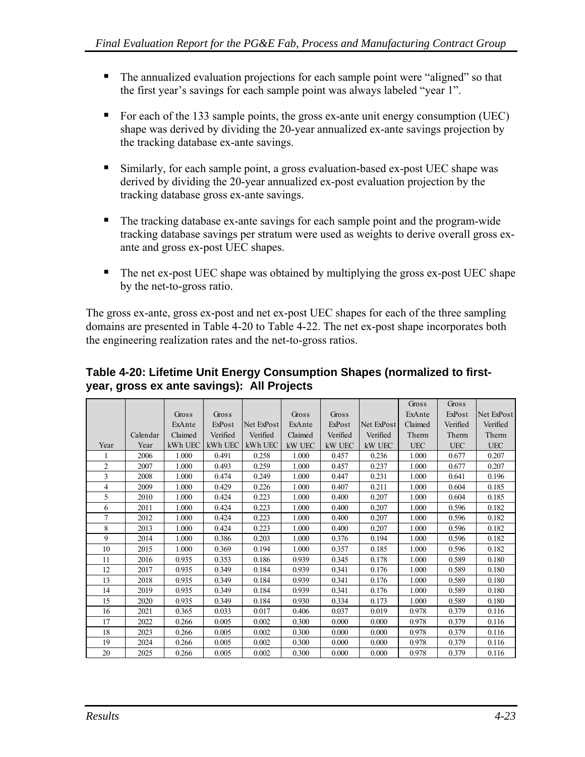- <span id="page-86-0"></span>• The annualized evaluation projections for each sample point were "aligned" so that the first year's savings for each sample point was always labeled "year 1".
- For each of the 133 sample points, the gross ex-ante unit energy consumption (UEC) shape was derived by dividing the 20-year annualized ex-ante savings projection by the tracking database ex-ante savings.
- Similarly, for each sample point, a gross evaluation-based ex-post UEC shape was derived by dividing the 20-year annualized ex-post evaluation projection by the tracking database gross ex-ante savings.
- The tracking database ex-ante savings for each sample point and the program-wide tracking database savings per stratum were used as weights to derive overall gross exante and gross ex-post UEC shapes.
- The net ex-post UEC shape was obtained by multiplying the gross ex-post UEC shape by the net-to-gross ratio.

The gross ex-ante, gross ex-post and net ex-post UEC shapes for each of the three sampling domains are presented in [Table 4-20](#page-86-0) to [Table 4-22.](#page-87-0) The net ex-post shape incorporates both the engineering realization rates and the net-to-gross ratios.

|                |          |         |          |            |         |          |            | Gross      | Gross      |            |
|----------------|----------|---------|----------|------------|---------|----------|------------|------------|------------|------------|
|                |          | Gross   | Gross    |            | Gross   | Gross    |            | ExAnte     | ExPost     | Net ExPost |
|                |          | ExAnte  | ExPost   | Net ExPost | ExAnte  | ExPost   | Net ExPost | Claimed    | Verified   | Verified   |
|                | Calendar | Claimed | Verified | Verified   | Claimed | Verified | Verified   | Therm      | Therm      | Therm      |
| Year           | Year     | kWh UEC | kWh UEC  | kWh UEC    | kW UEC  | kW UEC   | kW UEC     | <b>UEC</b> | <b>UEC</b> | <b>UEC</b> |
|                | 2006     | 1.000   | 0.491    | 0.258      | 1.000   | 0.457    | 0.236      | 1.000      | 0.677      | 0.207      |
| $\overline{2}$ | 2007     | 1.000   | 0.493    | 0.259      | 1.000   | 0.457    | 0.237      | 1.000      | 0.677      | 0.207      |
| 3              | 2008     | 1.000   | 0.474    | 0.249      | 1.000   | 0.447    | 0.231      | 1.000      | 0.641      | 0.196      |
| 4              | 2009     | 1.000   | 0.429    | 0.226      | 1.000   | 0.407    | 0.211      | 1.000      | 0.604      | 0.185      |
| 5              | 2010     | 1.000   | 0.424    | 0.223      | 1.000   | 0.400    | 0.207      | 1.000      | 0.604      | 0.185      |
| 6              | 2011     | 1.000   | 0.424    | 0.223      | 1.000   | 0.400    | 0.207      | 1.000      | 0.596      | 0.182      |
| 7              | 2012     | 1.000   | 0.424    | 0.223      | 1.000   | 0.400    | 0.207      | 1.000      | 0.596      | 0.182      |
| 8              | 2013     | 1.000   | 0.424    | 0.223      | 1.000   | 0.400    | 0.207      | 1.000      | 0.596      | 0.182      |
| 9              | 2014     | 1.000   | 0.386    | 0.203      | 1.000   | 0.376    | 0.194      | 1.000      | 0.596      | 0.182      |
| 10             | 2015     | 1.000   | 0.369    | 0.194      | 1.000   | 0.357    | 0.185      | 1.000      | 0.596      | 0.182      |
| 11             | 2016     | 0.935   | 0.353    | 0.186      | 0.939   | 0.345    | 0.178      | 1.000      | 0.589      | 0.180      |
| 12             | 2017     | 0.935   | 0.349    | 0.184      | 0.939   | 0.341    | 0.176      | 1.000      | 0.589      | 0.180      |
| 13             | 2018     | 0.935   | 0.349    | 0.184      | 0.939   | 0.341    | 0.176      | 1.000      | 0.589      | 0.180      |
| 14             | 2019     | 0.935   | 0.349    | 0.184      | 0.939   | 0.341    | 0.176      | 1.000      | 0.589      | 0.180      |
| 15             | 2020     | 0.935   | 0.349    | 0.184      | 0.930   | 0.334    | 0.173      | 1.000      | 0.589      | 0.180      |
| 16             | 2021     | 0.365   | 0.033    | 0.017      | 0.406   | 0.037    | 0.019      | 0.978      | 0.379      | 0.116      |
| 17             | 2022     | 0.266   | 0.005    | 0.002      | 0.300   | 0.000    | 0.000      | 0.978      | 0.379      | 0.116      |
| 18             | 2023     | 0.266   | 0.005    | 0.002      | 0.300   | 0.000    | 0.000      | 0.978      | 0.379      | 0.116      |
| 19             | 2024     | 0.266   | 0.005    | 0.002      | 0.300   | 0.000    | 0.000      | 0.978      | 0.379      | 0.116      |
| 20             | 2025     | 0.266   | 0.005    | 0.002      | 0.300   | 0.000    | 0.000      | 0.978      | 0.379      | 0.116      |

#### **Table 4-20: Lifetime Unit Energy Consumption Shapes (normalized to firstyear, gross ex ante savings): All Projects**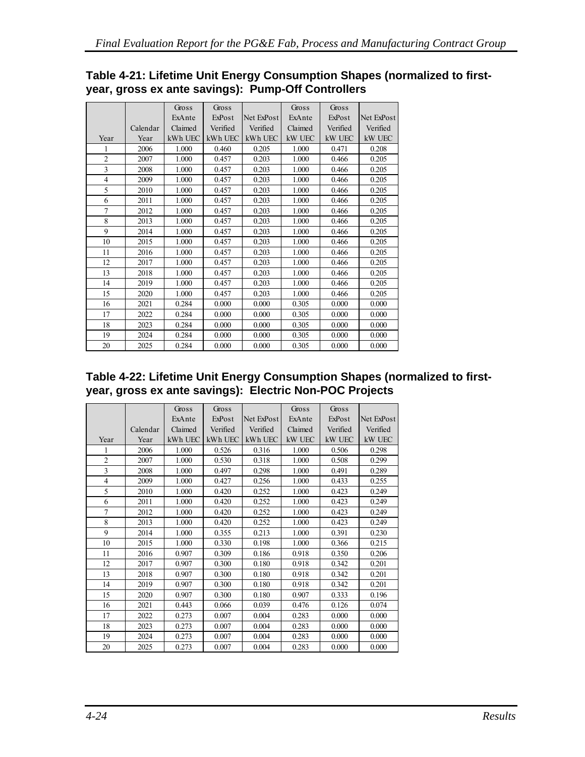<span id="page-87-0"></span>

| Table 4-21: Lifetime Unit Energy Consumption Shapes (normalized to first- |  |  |
|---------------------------------------------------------------------------|--|--|
| year, gross ex ante savings): Pump-Off Controllers                        |  |  |

|                |          | Gross   | Gross    |            | Gross   | Gross    |            |
|----------------|----------|---------|----------|------------|---------|----------|------------|
|                |          | ExAnte  | ExPost   | Net ExPost | ExAnte  | ExPost   | Net ExPost |
|                | Calendar | Claimed | Verified | Verified   | Claimed | Verified | Verified   |
| Year           | Year     | kWh UEC | kWh UEC  | kWh UEC    | kW UEC  | kW UEC   | kW UEC     |
| 1              | 2006     | 1.000   | 0.460    | 0.205      | 1.000   | 0.471    | 0.208      |
| $\overline{2}$ | 2007     | 1.000   | 0.457    | 0.203      | 1.000   | 0.466    | 0.205      |
| 3              | 2008     | 1.000   | 0.457    | 0.203      | 1.000   | 0.466    | 0.205      |
| $\overline{4}$ | 2009     | 1.000   | 0.457    | 0.203      | 1.000   | 0.466    | 0.205      |
| 5              | 2010     | 1.000   | 0.457    | 0.203      | 1.000   | 0.466    | 0.205      |
| 6              | 2011     | 1.000   | 0.457    | 0.203      | 1.000   | 0.466    | 0.205      |
| $\overline{7}$ | 2012     | 1.000   | 0.457    | 0.203      | 1.000   | 0.466    | 0.205      |
| 8              | 2013     | 1.000   | 0.457    | 0.203      | 1.000   | 0.466    | 0.205      |
| 9              | 2014     | 1.000   | 0.457    | 0.203      | 1.000   | 0.466    | 0.205      |
| 10             | 2015     | 1.000   | 0.457    | 0.203      | 1.000   | 0.466    | 0.205      |
| 11             | 2016     | 1.000   | 0.457    | 0.203      | 1.000   | 0.466    | 0.205      |
| 12             | 2017     | 1.000   | 0.457    | 0.203      | 1.000   | 0.466    | 0.205      |
| 13             | 2018     | 1.000   | 0.457    | 0.203      | 1.000   | 0.466    | 0.205      |
| 14             | 2019     | 1.000   | 0.457    | 0.203      | 1.000   | 0.466    | 0.205      |
| 15             | 2020     | 1.000   | 0.457    | 0.203      | 1.000   | 0.466    | 0.205      |
| 16             | 2021     | 0.284   | 0.000    | 0.000      | 0.305   | 0.000    | 0.000      |
| 17             | 2022     | 0.284   | 0.000    | 0.000      | 0.305   | 0.000    | 0.000      |
| 18             | 2023     | 0.284   | 0.000    | 0.000      | 0.305   | 0.000    | 0.000      |
| 19             | 2024     | 0.284   | 0.000    | 0.000      | 0.305   | 0.000    | 0.000      |
| 20             | 2025     | 0.284   | 0.000    | 0.000      | 0.305   | 0.000    | 0.000      |
|                |          |         |          |            |         |          |            |

#### **Table 4-22: Lifetime Unit Energy Consumption Shapes (normalized to firstyear, gross ex ante savings): Electric Non-POC Projects**

|                |          | Gross   | Gross    |            | Gross   | Gross    |            |
|----------------|----------|---------|----------|------------|---------|----------|------------|
|                |          | ExAnte  | ExPost   | Net ExPost | ExAnte  | ExPost   | Net ExPost |
|                | Calendar | Claimed | Verified | Verified   | Claimed | Verified | Verified   |
| Year           | Year     | kWh UEC | kWh UEC  | kWh UEC    | kW UEC  | kW UEC   | kW UEC     |
| 1              | 2006     | 1.000   | 0.526    | 0.316      | 1.000   | 0.506    | 0.298      |
| $\overline{2}$ | 2007     | 1.000   | 0.530    | 0.318      | 1.000   | 0.508    | 0.299      |
| 3              | 2008     | 1.000   | 0.497    | 0.298      | 1.000   | 0.491    | 0.289      |
| $\overline{4}$ | 2009     | 1.000   | 0.427    | 0.256      | 1.000   | 0.433    | 0.255      |
| 5              | 2010     | 1.000   | 0.420    | 0.252      | 1.000   | 0.423    | 0.249      |
| 6              | 2011     | 1.000   | 0.420    | 0.252      | 1.000   | 0.423    | 0.249      |
| $\overline{7}$ | 2012     | 1.000   | 0.420    | 0.252      | 1.000   | 0.423    | 0.249      |
| 8              | 2013     | 1.000   | 0.420    | 0.252      | 1.000   | 0.423    | 0.249      |
| 9              | 2014     | 1.000   | 0.355    | 0.213      | 1.000   | 0.391    | 0.230      |
| 10             | 2015     | 1.000   | 0.330    | 0.198      | 1.000   | 0.366    | 0.215      |
| 11             | 2016     | 0.907   | 0.309    | 0.186      | 0.918   | 0.350    | 0.206      |
| 12             | 2017     | 0.907   | 0.300    | 0.180      | 0.918   | 0.342    | 0.201      |
| 13             | 2018     | 0.907   | 0.300    | 0.180      | 0.918   | 0.342    | 0.201      |
| 14             | 2019     | 0.907   | 0.300    | 0.180      | 0.918   | 0.342    | 0.201      |
| 15             | 2020     | 0.907   | 0.300    | 0.180      | 0.907   | 0.333    | 0.196      |
| 16             | 2021     | 0.443   | 0.066    | 0.039      | 0.476   | 0.126    | 0.074      |
| 17             | 2022     | 0.273   | 0.007    | 0.004      | 0.283   | 0.000    | 0.000      |
| 18             | 2023     | 0.273   | 0.007    | 0.004      | 0.283   | 0.000    | 0.000      |
| 19             | 2024     | 0.273   | 0.007    | 0.004      | 0.283   | 0.000    | 0.000      |
| 20             | 2025     | 0.273   | 0.007    | 0.004      | 0.283   | 0.000    | 0.000      |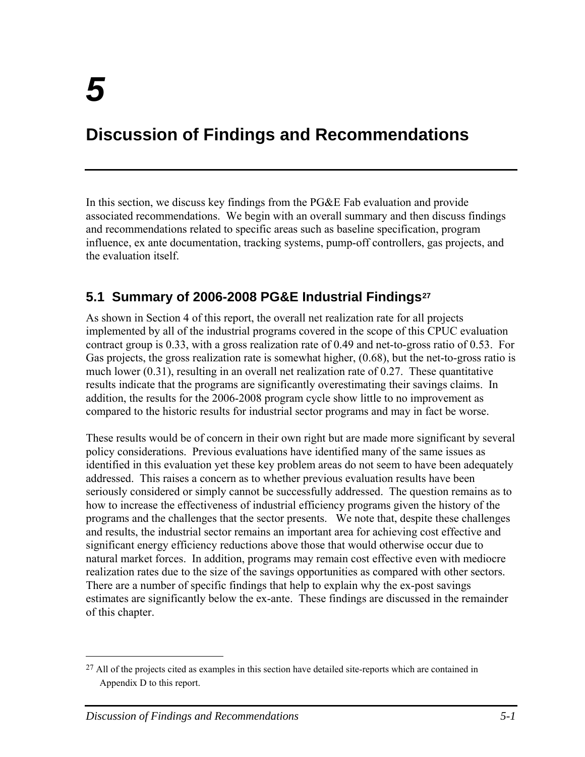# <span id="page-88-0"></span>**Discussion of Findings and Recommendations**

In this section, we discuss key findings from the PG&E Fab evaluation and provide associated recommendations. We begin with an overall summary and then discuss findings and recommendations related to specific areas such as baseline specification, program influence, ex ante documentation, tracking systems, pump-off controllers, gas projects, and the evaluation itself.

# **5.1 Summary of 2006-2008 PG&E Industrial Findings[27](#page-88-0)**

As shown in Section 4 of this report, the overall net realization rate for all projects implemented by all of the industrial programs covered in the scope of this CPUC evaluation contract group is 0.33, with a gross realization rate of 0.49 and net-to-gross ratio of 0.53. For Gas projects, the gross realization rate is somewhat higher, (0.68), but the net-to-gross ratio is much lower (0.31), resulting in an overall net realization rate of 0.27. These quantitative results indicate that the programs are significantly overestimating their savings claims. In addition, the results for the 2006-2008 program cycle show little to no improvement as compared to the historic results for industrial sector programs and may in fact be worse.

These results would be of concern in their own right but are made more significant by several policy considerations. Previous evaluations have identified many of the same issues as identified in this evaluation yet these key problem areas do not seem to have been adequately addressed. This raises a concern as to whether previous evaluation results have been seriously considered or simply cannot be successfully addressed. The question remains as to how to increase the effectiveness of industrial efficiency programs given the history of the programs and the challenges that the sector presents. We note that, despite these challenges and results, the industrial sector remains an important area for achieving cost effective and significant energy efficiency reductions above those that would otherwise occur due to natural market forces. In addition, programs may remain cost effective even with mediocre realization rates due to the size of the savings opportunities as compared with other sectors. There are a number of specific findings that help to explain why the ex-post savings estimates are significantly below the ex-ante. These findings are discussed in the remainder of this chapter.

1

 $^{27}$  All of the projects cited as examples in this section have detailed site-reports which are contained in Appendix D to this report.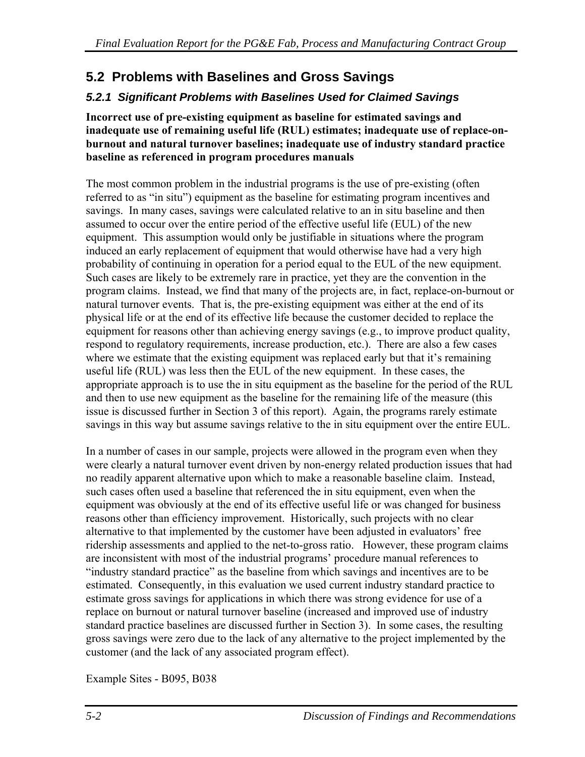# **5.2 Problems with Baselines and Gross Savings**

# *5.2.1 Significant Problems with Baselines Used for Claimed Savings*

**Incorrect use of pre-existing equipment as baseline for estimated savings and inadequate use of remaining useful life (RUL) estimates; inadequate use of replace-onburnout and natural turnover baselines; inadequate use of industry standard practice baseline as referenced in program procedures manuals** 

The most common problem in the industrial programs is the use of pre-existing (often referred to as "in situ") equipment as the baseline for estimating program incentives and savings. In many cases, savings were calculated relative to an in situ baseline and then assumed to occur over the entire period of the effective useful life (EUL) of the new equipment. This assumption would only be justifiable in situations where the program induced an early replacement of equipment that would otherwise have had a very high probability of continuing in operation for a period equal to the EUL of the new equipment. Such cases are likely to be extremely rare in practice, yet they are the convention in the program claims. Instead, we find that many of the projects are, in fact, replace-on-burnout or natural turnover events. That is, the pre-existing equipment was either at the end of its physical life or at the end of its effective life because the customer decided to replace the equipment for reasons other than achieving energy savings (e.g., to improve product quality, respond to regulatory requirements, increase production, etc.). There are also a few cases where we estimate that the existing equipment was replaced early but that it's remaining useful life (RUL) was less then the EUL of the new equipment. In these cases, the appropriate approach is to use the in situ equipment as the baseline for the period of the RUL and then to use new equipment as the baseline for the remaining life of the measure (this issue is discussed further in Section 3 of this report). Again, the programs rarely estimate savings in this way but assume savings relative to the in situ equipment over the entire EUL.

In a number of cases in our sample, projects were allowed in the program even when they were clearly a natural turnover event driven by non-energy related production issues that had no readily apparent alternative upon which to make a reasonable baseline claim. Instead, such cases often used a baseline that referenced the in situ equipment, even when the equipment was obviously at the end of its effective useful life or was changed for business reasons other than efficiency improvement. Historically, such projects with no clear alternative to that implemented by the customer have been adjusted in evaluators' free ridership assessments and applied to the net-to-gross ratio. However, these program claims are inconsistent with most of the industrial programs' procedure manual references to "industry standard practice" as the baseline from which savings and incentives are to be estimated. Consequently, in this evaluation we used current industry standard practice to estimate gross savings for applications in which there was strong evidence for use of a replace on burnout or natural turnover baseline (increased and improved use of industry standard practice baselines are discussed further in Section 3). In some cases, the resulting gross savings were zero due to the lack of any alternative to the project implemented by the customer (and the lack of any associated program effect).

Example Sites - B095, B038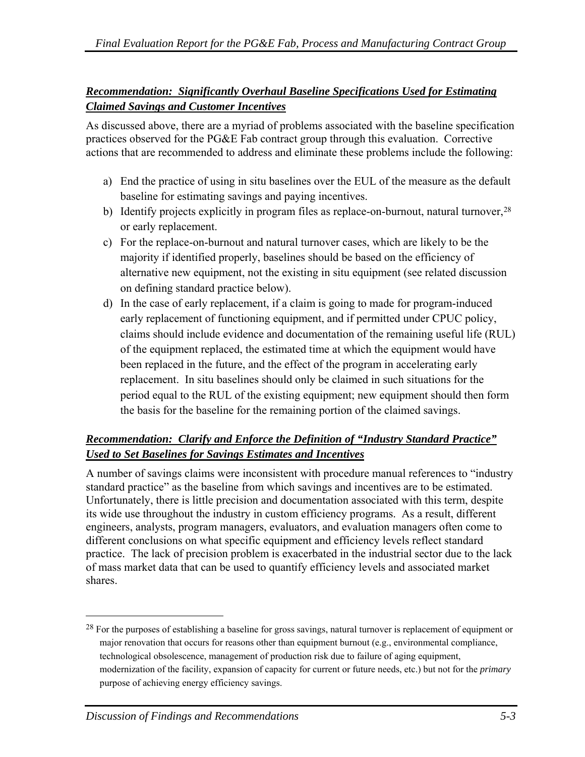### <span id="page-90-0"></span>*Recommendation: Significantly Overhaul Baseline Specifications Used for Estimating Claimed Savings and Customer Incentives*

As discussed above, there are a myriad of problems associated with the baseline specification practices observed for the PG&E Fab contract group through this evaluation. Corrective actions that are recommended to address and eliminate these problems include the following:

- a) End the practice of using in situ baselines over the EUL of the measure as the default baseline for estimating savings and paying incentives.
- b) Identify projects explicitly in program files as replace-on-burnout, natural turnover, <sup>[2](#page-90-0)8</sup> or early replacement.
- c) For the replace-on-burnout and natural turnover cases, which are likely to be the majority if identified properly, baselines should be based on the efficiency of alternative new equipment, not the existing in situ equipment (see related discussion on defining standard practice below).
- d) In the case of early replacement, if a claim is going to made for program-induced early replacement of functioning equipment, and if permitted under CPUC policy, claims should include evidence and documentation of the remaining useful life (RUL) of the equipment replaced, the estimated time at which the equipment would have been replaced in the future, and the effect of the program in accelerating early replacement. In situ baselines should only be claimed in such situations for the period equal to the RUL of the existing equipment; new equipment should then form the basis for the baseline for the remaining portion of the claimed savings.

### *Recommendation: Clarify and Enforce the Definition of "Industry Standard Practice" Used to Set Baselines for Savings Estimates and Incentives*

A number of savings claims were inconsistent with procedure manual references to "industry standard practice" as the baseline from which savings and incentives are to be estimated. Unfortunately, there is little precision and documentation associated with this term, despite its wide use throughout the industry in custom efficiency programs. As a result, different engineers, analysts, program managers, evaluators, and evaluation managers often come to different conclusions on what specific equipment and efficiency levels reflect standard practice. The lack of precision problem is exacerbated in the industrial sector due to the lack of mass market data that can be used to quantify efficiency levels and associated market shares.

 $\overline{a}$ 

<sup>&</sup>lt;sup>28</sup> For the purposes of establishing a baseline for gross savings, natural turnover is replacement of equipment or major renovation that occurs for reasons other than equipment burnout (e.g., environmental compliance, technological obsolescence, management of production risk due to failure of aging equipment, modernization of the facility, expansion of capacity for current or future needs, etc.) but not for the *primary* purpose of achieving energy efficiency savings.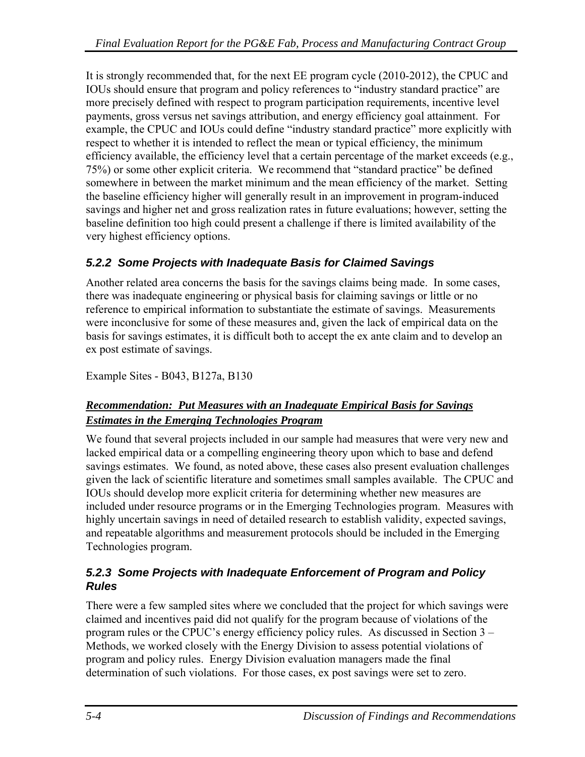It is strongly recommended that, for the next EE program cycle (2010-2012), the CPUC and IOUs should ensure that program and policy references to "industry standard practice" are more precisely defined with respect to program participation requirements, incentive level payments, gross versus net savings attribution, and energy efficiency goal attainment. For example, the CPUC and IOUs could define "industry standard practice" more explicitly with respect to whether it is intended to reflect the mean or typical efficiency, the minimum efficiency available, the efficiency level that a certain percentage of the market exceeds (e.g., 75%) or some other explicit criteria. We recommend that "standard practice" be defined somewhere in between the market minimum and the mean efficiency of the market. Setting the baseline efficiency higher will generally result in an improvement in program-induced savings and higher net and gross realization rates in future evaluations; however, setting the baseline definition too high could present a challenge if there is limited availability of the very highest efficiency options.

# *5.2.2 Some Projects with Inadequate Basis for Claimed Savings*

Another related area concerns the basis for the savings claims being made. In some cases, there was inadequate engineering or physical basis for claiming savings or little or no reference to empirical information to substantiate the estimate of savings. Measurements were inconclusive for some of these measures and, given the lack of empirical data on the basis for savings estimates, it is difficult both to accept the ex ante claim and to develop an ex post estimate of savings.

Example Sites - B043, B127a, B130

# *Recommendation: Put Measures with an Inadequate Empirical Basis for Savings Estimates in the Emerging Technologies Program*

We found that several projects included in our sample had measures that were very new and lacked empirical data or a compelling engineering theory upon which to base and defend savings estimates. We found, as noted above, these cases also present evaluation challenges given the lack of scientific literature and sometimes small samples available. The CPUC and IOUs should develop more explicit criteria for determining whether new measures are included under resource programs or in the Emerging Technologies program. Measures with highly uncertain savings in need of detailed research to establish validity, expected savings, and repeatable algorithms and measurement protocols should be included in the Emerging Technologies program.

### *5.2.3 Some Projects with Inadequate Enforcement of Program and Policy Rules*

There were a few sampled sites where we concluded that the project for which savings were claimed and incentives paid did not qualify for the program because of violations of the program rules or the CPUC's energy efficiency policy rules. As discussed in Section 3 – Methods, we worked closely with the Energy Division to assess potential violations of program and policy rules. Energy Division evaluation managers made the final determination of such violations. For those cases, ex post savings were set to zero.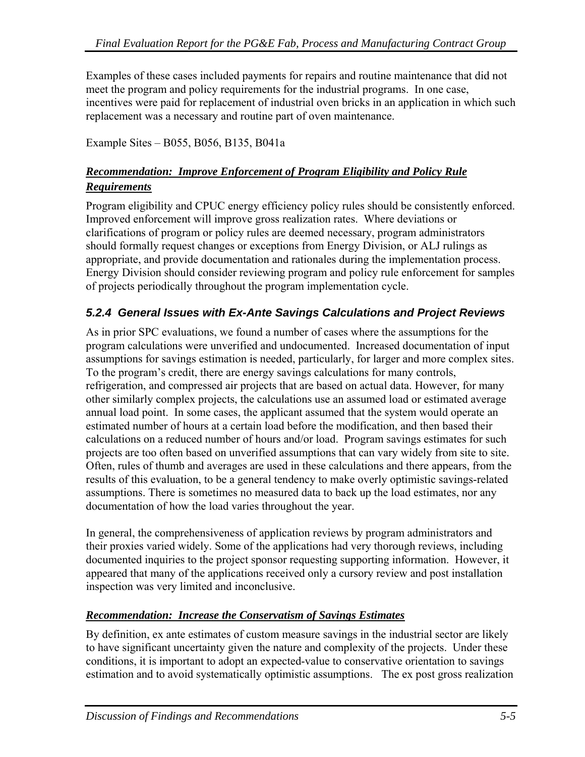Examples of these cases included payments for repairs and routine maintenance that did not meet the program and policy requirements for the industrial programs. In one case, incentives were paid for replacement of industrial oven bricks in an application in which such replacement was a necessary and routine part of oven maintenance.

Example Sites – B055, B056, B135, B041a

### *Recommendation: Improve Enforcement of Program Eligibility and Policy Rule Requirements*

Program eligibility and CPUC energy efficiency policy rules should be consistently enforced. Improved enforcement will improve gross realization rates. Where deviations or clarifications of program or policy rules are deemed necessary, program administrators should formally request changes or exceptions from Energy Division, or ALJ rulings as appropriate, and provide documentation and rationales during the implementation process. Energy Division should consider reviewing program and policy rule enforcement for samples of projects periodically throughout the program implementation cycle.

### *5.2.4 General Issues with Ex-Ante Savings Calculations and Project Reviews*

As in prior SPC evaluations, we found a number of cases where the assumptions for the program calculations were unverified and undocumented. Increased documentation of input assumptions for savings estimation is needed, particularly, for larger and more complex sites. To the program's credit, there are energy savings calculations for many controls, refrigeration, and compressed air projects that are based on actual data. However, for many other similarly complex projects, the calculations use an assumed load or estimated average annual load point. In some cases, the applicant assumed that the system would operate an estimated number of hours at a certain load before the modification, and then based their calculations on a reduced number of hours and/or load. Program savings estimates for such projects are too often based on unverified assumptions that can vary widely from site to site. Often, rules of thumb and averages are used in these calculations and there appears, from the results of this evaluation, to be a general tendency to make overly optimistic savings-related assumptions. There is sometimes no measured data to back up the load estimates, nor any documentation of how the load varies throughout the year.

In general, the comprehensiveness of application reviews by program administrators and their proxies varied widely. Some of the applications had very thorough reviews, including documented inquiries to the project sponsor requesting supporting information. However, it appeared that many of the applications received only a cursory review and post installation inspection was very limited and inconclusive.

#### *Recommendation: Increase the Conservatism of Savings Estimates*

By definition, ex ante estimates of custom measure savings in the industrial sector are likely to have significant uncertainty given the nature and complexity of the projects. Under these conditions, it is important to adopt an expected-value to conservative orientation to savings estimation and to avoid systematically optimistic assumptions. The ex post gross realization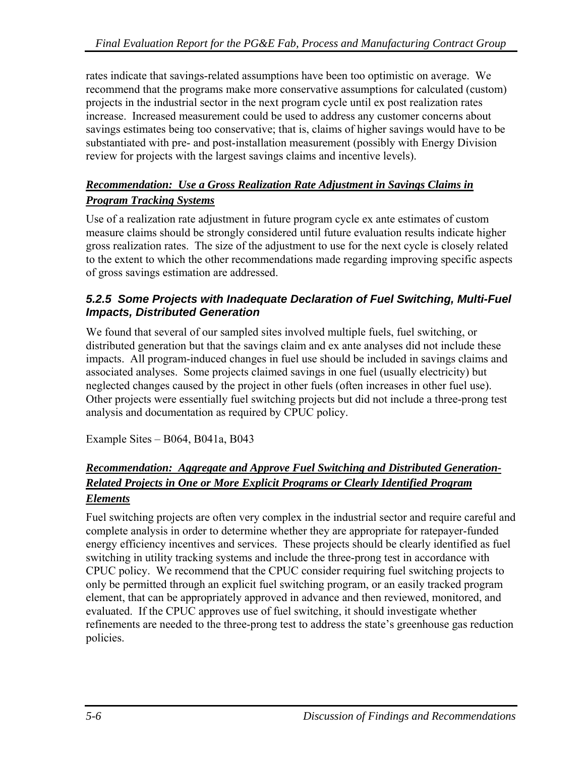rates indicate that savings-related assumptions have been too optimistic on average. We recommend that the programs make more conservative assumptions for calculated (custom) projects in the industrial sector in the next program cycle until ex post realization rates increase. Increased measurement could be used to address any customer concerns about savings estimates being too conservative; that is, claims of higher savings would have to be substantiated with pre- and post-installation measurement (possibly with Energy Division review for projects with the largest savings claims and incentive levels).

### *Recommendation: Use a Gross Realization Rate Adjustment in Savings Claims in Program Tracking Systems*

Use of a realization rate adjustment in future program cycle ex ante estimates of custom measure claims should be strongly considered until future evaluation results indicate higher gross realization rates. The size of the adjustment to use for the next cycle is closely related to the extent to which the other recommendations made regarding improving specific aspects of gross savings estimation are addressed.

#### *5.2.5 Some Projects with Inadequate Declaration of Fuel Switching, Multi-Fuel Impacts, Distributed Generation*

We found that several of our sampled sites involved multiple fuels, fuel switching, or distributed generation but that the savings claim and ex ante analyses did not include these impacts. All program-induced changes in fuel use should be included in savings claims and associated analyses. Some projects claimed savings in one fuel (usually electricity) but neglected changes caused by the project in other fuels (often increases in other fuel use). Other projects were essentially fuel switching projects but did not include a three-prong test analysis and documentation as required by CPUC policy.

Example Sites – B064, B041a, B043

#### *Recommendation: Aggregate and Approve Fuel Switching and Distributed Generation-Related Projects in One or More Explicit Programs or Clearly Identified Program Elements*

Fuel switching projects are often very complex in the industrial sector and require careful and complete analysis in order to determine whether they are appropriate for ratepayer-funded energy efficiency incentives and services. These projects should be clearly identified as fuel switching in utility tracking systems and include the three-prong test in accordance with CPUC policy. We recommend that the CPUC consider requiring fuel switching projects to only be permitted through an explicit fuel switching program, or an easily tracked program element, that can be appropriately approved in advance and then reviewed, monitored, and evaluated. If the CPUC approves use of fuel switching, it should investigate whether refinements are needed to the three-prong test to address the state's greenhouse gas reduction policies.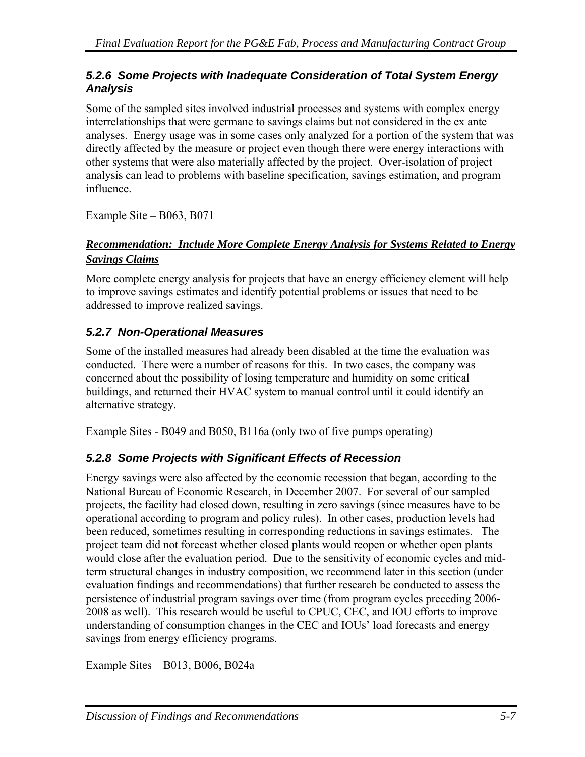#### *5.2.6 Some Projects with Inadequate Consideration of Total System Energy Analysis*

Some of the sampled sites involved industrial processes and systems with complex energy interrelationships that were germane to savings claims but not considered in the ex ante analyses. Energy usage was in some cases only analyzed for a portion of the system that was directly affected by the measure or project even though there were energy interactions with other systems that were also materially affected by the project. Over-isolation of project analysis can lead to problems with baseline specification, savings estimation, and program influence.

Example Site – B063, B071

#### *Recommendation: Include More Complete Energy Analysis for Systems Related to Energy Savings Claims*

More complete energy analysis for projects that have an energy efficiency element will help to improve savings estimates and identify potential problems or issues that need to be addressed to improve realized savings.

# *5.2.7 Non-Operational Measures*

Some of the installed measures had already been disabled at the time the evaluation was conducted. There were a number of reasons for this. In two cases, the company was concerned about the possibility of losing temperature and humidity on some critical buildings, and returned their HVAC system to manual control until it could identify an alternative strategy.

Example Sites - B049 and B050, B116a (only two of five pumps operating)

### *5.2.8 Some Projects with Significant Effects of Recession*

Energy savings were also affected by the economic recession that began, according to the National Bureau of Economic Research, in December 2007. For several of our sampled projects, the facility had closed down, resulting in zero savings (since measures have to be operational according to program and policy rules). In other cases, production levels had been reduced, sometimes resulting in corresponding reductions in savings estimates. The project team did not forecast whether closed plants would reopen or whether open plants would close after the evaluation period. Due to the sensitivity of economic cycles and midterm structural changes in industry composition, we recommend later in this section (under evaluation findings and recommendations) that further research be conducted to assess the persistence of industrial program savings over time (from program cycles preceding 2006- 2008 as well). This research would be useful to CPUC, CEC, and IOU efforts to improve understanding of consumption changes in the CEC and IOUs' load forecasts and energy savings from energy efficiency programs.

Example Sites – B013, B006, B024a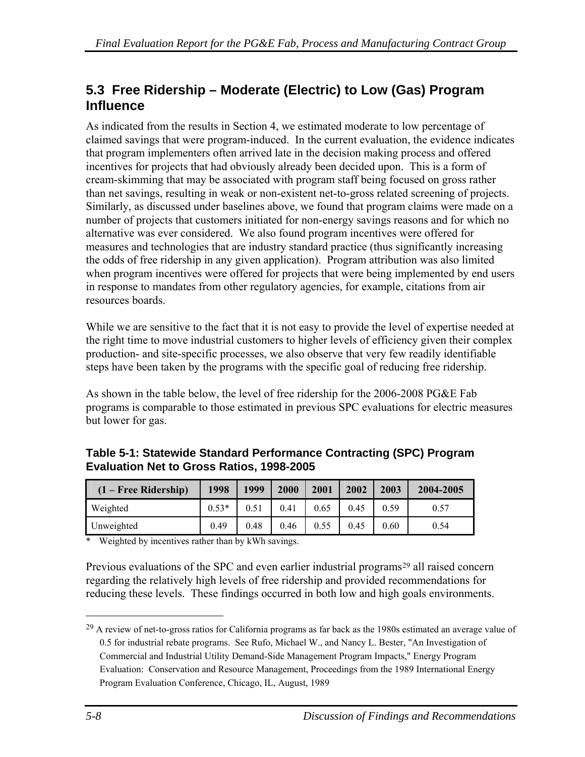# <span id="page-95-0"></span>**5.3 Free Ridership – Moderate (Electric) to Low (Gas) Program Influence**

As indicated from the results in Section 4, we estimated moderate to low percentage of claimed savings that were program-induced. In the current evaluation, the evidence indicates that program implementers often arrived late in the decision making process and offered incentives for projects that had obviously already been decided upon. This is a form of cream-skimming that may be associated with program staff being focused on gross rather than net savings, resulting in weak or non-existent net-to-gross related screening of projects. Similarly, as discussed under baselines above, we found that program claims were made on a number of projects that customers initiated for non-energy savings reasons and for which no alternative was ever considered. We also found program incentives were offered for measures and technologies that are industry standard practice (thus significantly increasing the odds of free ridership in any given application). Program attribution was also limited when program incentives were offered for projects that were being implemented by end users in response to mandates from other regulatory agencies, for example, citations from air resources boards.

While we are sensitive to the fact that it is not easy to provide the level of expertise needed at the right time to move industrial customers to higher levels of efficiency given their complex production- and site-specific processes, we also observe that very few readily identifiable steps have been taken by the programs with the specific goal of reducing free ridership.

As shown in the table below, the level of free ridership for the 2006-2008 PG&E Fab programs is comparable to those estimated in previous SPC evaluations for electric measures but lower for gas.

| $(1 - Free Ridership)$ | 1998    | 1999 | 2000 | 2001 | 2002 | 2003 | 2004-2005 |
|------------------------|---------|------|------|------|------|------|-----------|
| Weighted               | $0.53*$ | 0.51 | 0.41 | 0.65 | 0.45 | 0.59 | 0.57      |
| Unweighted             | 0.49    | 0.48 | 0.46 | 0.55 | 0.45 | 0.60 | 0.54      |

**Table 5-1: Statewide Standard Performance Contracting (SPC) Program Evaluation Net to Gross Ratios, 1998-2005** 

\* Weighted by incentives rather than by kWh savings.

Previous evaluations of the SPC and even earlier industrial programs<sup>[2](#page-95-0)9</sup> all raised concern regarding the relatively high levels of free ridership and provided recommendations for reducing these levels. These findings occurred in both low and high goals environments.

1

<sup>29</sup> A review of net-to-gross ratios for California programs as far back as the 1980s estimated an average value of 0.5 for industrial rebate programs. See Rufo, Michael W., and Nancy L. Bester, "An Investigation of Commercial and Industrial Utility Demand-Side Management Program Impacts," Energy Program Evaluation: Conservation and Resource Management, Proceedings from the 1989 International Energy Program Evaluation Conference, Chicago, IL, August, 1989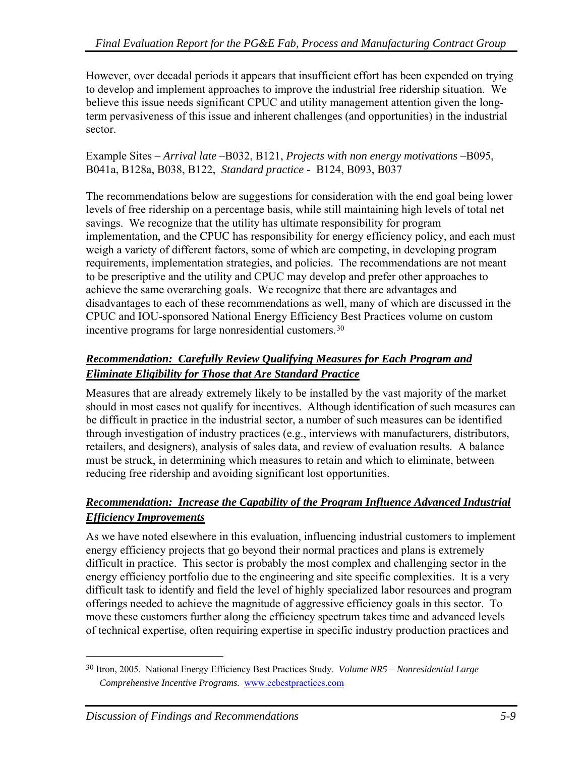<span id="page-96-0"></span>However, over decadal periods it appears that insufficient effort has been expended on trying to develop and implement approaches to improve the industrial free ridership situation. We believe this issue needs significant CPUC and utility management attention given the longterm pervasiveness of this issue and inherent challenges (and opportunities) in the industrial sector.

Example Sites – *Arrival late* –B032, B121, *Projects with non energy motivations* –B095, B041a, B128a, B038, B122, *Standard practice -* B124, B093, B037

The recommendations below are suggestions for consideration with the end goal being lower levels of free ridership on a percentage basis, while still maintaining high levels of total net savings. We recognize that the utility has ultimate responsibility for program implementation, and the CPUC has responsibility for energy efficiency policy, and each must weigh a variety of different factors, some of which are competing, in developing program requirements, implementation strategies, and policies. The recommendations are not meant to be prescriptive and the utility and CPUC may develop and prefer other approaches to achieve the same overarching goals. We recognize that there are advantages and disadvantages to each of these recommendations as well, many of which are discussed in the CPUC and IOU-sponsored National Energy Efficiency Best Practices volume on custom incentive programs for large nonresidential customers.[3](#page-96-0)0

### *Recommendation: Carefully Review Qualifying Measures for Each Program and Eliminate Eligibility for Those that Are Standard Practice*

Measures that are already extremely likely to be installed by the vast majority of the market should in most cases not qualify for incentives. Although identification of such measures can be difficult in practice in the industrial sector, a number of such measures can be identified through investigation of industry practices (e.g., interviews with manufacturers, distributors, retailers, and designers), analysis of sales data, and review of evaluation results. A balance must be struck, in determining which measures to retain and which to eliminate, between reducing free ridership and avoiding significant lost opportunities.

### *Recommendation: Increase the Capability of the Program Influence Advanced Industrial Efficiency Improvements*

As we have noted elsewhere in this evaluation, influencing industrial customers to implement energy efficiency projects that go beyond their normal practices and plans is extremely difficult in practice. This sector is probably the most complex and challenging sector in the energy efficiency portfolio due to the engineering and site specific complexities. It is a very difficult task to identify and field the level of highly specialized labor resources and program offerings needed to achieve the magnitude of aggressive efficiency goals in this sector. To move these customers further along the efficiency spectrum takes time and advanced levels of technical expertise, often requiring expertise in specific industry production practices and

 $\overline{a}$ 

<sup>30</sup> Itron, 2005. National Energy Efficiency Best Practices Study. *Volume NR5 – Nonresidential Large Comprehensive Incentive Programs*. www.eebestpractices.com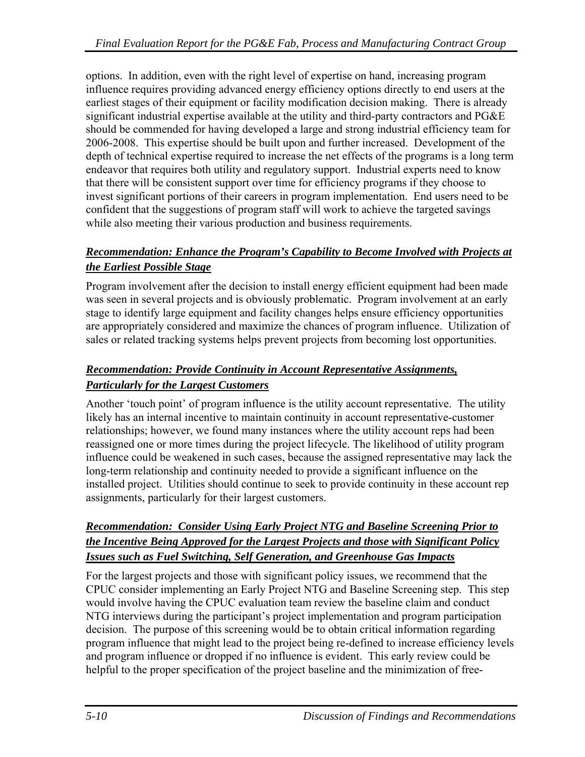options. In addition, even with the right level of expertise on hand, increasing program influence requires providing advanced energy efficiency options directly to end users at the earliest stages of their equipment or facility modification decision making. There is already significant industrial expertise available at the utility and third-party contractors and PG&E should be commended for having developed a large and strong industrial efficiency team for 2006-2008. This expertise should be built upon and further increased. Development of the depth of technical expertise required to increase the net effects of the programs is a long term endeavor that requires both utility and regulatory support. Industrial experts need to know that there will be consistent support over time for efficiency programs if they choose to invest significant portions of their careers in program implementation. End users need to be confident that the suggestions of program staff will work to achieve the targeted savings while also meeting their various production and business requirements.

### *Recommendation: Enhance the Program's Capability to Become Involved with Projects at the Earliest Possible Stage*

Program involvement after the decision to install energy efficient equipment had been made was seen in several projects and is obviously problematic. Program involvement at an early stage to identify large equipment and facility changes helps ensure efficiency opportunities are appropriately considered and maximize the chances of program influence. Utilization of sales or related tracking systems helps prevent projects from becoming lost opportunities.

### *Recommendation: Provide Continuity in Account Representative Assignments, Particularly for the Largest Customers*

Another 'touch point' of program influence is the utility account representative. The utility likely has an internal incentive to maintain continuity in account representative-customer relationships; however, we found many instances where the utility account reps had been reassigned one or more times during the project lifecycle. The likelihood of utility program influence could be weakened in such cases, because the assigned representative may lack the long-term relationship and continuity needed to provide a significant influence on the installed project. Utilities should continue to seek to provide continuity in these account rep assignments, particularly for their largest customers.

### *Recommendation: Consider Using Early Project NTG and Baseline Screening Prior to the Incentive Being Approved for the Largest Projects and those with Significant Policy Issues such as Fuel Switching, Self Generation, and Greenhouse Gas Impacts*

For the largest projects and those with significant policy issues, we recommend that the CPUC consider implementing an Early Project NTG and Baseline Screening step. This step would involve having the CPUC evaluation team review the baseline claim and conduct NTG interviews during the participant's project implementation and program participation decision. The purpose of this screening would be to obtain critical information regarding program influence that might lead to the project being re-defined to increase efficiency levels and program influence or dropped if no influence is evident. This early review could be helpful to the proper specification of the project baseline and the minimization of free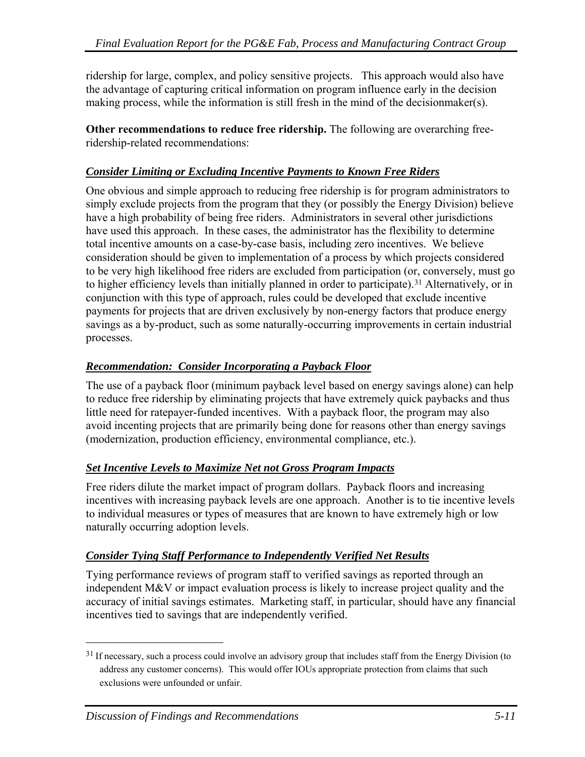<span id="page-98-0"></span>ridership for large, complex, and policy sensitive projects. This approach would also have the advantage of capturing critical information on program influence early in the decision making process, while the information is still fresh in the mind of the decisionmaker(s).

**Other recommendations to reduce free ridership.** The following are overarching freeridership-related recommendations:

#### *Consider Limiting or Excluding Incentive Payments to Known Free Riders*

One obvious and simple approach to reducing free ridership is for program administrators to simply exclude projects from the program that they (or possibly the Energy Division) believe have a high probability of being free riders. Administrators in several other jurisdictions have used this approach. In these cases, the administrator has the flexibility to determine total incentive amounts on a case-by-case basis, including zero incentives. We believe consideration should be given to implementation of a process by which projects considered to be very high likelihood free riders are excluded from participation (or, conversely, must go to higher efficiency levels than initially planned in order to participate).<sup>[3](#page-98-0)1</sup> Alternatively, or in conjunction with this type of approach, rules could be developed that exclude incentive payments for projects that are driven exclusively by non-energy factors that produce energy savings as a by-product, such as some naturally-occurring improvements in certain industrial processes.

### *Recommendation: Consider Incorporating a Payback Floor*

The use of a payback floor (minimum payback level based on energy savings alone) can help to reduce free ridership by eliminating projects that have extremely quick paybacks and thus little need for ratepayer-funded incentives. With a payback floor, the program may also avoid incenting projects that are primarily being done for reasons other than energy savings (modernization, production efficiency, environmental compliance, etc.).

### *Set Incentive Levels to Maximize Net not Gross Program Impacts*

Free riders dilute the market impact of program dollars. Payback floors and increasing incentives with increasing payback levels are one approach. Another is to tie incentive levels to individual measures or types of measures that are known to have extremely high or low naturally occurring adoption levels.

### *Consider Tying Staff Performance to Independently Verified Net Results*

Tying performance reviews of program staff to verified savings as reported through an independent M&V or impact evaluation process is likely to increase project quality and the accuracy of initial savings estimates. Marketing staff, in particular, should have any financial incentives tied to savings that are independently verified.

 $\overline{a}$ 

<sup>&</sup>lt;sup>31</sup> If necessary, such a process could involve an advisory group that includes staff from the Energy Division (to address any customer concerns). This would offer IOUs appropriate protection from claims that such exclusions were unfounded or unfair.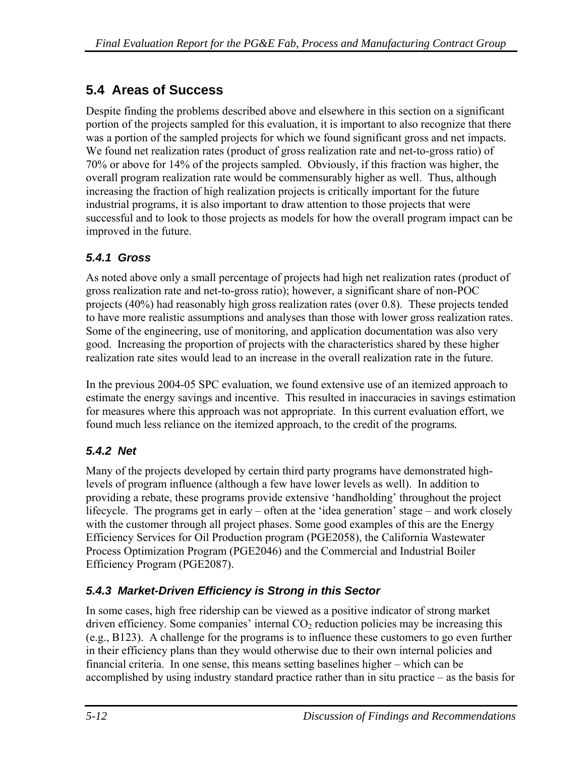# **5.4 Areas of Success**

Despite finding the problems described above and elsewhere in this section on a significant portion of the projects sampled for this evaluation, it is important to also recognize that there was a portion of the sampled projects for which we found significant gross and net impacts. We found net realization rates (product of gross realization rate and net-to-gross ratio) of 70% or above for 14% of the projects sampled. Obviously, if this fraction was higher, the overall program realization rate would be commensurably higher as well. Thus, although increasing the fraction of high realization projects is critically important for the future industrial programs, it is also important to draw attention to those projects that were successful and to look to those projects as models for how the overall program impact can be improved in the future.

# *5.4.1 Gross*

As noted above only a small percentage of projects had high net realization rates (product of gross realization rate and net-to-gross ratio); however, a significant share of non-POC projects (40%) had reasonably high gross realization rates (over 0.8). These projects tended to have more realistic assumptions and analyses than those with lower gross realization rates. Some of the engineering, use of monitoring, and application documentation was also very good. Increasing the proportion of projects with the characteristics shared by these higher realization rate sites would lead to an increase in the overall realization rate in the future.

In the previous 2004-05 SPC evaluation, we found extensive use of an itemized approach to estimate the energy savings and incentive. This resulted in inaccuracies in savings estimation for measures where this approach was not appropriate. In this current evaluation effort, we found much less reliance on the itemized approach, to the credit of the programs*.*

# *5.4.2 Net*

Many of the projects developed by certain third party programs have demonstrated highlevels of program influence (although a few have lower levels as well). In addition to providing a rebate, these programs provide extensive 'handholding' throughout the project lifecycle. The programs get in early – often at the 'idea generation' stage – and work closely with the customer through all project phases. Some good examples of this are the Energy Efficiency Services for Oil Production program (PGE2058), the California Wastewater Process Optimization Program (PGE2046) and the Commercial and Industrial Boiler Efficiency Program (PGE2087).

# *5.4.3 Market-Driven Efficiency is Strong in this Sector*

In some cases, high free ridership can be viewed as a positive indicator of strong market driven efficiency. Some companies' internal  $CO<sub>2</sub>$  reduction policies may be increasing this (e.g., B123). A challenge for the programs is to influence these customers to go even further in their efficiency plans than they would otherwise due to their own internal policies and financial criteria. In one sense, this means setting baselines higher – which can be accomplished by using industry standard practice rather than in situ practice – as the basis for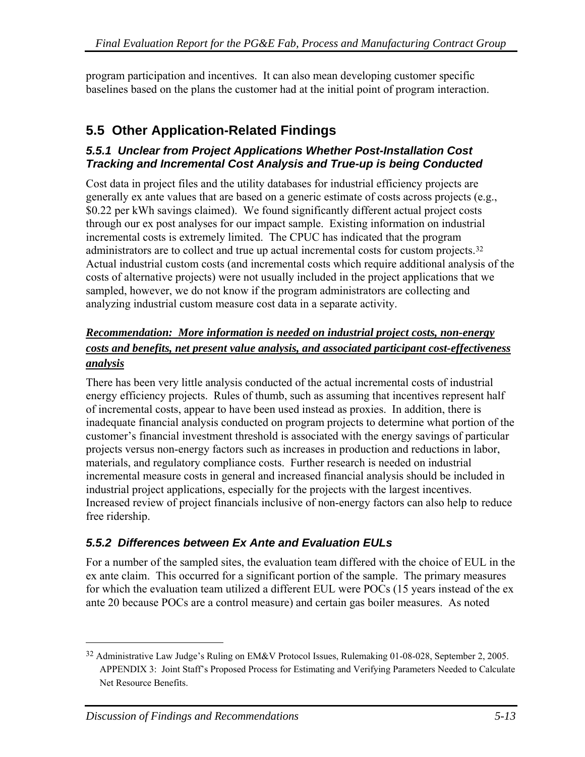<span id="page-100-0"></span>program participation and incentives. It can also mean developing customer specific baselines based on the plans the customer had at the initial point of program interaction.

# **5.5 Other Application-Related Findings**

#### *5.5.1 Unclear from Project Applications Whether Post-Installation Cost Tracking and Incremental Cost Analysis and True-up is being Conducted*

Cost data in project files and the utility databases for industrial efficiency projects are generally ex ante values that are based on a generic estimate of costs across projects (e.g., \$0.22 per kWh savings claimed). We found significantly different actual project costs through our ex post analyses for our impact sample. Existing information on industrial incremental costs is extremely limited. The CPUC has indicated that the program administrators are to collect and true up actual incremental costs for custom projects.[3](#page-100-0)2 Actual industrial custom costs (and incremental costs which require additional analysis of the costs of alternative projects) were not usually included in the project applications that we sampled, however, we do not know if the program administrators are collecting and analyzing industrial custom measure cost data in a separate activity.

### *Recommendation: More information is needed on industrial project costs, non-energy costs and benefits, net present value analysis, and associated participant cost-effectiveness analysis*

There has been very little analysis conducted of the actual incremental costs of industrial energy efficiency projects. Rules of thumb, such as assuming that incentives represent half of incremental costs, appear to have been used instead as proxies. In addition, there is inadequate financial analysis conducted on program projects to determine what portion of the customer's financial investment threshold is associated with the energy savings of particular projects versus non-energy factors such as increases in production and reductions in labor, materials, and regulatory compliance costs. Further research is needed on industrial incremental measure costs in general and increased financial analysis should be included in industrial project applications, especially for the projects with the largest incentives. Increased review of project financials inclusive of non-energy factors can also help to reduce free ridership.

# *5.5.2 Differences between Ex Ante and Evaluation EULs*

For a number of the sampled sites, the evaluation team differed with the choice of EUL in the ex ante claim. This occurred for a significant portion of the sample. The primary measures for which the evaluation team utilized a different EUL were POCs (15 years instead of the ex ante 20 because POCs are a control measure) and certain gas boiler measures. As noted

<sup>32</sup> Administrative Law Judge's Ruling on EM&V Protocol Issues, Rulemaking 01-08-028, September 2, 2005. APPENDIX 3: Joint Staff's Proposed Process for Estimating and Verifying Parameters Needed to Calculate Net Resource Benefits.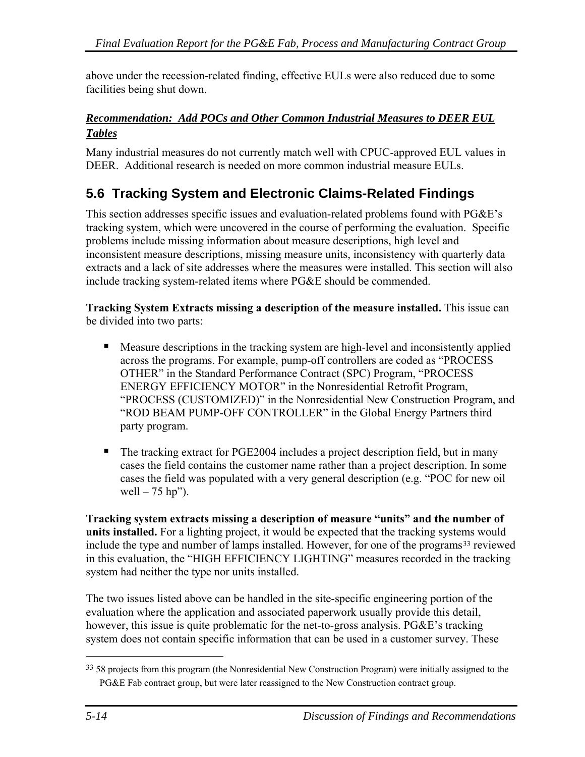<span id="page-101-0"></span>above under the recession-related finding, effective EULs were also reduced due to some facilities being shut down.

### *Recommendation: Add POCs and Other Common Industrial Measures to DEER EUL Tables*

Many industrial measures do not currently match well with CPUC-approved EUL values in DEER. Additional research is needed on more common industrial measure EULs.

# **5.6 Tracking System and Electronic Claims-Related Findings**

This section addresses specific issues and evaluation-related problems found with PG&E's tracking system, which were uncovered in the course of performing the evaluation. Specific problems include missing information about measure descriptions, high level and inconsistent measure descriptions, missing measure units, inconsistency with quarterly data extracts and a lack of site addresses where the measures were installed. This section will also include tracking system-related items where PG&E should be commended.

**Tracking System Extracts missing a description of the measure installed.** This issue can be divided into two parts:

- **Measure descriptions in the tracking system are high-level and inconsistently applied** across the programs. For example, pump-off controllers are coded as "PROCESS OTHER" in the Standard Performance Contract (SPC) Program, "PROCESS ENERGY EFFICIENCY MOTOR" in the Nonresidential Retrofit Program, "PROCESS (CUSTOMIZED)" in the Nonresidential New Construction Program, and "ROD BEAM PUMP-OFF CONTROLLER" in the Global Energy Partners third party program.
- The tracking extract for PGE2004 includes a project description field, but in many cases the field contains the customer name rather than a project description. In some cases the field was populated with a very general description (e.g. "POC for new oil well  $-75$  hp").

**Tracking system extracts missing a description of measure "units" and the number of units installed.** For a lighting project, it would be expected that the tracking systems would include the type and number of lamps installed. However, for one of the programs<sup>[33](#page-101-0)</sup> reviewed in this evaluation, the "HIGH EFFICIENCY LIGHTING" measures recorded in the tracking system had neither the type nor units installed.

The two issues listed above can be handled in the site-specific engineering portion of the evaluation where the application and associated paperwork usually provide this detail, however, this issue is quite problematic for the net-to-gross analysis. PG&E's tracking system does not contain specific information that can be used in a customer survey. These

1

<sup>&</sup>lt;sup>33</sup> 58 projects from this program (the Nonresidential New Construction Program) were initially assigned to the PG&E Fab contract group, but were later reassigned to the New Construction contract group.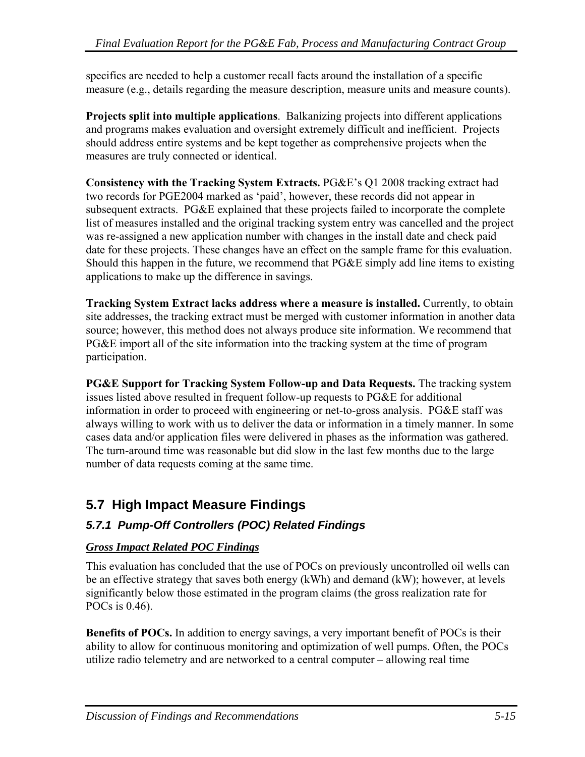specifics are needed to help a customer recall facts around the installation of a specific measure (e.g., details regarding the measure description, measure units and measure counts).

**Projects split into multiple applications**. Balkanizing projects into different applications and programs makes evaluation and oversight extremely difficult and inefficient. Projects should address entire systems and be kept together as comprehensive projects when the measures are truly connected or identical.

**Consistency with the Tracking System Extracts.** PG&E's Q1 2008 tracking extract had two records for PGE2004 marked as 'paid', however, these records did not appear in subsequent extracts. PG&E explained that these projects failed to incorporate the complete list of measures installed and the original tracking system entry was cancelled and the project was re-assigned a new application number with changes in the install date and check paid date for these projects. These changes have an effect on the sample frame for this evaluation. Should this happen in the future, we recommend that PG&E simply add line items to existing applications to make up the difference in savings.

**Tracking System Extract lacks address where a measure is installed.** Currently, to obtain site addresses, the tracking extract must be merged with customer information in another data source; however, this method does not always produce site information. We recommend that PG&E import all of the site information into the tracking system at the time of program participation.

**PG&E Support for Tracking System Follow-up and Data Requests.** The tracking system issues listed above resulted in frequent follow-up requests to PG&E for additional information in order to proceed with engineering or net-to-gross analysis. PG&E staff was always willing to work with us to deliver the data or information in a timely manner. In some cases data and/or application files were delivered in phases as the information was gathered. The turn-around time was reasonable but did slow in the last few months due to the large number of data requests coming at the same time.

# **5.7 High Impact Measure Findings**

# *5.7.1 Pump-Off Controllers (POC) Related Findings*

### *Gross Impact Related POC Findings*

This evaluation has concluded that the use of POCs on previously uncontrolled oil wells can be an effective strategy that saves both energy (kWh) and demand (kW); however, at levels significantly below those estimated in the program claims (the gross realization rate for POCs is 0.46).

**Benefits of POCs.** In addition to energy savings, a very important benefit of POCs is their ability to allow for continuous monitoring and optimization of well pumps. Often, the POCs utilize radio telemetry and are networked to a central computer – allowing real time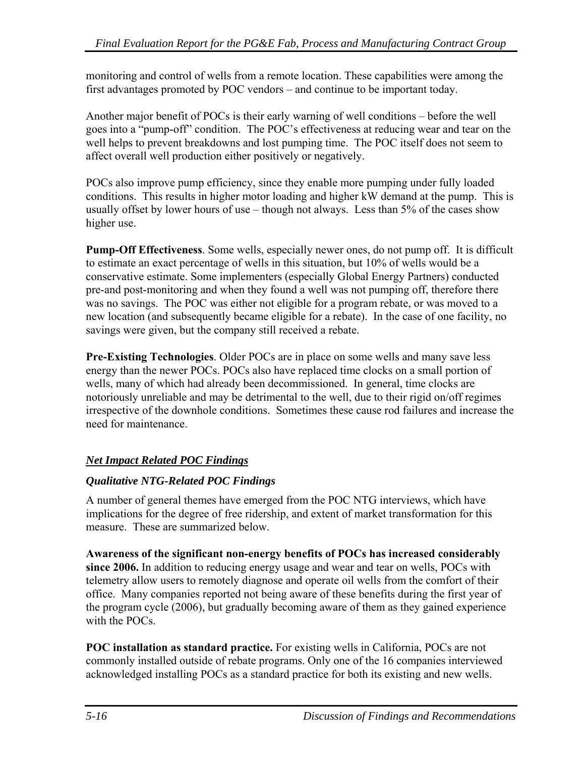monitoring and control of wells from a remote location. These capabilities were among the first advantages promoted by POC vendors – and continue to be important today.

Another major benefit of POCs is their early warning of well conditions – before the well goes into a "pump-off" condition. The POC's effectiveness at reducing wear and tear on the well helps to prevent breakdowns and lost pumping time. The POC itself does not seem to affect overall well production either positively or negatively.

POCs also improve pump efficiency, since they enable more pumping under fully loaded conditions. This results in higher motor loading and higher kW demand at the pump. This is usually offset by lower hours of use – though not always. Less than 5% of the cases show higher use.

**Pump-Off Effectiveness**. Some wells, especially newer ones, do not pump off. It is difficult to estimate an exact percentage of wells in this situation, but 10% of wells would be a conservative estimate. Some implementers (especially Global Energy Partners) conducted pre-and post-monitoring and when they found a well was not pumping off, therefore there was no savings. The POC was either not eligible for a program rebate, or was moved to a new location (and subsequently became eligible for a rebate). In the case of one facility, no savings were given, but the company still received a rebate.

**Pre-Existing Technologies**. Older POCs are in place on some wells and many save less energy than the newer POCs. POCs also have replaced time clocks on a small portion of wells, many of which had already been decommissioned. In general, time clocks are notoriously unreliable and may be detrimental to the well, due to their rigid on/off regimes irrespective of the downhole conditions. Sometimes these cause rod failures and increase the need for maintenance.

# *Net Impact Related POC Findings*

### *Qualitative NTG-Related POC Findings*

A number of general themes have emerged from the POC NTG interviews, which have implications for the degree of free ridership, and extent of market transformation for this measure. These are summarized below.

**Awareness of the significant non-energy benefits of POCs has increased considerably since 2006.** In addition to reducing energy usage and wear and tear on wells, POCs with telemetry allow users to remotely diagnose and operate oil wells from the comfort of their office. Many companies reported not being aware of these benefits during the first year of the program cycle (2006), but gradually becoming aware of them as they gained experience with the POCs.

**POC installation as standard practice.** For existing wells in California, POCs are not commonly installed outside of rebate programs. Only one of the 16 companies interviewed acknowledged installing POCs as a standard practice for both its existing and new wells.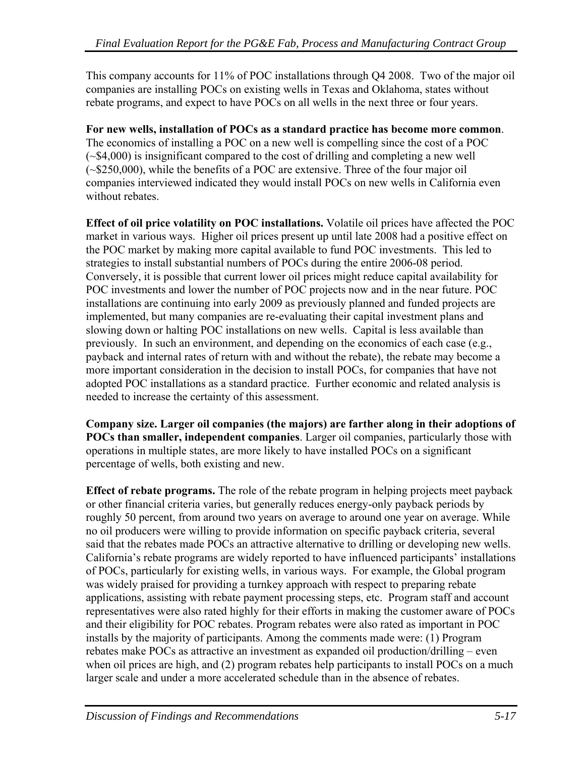This company accounts for 11% of POC installations through Q4 2008. Two of the major oil companies are installing POCs on existing wells in Texas and Oklahoma, states without rebate programs, and expect to have POCs on all wells in the next three or four years.

**For new wells, installation of POCs as a standard practice has become more common**. The economics of installing a POC on a new well is compelling since the cost of a POC (~\$4,000) is insignificant compared to the cost of drilling and completing a new well (~\$250,000), while the benefits of a POC are extensive. Three of the four major oil companies interviewed indicated they would install POCs on new wells in California even without rebates

**Effect of oil price volatility on POC installations.** Volatile oil prices have affected the POC market in various ways. Higher oil prices present up until late 2008 had a positive effect on the POC market by making more capital available to fund POC investments. This led to strategies to install substantial numbers of POCs during the entire 2006-08 period. Conversely, it is possible that current lower oil prices might reduce capital availability for POC investments and lower the number of POC projects now and in the near future. POC installations are continuing into early 2009 as previously planned and funded projects are implemented, but many companies are re-evaluating their capital investment plans and slowing down or halting POC installations on new wells. Capital is less available than previously. In such an environment, and depending on the economics of each case (e.g., payback and internal rates of return with and without the rebate), the rebate may become a more important consideration in the decision to install POCs, for companies that have not adopted POC installations as a standard practice. Further economic and related analysis is needed to increase the certainty of this assessment.

**Company size. Larger oil companies (the majors) are farther along in their adoptions of POCs than smaller, independent companies**. Larger oil companies, particularly those with operations in multiple states, are more likely to have installed POCs on a significant percentage of wells, both existing and new.

**Effect of rebate programs.** The role of the rebate program in helping projects meet payback or other financial criteria varies, but generally reduces energy-only payback periods by roughly 50 percent, from around two years on average to around one year on average. While no oil producers were willing to provide information on specific payback criteria, several said that the rebates made POCs an attractive alternative to drilling or developing new wells. California's rebate programs are widely reported to have influenced participants' installations of POCs, particularly for existing wells, in various ways. For example, the Global program was widely praised for providing a turnkey approach with respect to preparing rebate applications, assisting with rebate payment processing steps, etc. Program staff and account representatives were also rated highly for their efforts in making the customer aware of POCs and their eligibility for POC rebates. Program rebates were also rated as important in POC installs by the majority of participants. Among the comments made were: (1) Program rebates make POCs as attractive an investment as expanded oil production/drilling – even when oil prices are high, and (2) program rebates help participants to install POCs on a much larger scale and under a more accelerated schedule than in the absence of rebates.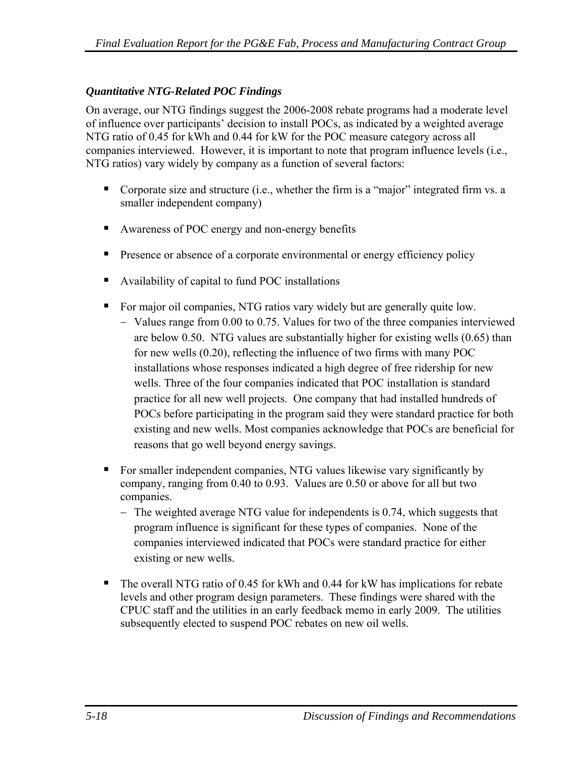#### *Quantitative NTG-Related POC Findings*

On average, our NTG findings suggest the 2006-2008 rebate programs had a moderate level of influence over participants' decision to install POCs, as indicated by a weighted average NTG ratio of 0.45 for kWh and 0.44 for kW for the POC measure category across all companies interviewed. However, it is important to note that program influence levels (i.e., NTG ratios) vary widely by company as a function of several factors:

- Corporate size and structure (i.e., whether the firm is a "major" integrated firm vs. a smaller independent company)
- Awareness of POC energy and non-energy benefits
- **Presence or absence of a corporate environmental or energy efficiency policy**
- Availability of capital to fund POC installations
- For major oil companies, NTG ratios vary widely but are generally quite low.
	- − Values range from 0.00 to 0.75. Values for two of the three companies interviewed are below 0.50. NTG values are substantially higher for existing wells (0.65) than for new wells (0.20), reflecting the influence of two firms with many POC installations whose responses indicated a high degree of free ridership for new wells. Three of the four companies indicated that POC installation is standard practice for all new well projects. One company that had installed hundreds of POCs before participating in the program said they were standard practice for both existing and new wells. Most companies acknowledge that POCs are beneficial for reasons that go well beyond energy savings.
- For smaller independent companies, NTG values likewise vary significantly by company, ranging from 0.40 to 0.93. Values are 0.50 or above for all but two companies.
	- − The weighted average NTG value for independents is 0.74, which suggests that program influence is significant for these types of companies. None of the companies interviewed indicated that POCs were standard practice for either existing or new wells.
- The overall NTG ratio of 0.45 for kWh and 0.44 for kW has implications for rebate levels and other program design parameters. These findings were shared with the CPUC staff and the utilities in an early feedback memo in early 2009. The utilities subsequently elected to suspend POC rebates on new oil wells.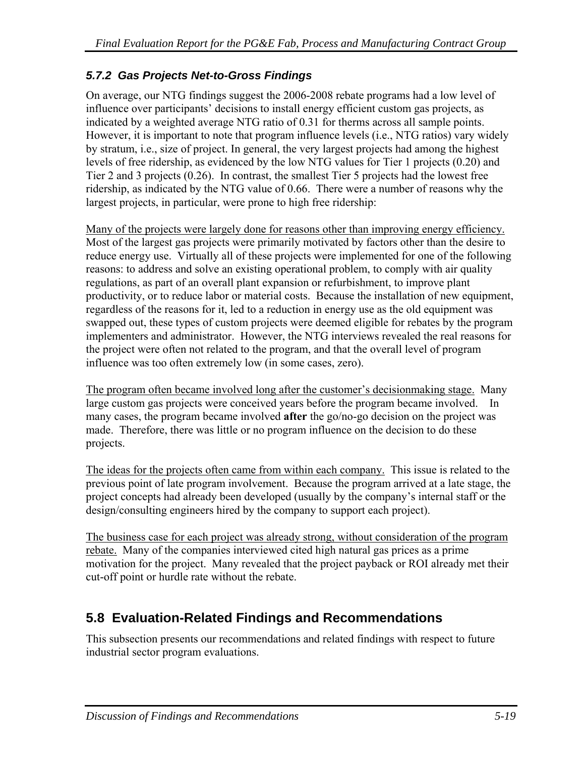# *5.7.2 Gas Projects Net-to-Gross Findings*

On average, our NTG findings suggest the 2006-2008 rebate programs had a low level of influence over participants' decisions to install energy efficient custom gas projects, as indicated by a weighted average NTG ratio of 0.31 for therms across all sample points. However, it is important to note that program influence levels (i.e., NTG ratios) vary widely by stratum, i.e., size of project. In general, the very largest projects had among the highest levels of free ridership, as evidenced by the low NTG values for Tier 1 projects (0.20) and Tier 2 and 3 projects (0.26). In contrast, the smallest Tier 5 projects had the lowest free ridership, as indicated by the NTG value of 0.66. There were a number of reasons why the largest projects, in particular, were prone to high free ridership:

Many of the projects were largely done for reasons other than improving energy efficiency. Most of the largest gas projects were primarily motivated by factors other than the desire to reduce energy use. Virtually all of these projects were implemented for one of the following reasons: to address and solve an existing operational problem, to comply with air quality regulations, as part of an overall plant expansion or refurbishment, to improve plant productivity, or to reduce labor or material costs. Because the installation of new equipment, regardless of the reasons for it, led to a reduction in energy use as the old equipment was swapped out, these types of custom projects were deemed eligible for rebates by the program implementers and administrator. However, the NTG interviews revealed the real reasons for the project were often not related to the program, and that the overall level of program influence was too often extremely low (in some cases, zero).

The program often became involved long after the customer's decisionmaking stage. Many large custom gas projects were conceived years before the program became involved. In many cases, the program became involved **after** the go/no-go decision on the project was made. Therefore, there was little or no program influence on the decision to do these projects.

The ideas for the projects often came from within each company. This issue is related to the previous point of late program involvement. Because the program arrived at a late stage, the project concepts had already been developed (usually by the company's internal staff or the design/consulting engineers hired by the company to support each project).

The business case for each project was already strong, without consideration of the program rebate. Many of the companies interviewed cited high natural gas prices as a prime motivation for the project. Many revealed that the project payback or ROI already met their cut-off point or hurdle rate without the rebate.

# **5.8 Evaluation-Related Findings and Recommendations**

This subsection presents our recommendations and related findings with respect to future industrial sector program evaluations.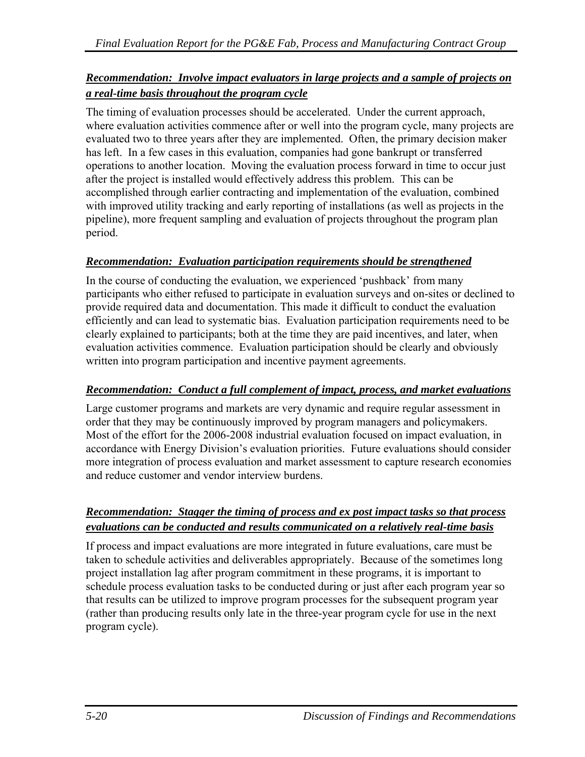#### *Recommendation: Involve impact evaluators in large projects and a sample of projects on a real-time basis throughout the program cycle*

The timing of evaluation processes should be accelerated. Under the current approach, where evaluation activities commence after or well into the program cycle, many projects are evaluated two to three years after they are implemented. Often, the primary decision maker has left. In a few cases in this evaluation, companies had gone bankrupt or transferred operations to another location. Moving the evaluation process forward in time to occur just after the project is installed would effectively address this problem. This can be accomplished through earlier contracting and implementation of the evaluation, combined with improved utility tracking and early reporting of installations (as well as projects in the pipeline), more frequent sampling and evaluation of projects throughout the program plan period.

#### *Recommendation: Evaluation participation requirements should be strengthened*

In the course of conducting the evaluation, we experienced 'pushback' from many participants who either refused to participate in evaluation surveys and on-sites or declined to provide required data and documentation. This made it difficult to conduct the evaluation efficiently and can lead to systematic bias. Evaluation participation requirements need to be clearly explained to participants; both at the time they are paid incentives, and later, when evaluation activities commence. Evaluation participation should be clearly and obviously written into program participation and incentive payment agreements.

#### *Recommendation: Conduct a full complement of impact, process, and market evaluations*

Large customer programs and markets are very dynamic and require regular assessment in order that they may be continuously improved by program managers and policymakers. Most of the effort for the 2006-2008 industrial evaluation focused on impact evaluation, in accordance with Energy Division's evaluation priorities. Future evaluations should consider more integration of process evaluation and market assessment to capture research economies and reduce customer and vendor interview burdens.

#### *Recommendation: Stagger the timing of process and ex post impact tasks so that process evaluations can be conducted and results communicated on a relatively real-time basis*

If process and impact evaluations are more integrated in future evaluations, care must be taken to schedule activities and deliverables appropriately. Because of the sometimes long project installation lag after program commitment in these programs, it is important to schedule process evaluation tasks to be conducted during or just after each program year so that results can be utilized to improve program processes for the subsequent program year (rather than producing results only late in the three-year program cycle for use in the next program cycle).